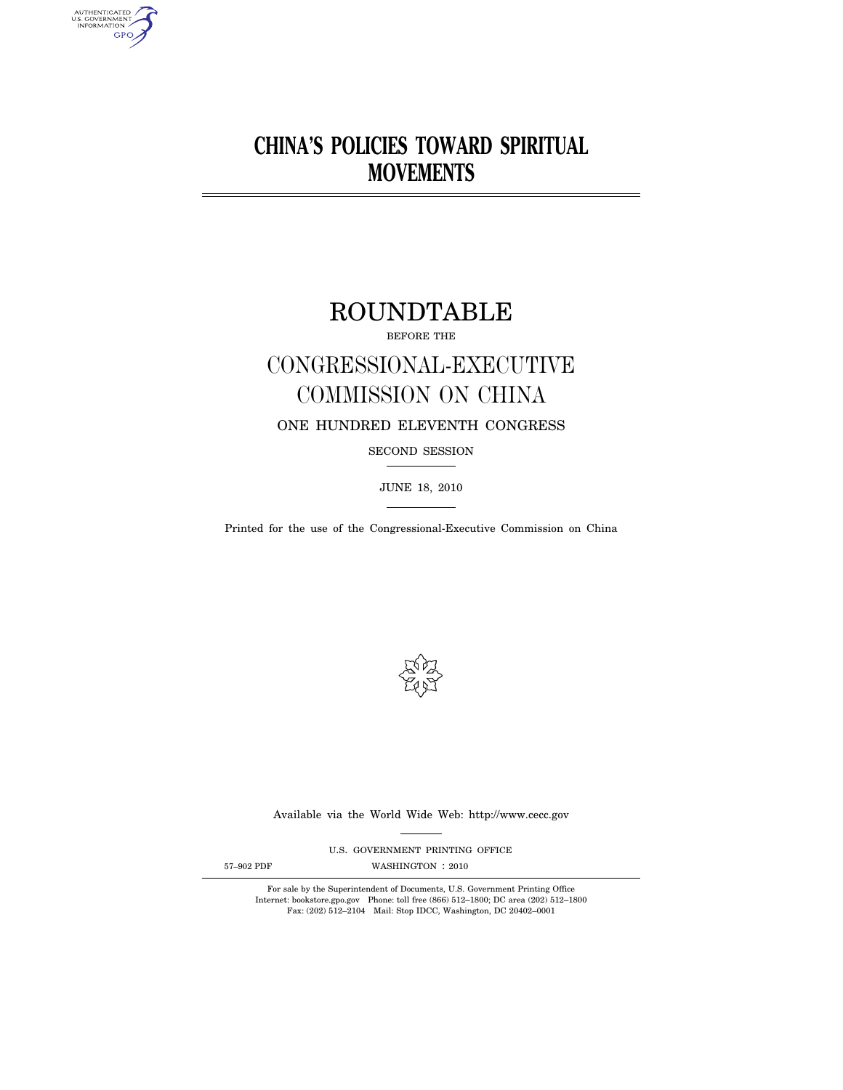# **CHINA'S POLICIES TOWARD SPIRITUAL MOVEMENTS**

## ROUNDTABLE

BEFORE THE

# CONGRESSIONAL-EXECUTIVE COMMISSION ON CHINA

## ONE HUNDRED ELEVENTH CONGRESS

SECOND SESSION

JUNE 18, 2010

Printed for the use of the Congressional-Executive Commission on China



Available via the World Wide Web: http://www.cecc.gov

U.S. GOVERNMENT PRINTING OFFICE

AUTHENTICATED<br>U.S. GOVERNMENT<br>INFORMATION **GPO** 

57-902 PDF WASHINGTON : 2010

For sale by the Superintendent of Documents, U.S. Government Printing Office Internet: bookstore.gpo.gov Phone: toll free (866) 512–1800; DC area (202) 512–1800 Fax: (202) 512–2104 Mail: Stop IDCC, Washington, DC 20402–0001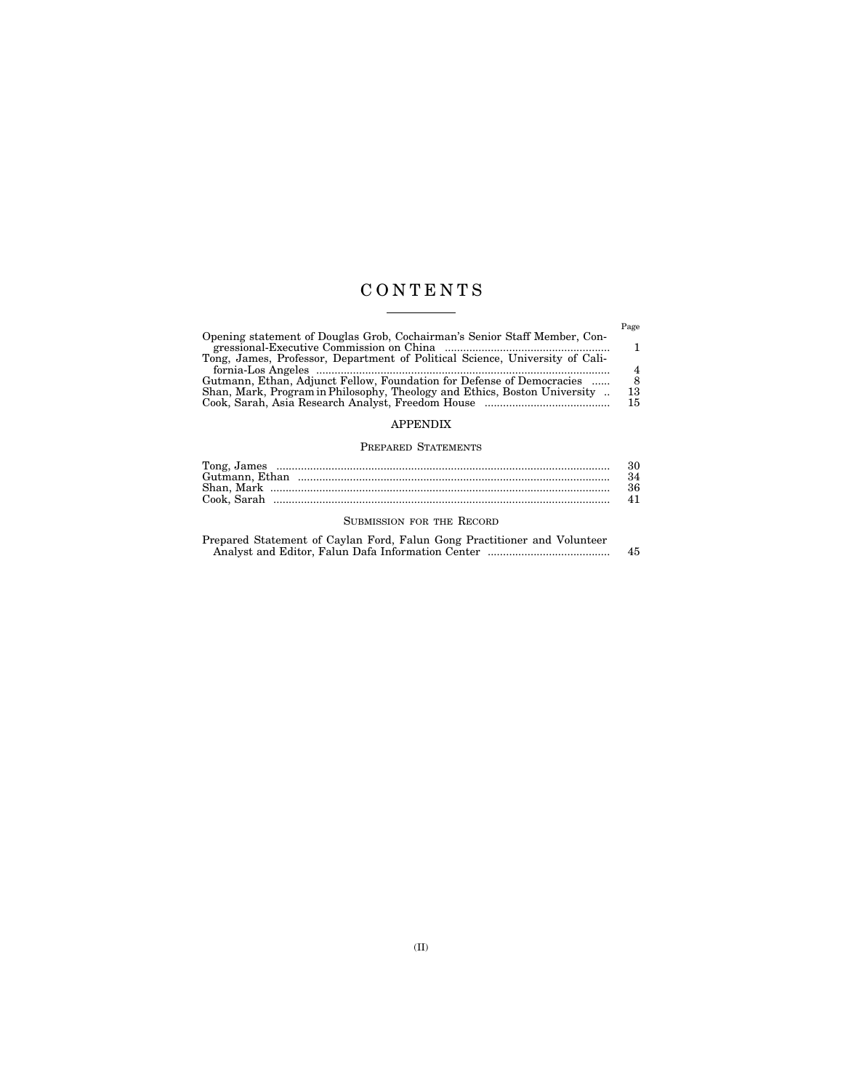## C O N T E N T S  $\begin{tabular}{ll} \multicolumn{3}{c} {\textbf{1}} & \multicolumn{3}{c} {\textbf{1}} & \multicolumn{3}{c} {\textbf{1}} \\ \multicolumn{3}{c} {\textbf{1}} & \multicolumn{3}{c} {\textbf{1}} & \multicolumn{3}{c} {\textbf{1}} \\ \multicolumn{3}{c} {\textbf{1}} & \multicolumn{3}{c} {\textbf{1}} & \multicolumn{3}{c} {\textbf{1}} \\ \multicolumn{3}{c} {\textbf{1}} & \multicolumn{3}{c} {\textbf{1}} & \multicolumn{3}{c} {\textbf{1}} \\ \multicolumn{3}{c} {\textbf{1}} & \multicolumn$

|                                                                              | Page |
|------------------------------------------------------------------------------|------|
| Opening statement of Douglas Grob, Cochairman's Senior Staff Member, Con-    |      |
|                                                                              |      |
| Tong, James, Professor, Department of Political Science, University of Cali- |      |
|                                                                              |      |
| Gutmann, Ethan, Adjunct Fellow, Foundation for Defense of Democracies        |      |
| Shan, Mark, Program in Philosophy, Theology and Ethics, Boston University    | 13   |
|                                                                              | 15   |
|                                                                              |      |

## APPENDIX

### PREPARED STATEMENTS

| Tong, James    |  |
|----------------|--|
| Gutmann, Ethan |  |
| Shan.<br>Mark  |  |
| Cook. Sarah    |  |

### SUBMISSION FOR THE RECORD

| Prepared Statement of Caylan Ford, Falun Gong Practitioner and Volunteer |    |
|--------------------------------------------------------------------------|----|
|                                                                          | 45 |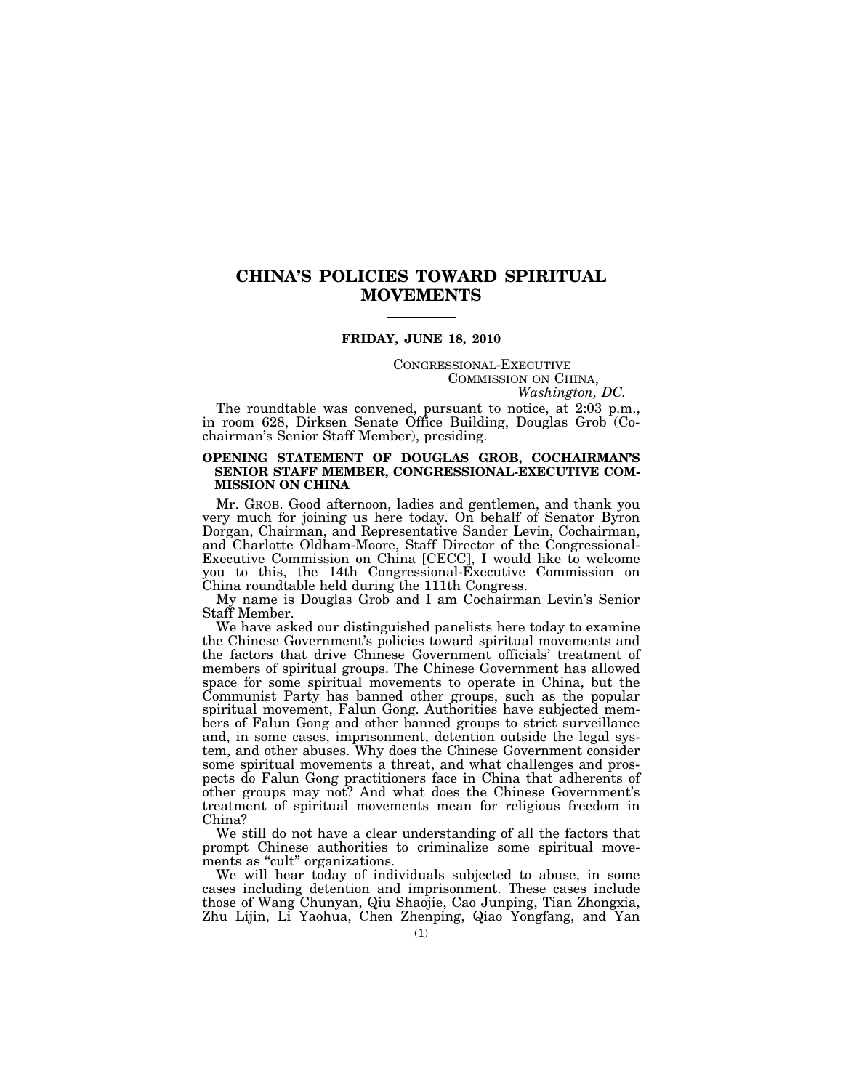## **CHINA'S POLICIES TOWARD SPIRITUAL MOVEMENTS**

### **FRIDAY, JUNE 18, 2010**

## CONGRESSIONAL-EXECUTIVE COMMISSION ON CHINA, *Washington, DC.*

The roundtable was convened, pursuant to notice, at 2:03 p.m., in room 628, Dirksen Senate Office Building, Douglas Grob (Cochairman's Senior Staff Member), presiding.

#### **OPENING STATEMENT OF DOUGLAS GROB, COCHAIRMAN'S SENIOR STAFF MEMBER, CONGRESSIONAL-EXECUTIVE COM-MISSION ON CHINA**

Mr. GROB. Good afternoon, ladies and gentlemen, and thank you very much for joining us here today. On behalf of Senator Byron Dorgan, Chairman, and Representative Sander Levin, Cochairman, and Charlotte Oldham-Moore, Staff Director of the Congressional-Executive Commission on China [CECC], I would like to welcome you to this, the 14th Congressional-Executive Commission on China roundtable held during the 111th Congress.

My name is Douglas Grob and I am Cochairman Levin's Senior Staff Member.

We have asked our distinguished panelists here today to examine the Chinese Government's policies toward spiritual movements and the factors that drive Chinese Government officials' treatment of members of spiritual groups. The Chinese Government has allowed space for some spiritual movements to operate in China, but the Communist Party has banned other groups, such as the popular spiritual movement, Falun Gong. Authorities have subjected members of Falun Gong and other banned groups to strict surveillance and, in some cases, imprisonment, detention outside the legal system, and other abuses. Why does the Chinese Government consider some spiritual movements a threat, and what challenges and prospects do Falun Gong practitioners face in China that adherents of other groups may not? And what does the Chinese Government's treatment of spiritual movements mean for religious freedom in China?

We still do not have a clear understanding of all the factors that prompt Chinese authorities to criminalize some spiritual movements as "cult" organizations.

We will hear today of individuals subjected to abuse, in some cases including detention and imprisonment. These cases include those of Wang Chunyan, Qiu Shaojie, Cao Junping, Tian Zhongxia, Zhu Lijin, Li Yaohua, Chen Zhenping, Qiao Yongfang, and Yan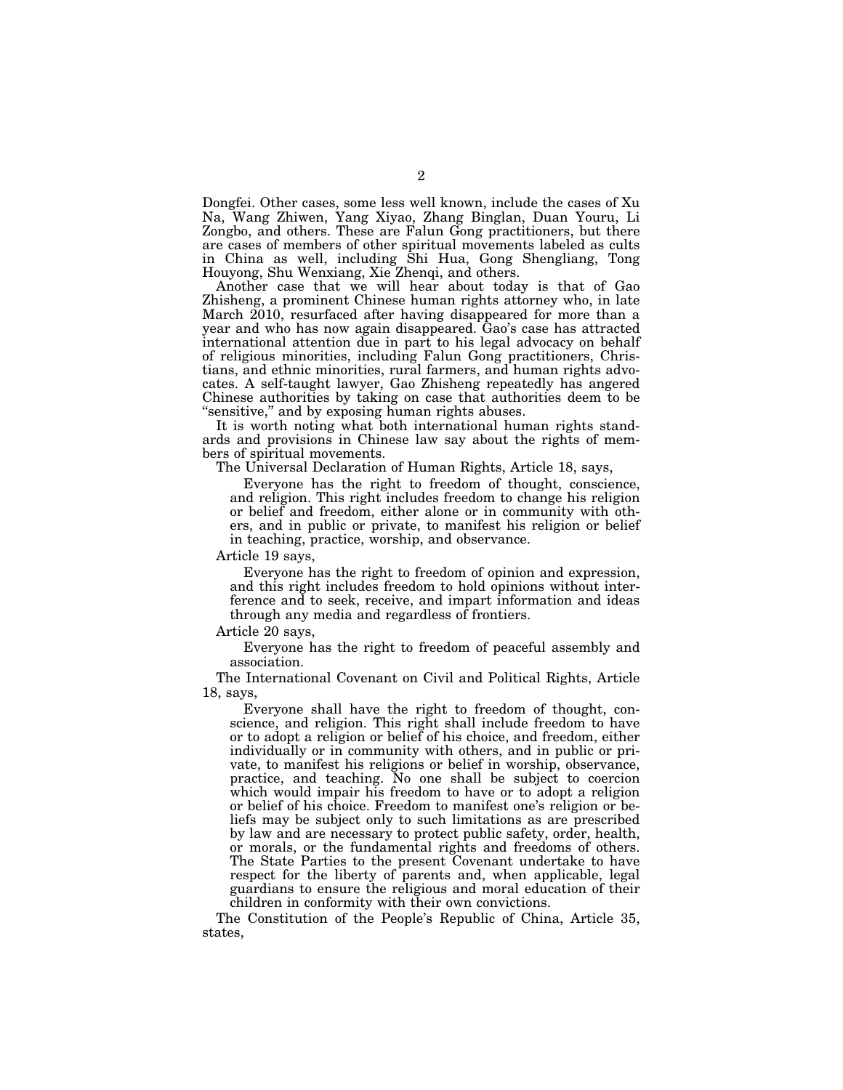Dongfei. Other cases, some less well known, include the cases of Xu Na, Wang Zhiwen, Yang Xiyao, Zhang Binglan, Duan Youru, Li Zongbo, and others. These are Falun Gong practitioners, but there are cases of members of other spiritual movements labeled as cults in China as well, including Shi Hua, Gong Shengliang, Tong Houyong, Shu Wenxiang, Xie Zhenqi, and others.

Another case that we will hear about today is that of Gao Zhisheng, a prominent Chinese human rights attorney who, in late March 2010, resurfaced after having disappeared for more than a year and who has now again disappeared. Gao's case has attracted international attention due in part to his legal advocacy on behalf of religious minorities, including Falun Gong practitioners, Christians, and ethnic minorities, rural farmers, and human rights advocates. A self-taught lawyer, Gao Zhisheng repeatedly has angered Chinese authorities by taking on case that authorities deem to be "sensitive," and by exposing human rights abuses.

It is worth noting what both international human rights standards and provisions in Chinese law say about the rights of members of spiritual movements.

The Universal Declaration of Human Rights, Article 18, says,

Everyone has the right to freedom of thought, conscience, and religion. This right includes freedom to change his religion or belief and freedom, either alone or in community with others, and in public or private, to manifest his religion or belief in teaching, practice, worship, and observance.

Article 19 says,

Everyone has the right to freedom of opinion and expression, and this right includes freedom to hold opinions without interference and to seek, receive, and impart information and ideas through any media and regardless of frontiers.

Article 20 says,

Everyone has the right to freedom of peaceful assembly and association.

The International Covenant on Civil and Political Rights, Article 18, says,

Everyone shall have the right to freedom of thought, conscience, and religion. This right shall include freedom to have or to adopt a religion or belief of his choice, and freedom, either individually or in community with others, and in public or private, to manifest his religions or belief in worship, observance, practice, and teaching. No one shall be subject to coercion which would impair his freedom to have or to adopt a religion or belief of his choice. Freedom to manifest one's religion or beliefs may be subject only to such limitations as are prescribed by law and are necessary to protect public safety, order, health, or morals, or the fundamental rights and freedoms of others. The State Parties to the present Covenant undertake to have respect for the liberty of parents and, when applicable, legal guardians to ensure the religious and moral education of their children in conformity with their own convictions.

The Constitution of the People's Republic of China, Article 35, states,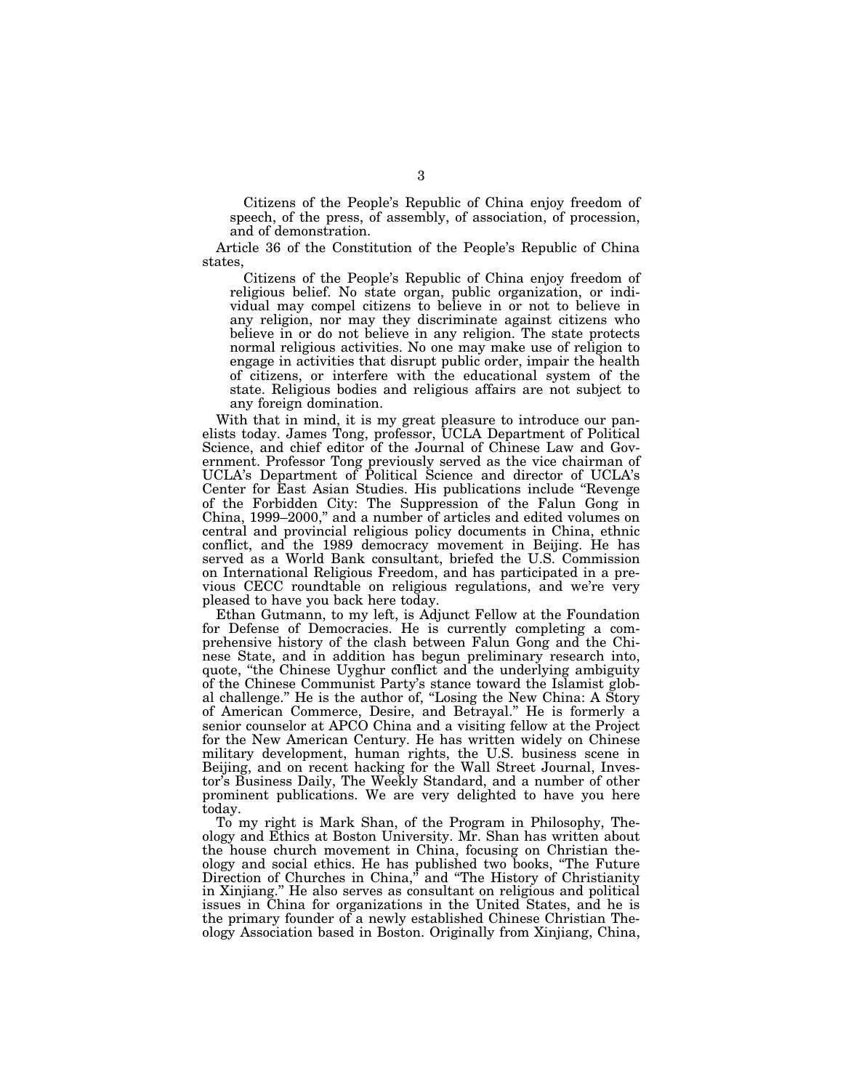Citizens of the People's Republic of China enjoy freedom of speech, of the press, of assembly, of association, of procession, and of demonstration.

Article 36 of the Constitution of the People's Republic of China states,

Citizens of the People's Republic of China enjoy freedom of religious belief. No state organ, public organization, or individual may compel citizens to believe in or not to believe in any religion, nor may they discriminate against citizens who believe in or do not believe in any religion. The state protects normal religious activities. No one may make use of religion to engage in activities that disrupt public order, impair the health of citizens, or interfere with the educational system of the state. Religious bodies and religious affairs are not subject to any foreign domination.

With that in mind, it is my great pleasure to introduce our panelists today. James Tong, professor, UCLA Department of Political Science, and chief editor of the Journal of Chinese Law and Government. Professor Tong previously served as the vice chairman of UCLA's Department of Political Science and director of UCLA's Center for East Asian Studies. His publications include ''Revenge of the Forbidden City: The Suppression of the Falun Gong in China, 1999–2000,'' and a number of articles and edited volumes on central and provincial religious policy documents in China, ethnic conflict, and the 1989 democracy movement in Beijing. He has served as a World Bank consultant, briefed the U.S. Commission on International Religious Freedom, and has participated in a previous CECC roundtable on religious regulations, and we're very pleased to have you back here today.

Ethan Gutmann, to my left, is Adjunct Fellow at the Foundation for Defense of Democracies. He is currently completing a comprehensive history of the clash between Falun Gong and the Chinese State, and in addition has begun preliminary research into, quote, ''the Chinese Uyghur conflict and the underlying ambiguity of the Chinese Communist Party's stance toward the Islamist global challenge.'' He is the author of, ''Losing the New China: A Story of American Commerce, Desire, and Betrayal.'' He is formerly a senior counselor at APCO China and a visiting fellow at the Project for the New American Century. He has written widely on Chinese military development, human rights, the U.S. business scene in Beijing, and on recent hacking for the Wall Street Journal, Investor's Business Daily, The Weekly Standard, and a number of other prominent publications. We are very delighted to have you here today.

To my right is Mark Shan, of the Program in Philosophy, Theology and Ethics at Boston University. Mr. Shan has written about the house church movement in China, focusing on Christian theology and social ethics. He has published two books, ''The Future Direction of Churches in China," and "The History of Christianity in Xinjiang.'' He also serves as consultant on religious and political issues in China for organizations in the United States, and he is the primary founder of a newly established Chinese Christian Theology Association based in Boston. Originally from Xinjiang, China,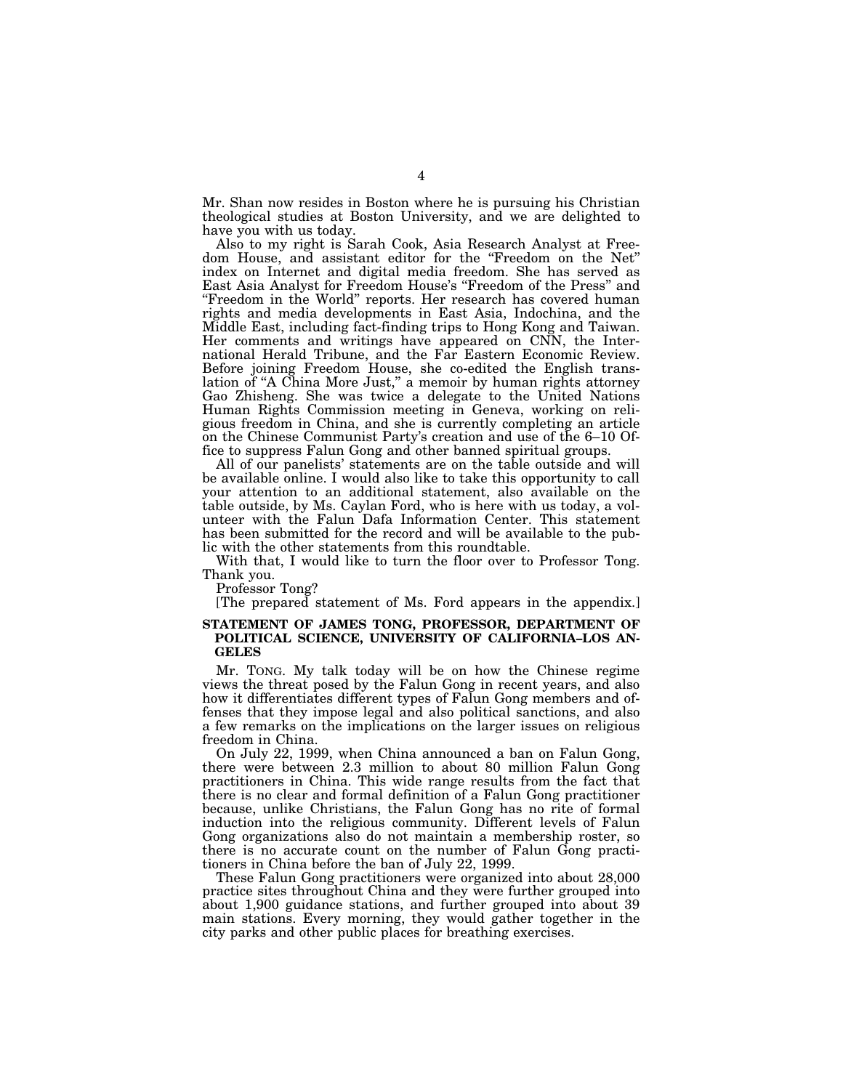Mr. Shan now resides in Boston where he is pursuing his Christian theological studies at Boston University, and we are delighted to have you with us today.

Also to my right is Sarah Cook, Asia Research Analyst at Freedom House, and assistant editor for the ''Freedom on the Net'' index on Internet and digital media freedom. She has served as East Asia Analyst for Freedom House's ''Freedom of the Press'' and "Freedom in the World" reports. Her research has covered human rights and media developments in East Asia, Indochina, and the Middle East, including fact-finding trips to Hong Kong and Taiwan. Her comments and writings have appeared on CNN, the International Herald Tribune, and the Far Eastern Economic Review. Before joining Freedom House, she co-edited the English translation of "A China More Just," a memoir by human rights attorney Gao Zhisheng. She was twice a delegate to the United Nations Human Rights Commission meeting in Geneva, working on religious freedom in China, and she is currently completing an article on the Chinese Communist Party's creation and use of the 6–10 Office to suppress Falun Gong and other banned spiritual groups.

All of our panelists' statements are on the table outside and will be available online. I would also like to take this opportunity to call your attention to an additional statement, also available on the table outside, by Ms. Caylan Ford, who is here with us today, a volunteer with the Falun Dafa Information Center. This statement has been submitted for the record and will be available to the public with the other statements from this roundtable.

With that, I would like to turn the floor over to Professor Tong. Thank you.

Professor Tong?

[The prepared statement of Ms. Ford appears in the appendix.]

#### **STATEMENT OF JAMES TONG, PROFESSOR, DEPARTMENT OF POLITICAL SCIENCE, UNIVERSITY OF CALIFORNIA–LOS AN-GELES**

Mr. TONG. My talk today will be on how the Chinese regime views the threat posed by the Falun Gong in recent years, and also how it differentiates different types of Falun Gong members and offenses that they impose legal and also political sanctions, and also a few remarks on the implications on the larger issues on religious freedom in China.

On July 22, 1999, when China announced a ban on Falun Gong, there were between 2.3 million to about 80 million Falun Gong practitioners in China. This wide range results from the fact that there is no clear and formal definition of a Falun Gong practitioner because, unlike Christians, the Falun Gong has no rite of formal induction into the religious community. Different levels of Falun Gong organizations also do not maintain a membership roster, so there is no accurate count on the number of Falun Gong practitioners in China before the ban of July 22, 1999.

These Falun Gong practitioners were organized into about 28,000 practice sites throughout China and they were further grouped into about 1,900 guidance stations, and further grouped into about 39 main stations. Every morning, they would gather together in the city parks and other public places for breathing exercises.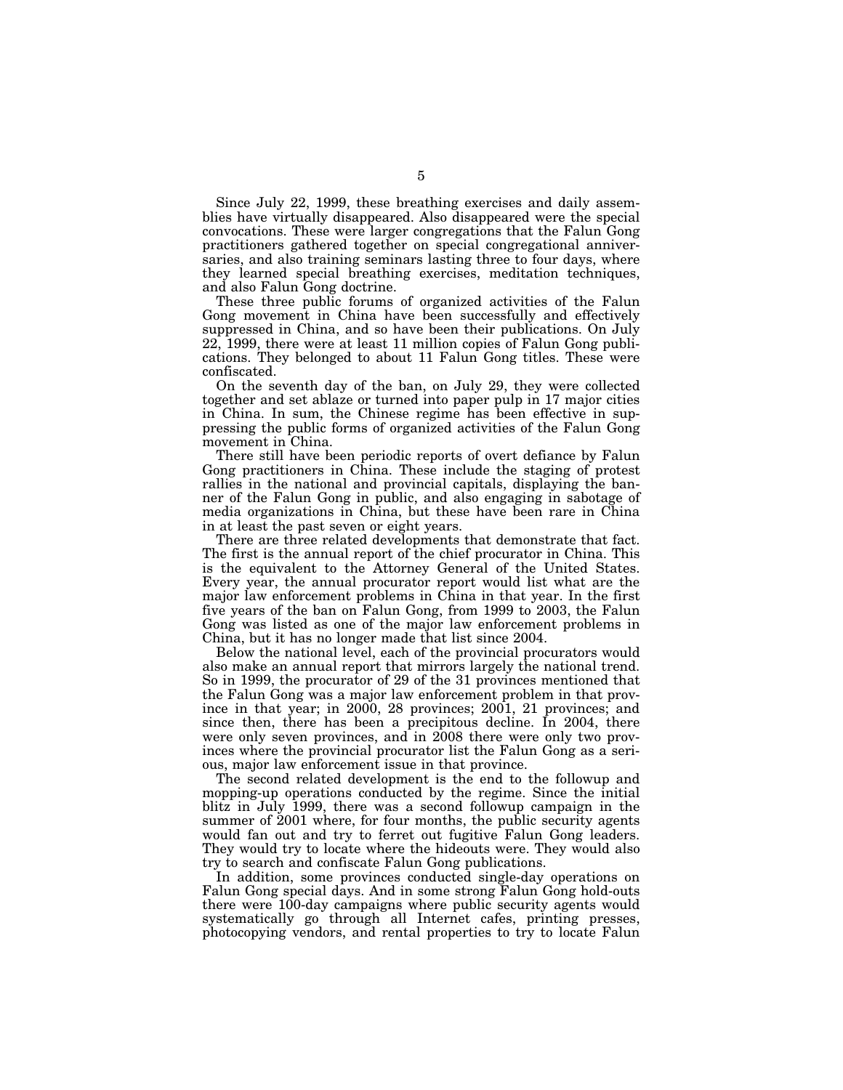Since July 22, 1999, these breathing exercises and daily assemblies have virtually disappeared. Also disappeared were the special convocations. These were larger congregations that the Falun Gong practitioners gathered together on special congregational anniversaries, and also training seminars lasting three to four days, where they learned special breathing exercises, meditation techniques, and also Falun Gong doctrine.

These three public forums of organized activities of the Falun Gong movement in China have been successfully and effectively suppressed in China, and so have been their publications. On July 22, 1999, there were at least 11 million copies of Falun Gong publications. They belonged to about 11 Falun Gong titles. These were confiscated.

On the seventh day of the ban, on July 29, they were collected together and set ablaze or turned into paper pulp in 17 major cities in China. In sum, the Chinese regime has been effective in suppressing the public forms of organized activities of the Falun Gong movement in China.

There still have been periodic reports of overt defiance by Falun Gong practitioners in China. These include the staging of protest rallies in the national and provincial capitals, displaying the banner of the Falun Gong in public, and also engaging in sabotage of media organizations in China, but these have been rare in China in at least the past seven or eight years.

There are three related developments that demonstrate that fact. The first is the annual report of the chief procurator in China. This is the equivalent to the Attorney General of the United States. Every year, the annual procurator report would list what are the major law enforcement problems in China in that year. In the first five years of the ban on Falun Gong, from 1999 to 2003, the Falun Gong was listed as one of the major law enforcement problems in China, but it has no longer made that list since 2004.

Below the national level, each of the provincial procurators would also make an annual report that mirrors largely the national trend. So in 1999, the procurator of 29 of the 31 provinces mentioned that the Falun Gong was a major law enforcement problem in that province in that year; in 2000, 28 provinces; 2001, 21 provinces; and since then, there has been a precipitous decline. In 2004, there were only seven provinces, and in 2008 there were only two provinces where the provincial procurator list the Falun Gong as a serious, major law enforcement issue in that province.

The second related development is the end to the followup and mopping-up operations conducted by the regime. Since the initial blitz in July 1999, there was a second followup campaign in the summer of 2001 where, for four months, the public security agents would fan out and try to ferret out fugitive Falun Gong leaders. They would try to locate where the hideouts were. They would also try to search and confiscate Falun Gong publications.

In addition, some provinces conducted single-day operations on Falun Gong special days. And in some strong Falun Gong hold-outs there were 100-day campaigns where public security agents would systematically go through all Internet cafes, printing presses, photocopying vendors, and rental properties to try to locate Falun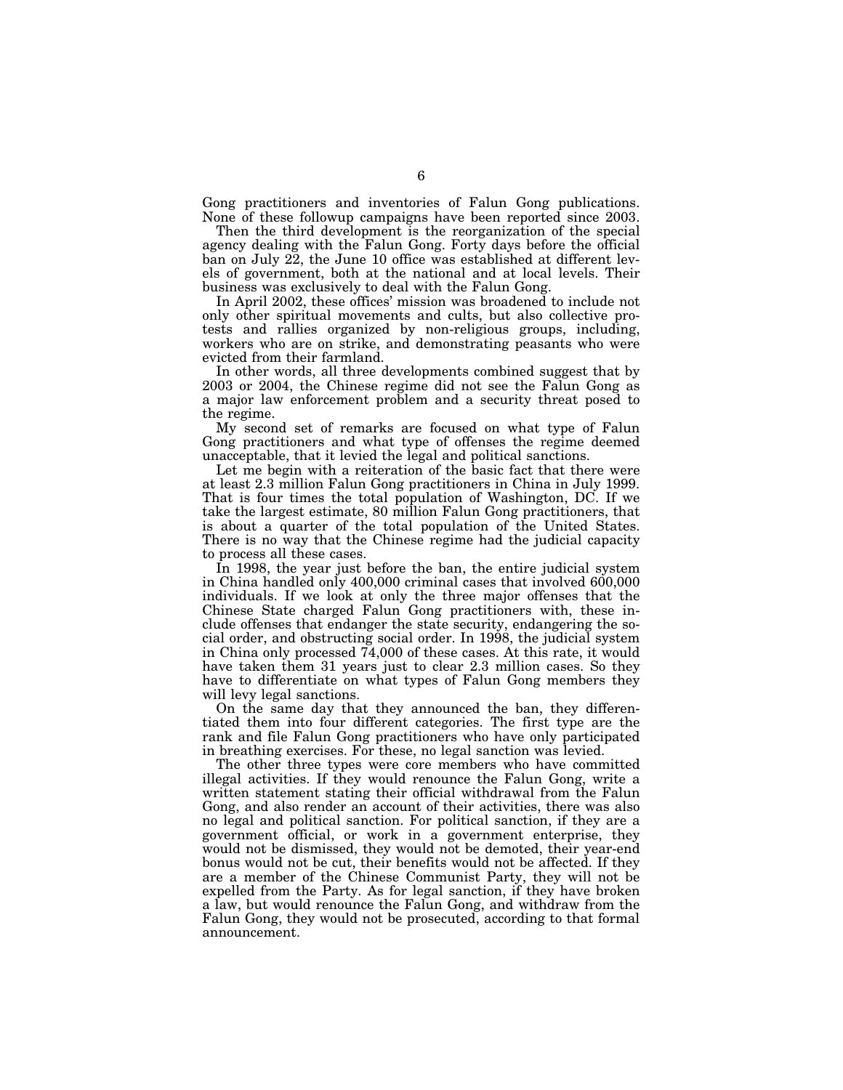Gong practitioners and inventories of Falun Gong publications. None of these followup campaigns have been reported since 2003.

Then the third development is the reorganization of the special agency dealing with the Falun Gong. Forty days before the official ban on July 22, the June 10 office was established at different levels of government, both at the national and at local levels. Their business was exclusively to deal with the Falun Gong.

In April 2002, these offices' mission was broadened to include not only other spiritual movements and cults, but also collective protests and rallies organized by non-religious groups, including, workers who are on strike, and demonstrating peasants who were evicted from their farmland.

In other words, all three developments combined suggest that by 2003 or 2004, the Chinese regime did not see the Falun Gong as a major law enforcement problem and a security threat posed to the regime.

My second set of remarks are focused on what type of Falun Gong practitioners and what type of offenses the regime deemed unacceptable, that it levied the legal and political sanctions.

Let me begin with a reiteration of the basic fact that there were at least 2.3 million Falun Gong practitioners in China in July 1999. That is four times the total population of Washington, DC. If we take the largest estimate, 80 million Falun Gong practitioners, that is about a quarter of the total population of the United States. There is no way that the Chinese regime had the judicial capacity to process all these cases.

In 1998, the year just before the ban, the entire judicial system in China handled only 400,000 criminal cases that involved 600,000 individuals. If we look at only the three major offenses that the Chinese State charged Falun Gong practitioners with, these include offenses that endanger the state security, endangering the social order, and obstructing social order. In 1998, the judicial system in China only processed 74,000 of these cases. At this rate, it would have taken them 31 years just to clear 2.3 million cases. So they have to differentiate on what types of Falun Gong members they will levy legal sanctions.

On the same day that they announced the ban, they differentiated them into four different categories. The first type are the rank and file Falun Gong practitioners who have only participated in breathing exercises. For these, no legal sanction was levied.

The other three types were core members who have committed illegal activities. If they would renounce the Falun Gong, write a written statement stating their official withdrawal from the Falun Gong, and also render an account of their activities, there was also no legal and political sanction. For political sanction, if they are a government official, or work in a government enterprise, they would not be dismissed, they would not be demoted, their year-end bonus would not be cut, their benefits would not be affected. If they are a member of the Chinese Communist Party, they will not be expelled from the Party. As for legal sanction, if they have broken a law, but would renounce the Falun Gong, and withdraw from the Falun Gong, they would not be prosecuted, according to that formal announcement.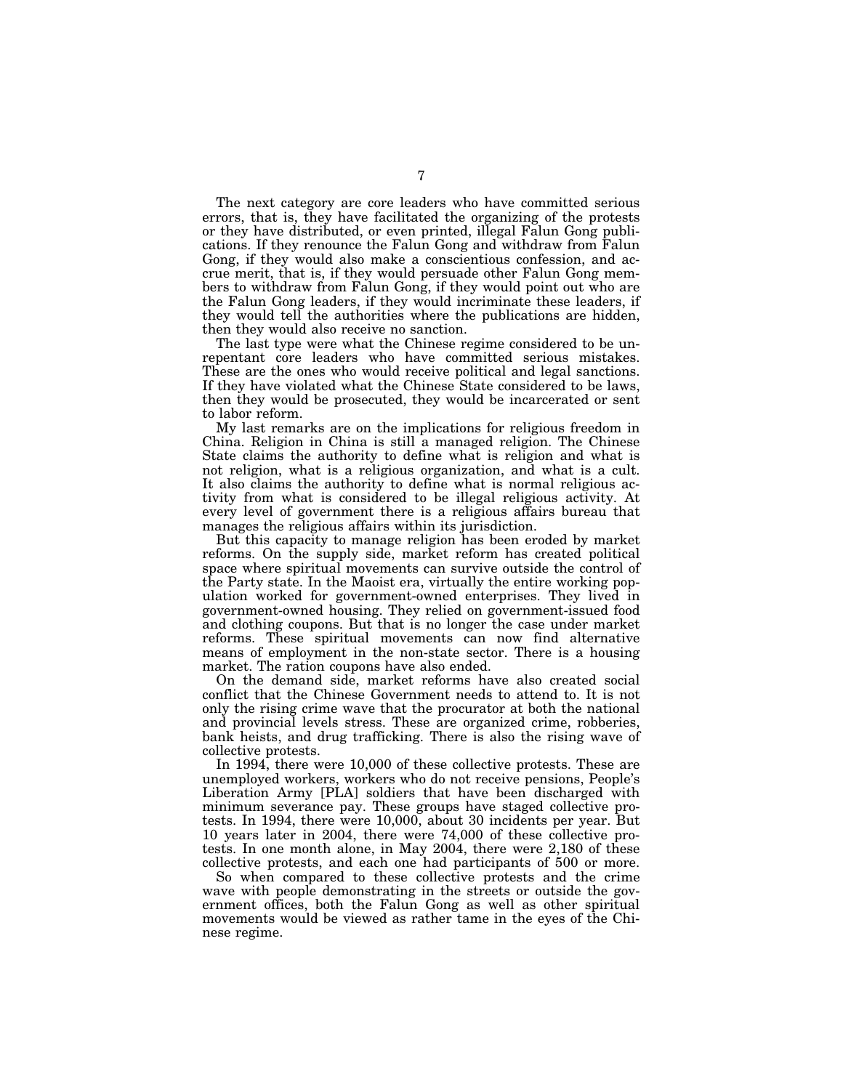The next category are core leaders who have committed serious errors, that is, they have facilitated the organizing of the protests or they have distributed, or even printed, illegal Falun Gong publications. If they renounce the Falun Gong and withdraw from Falun Gong, if they would also make a conscientious confession, and accrue merit, that is, if they would persuade other Falun Gong members to withdraw from Falun Gong, if they would point out who are the Falun Gong leaders, if they would incriminate these leaders, if they would tell the authorities where the publications are hidden, then they would also receive no sanction.

The last type were what the Chinese regime considered to be unrepentant core leaders who have committed serious mistakes. These are the ones who would receive political and legal sanctions. If they have violated what the Chinese State considered to be laws, then they would be prosecuted, they would be incarcerated or sent to labor reform.

My last remarks are on the implications for religious freedom in China. Religion in China is still a managed religion. The Chinese State claims the authority to define what is religion and what is not religion, what is a religious organization, and what is a cult. It also claims the authority to define what is normal religious activity from what is considered to be illegal religious activity. At every level of government there is a religious affairs bureau that manages the religious affairs within its jurisdiction.

But this capacity to manage religion has been eroded by market reforms. On the supply side, market reform has created political space where spiritual movements can survive outside the control of the Party state. In the Maoist era, virtually the entire working population worked for government-owned enterprises. They lived in government-owned housing. They relied on government-issued food and clothing coupons. But that is no longer the case under market reforms. These spiritual movements can now find alternative means of employment in the non-state sector. There is a housing market. The ration coupons have also ended.

On the demand side, market reforms have also created social conflict that the Chinese Government needs to attend to. It is not only the rising crime wave that the procurator at both the national and provincial levels stress. These are organized crime, robberies, bank heists, and drug trafficking. There is also the rising wave of collective protests.

In 1994, there were 10,000 of these collective protests. These are unemployed workers, workers who do not receive pensions, People's Liberation Army [PLA] soldiers that have been discharged with minimum severance pay. These groups have staged collective protests. In 1994, there were 10,000, about 30 incidents per year. But 10 years later in 2004, there were 74,000 of these collective protests. In one month alone, in May 2004, there were 2,180 of these collective protests, and each one had participants of 500 or more.

So when compared to these collective protests and the crime wave with people demonstrating in the streets or outside the government offices, both the Falun Gong as well as other spiritual movements would be viewed as rather tame in the eyes of the Chinese regime.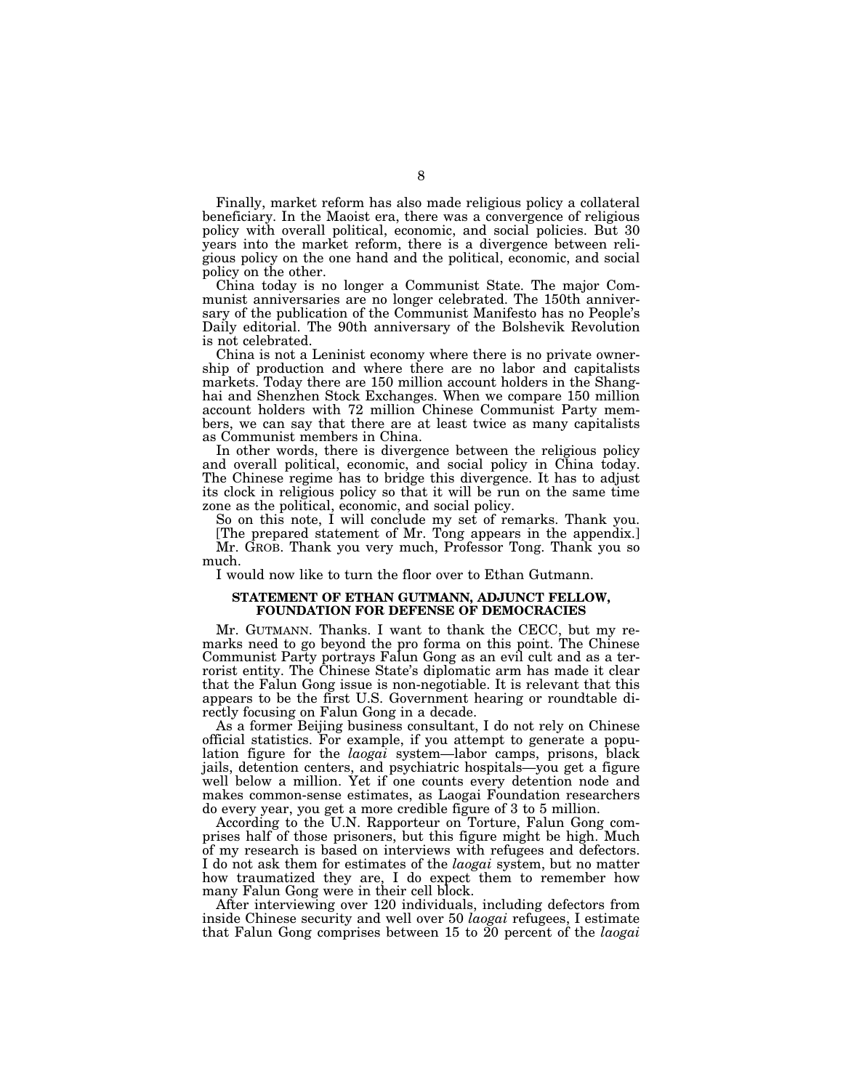Finally, market reform has also made religious policy a collateral beneficiary. In the Maoist era, there was a convergence of religious policy with overall political, economic, and social policies. But 30 years into the market reform, there is a divergence between religious policy on the one hand and the political, economic, and social policy on the other.

China today is no longer a Communist State. The major Communist anniversaries are no longer celebrated. The 150th anniversary of the publication of the Communist Manifesto has no People's Daily editorial. The 90th anniversary of the Bolshevik Revolution is not celebrated.

China is not a Leninist economy where there is no private ownership of production and where there are no labor and capitalists markets. Today there are 150 million account holders in the Shanghai and Shenzhen Stock Exchanges. When we compare 150 million account holders with 72 million Chinese Communist Party members, we can say that there are at least twice as many capitalists as Communist members in China.

In other words, there is divergence between the religious policy and overall political, economic, and social policy in China today. The Chinese regime has to bridge this divergence. It has to adjust its clock in religious policy so that it will be run on the same time zone as the political, economic, and social policy.

So on this note, I will conclude my set of remarks. Thank you.

[The prepared statement of Mr. Tong appears in the appendix.] Mr. GROB. Thank you very much, Professor Tong. Thank you so much.

I would now like to turn the floor over to Ethan Gutmann.

### **STATEMENT OF ETHAN GUTMANN, ADJUNCT FELLOW, FOUNDATION FOR DEFENSE OF DEMOCRACIES**

Mr. GUTMANN. Thanks. I want to thank the CECC, but my remarks need to go beyond the pro forma on this point. The Chinese Communist Party portrays Falun Gong as an evil cult and as a terrorist entity. The Chinese State's diplomatic arm has made it clear that the Falun Gong issue is non-negotiable. It is relevant that this appears to be the first U.S. Government hearing or roundtable directly focusing on Falun Gong in a decade.

As a former Beijing business consultant, I do not rely on Chinese official statistics. For example, if you attempt to generate a population figure for the *laogai* system—labor camps, prisons, black jails, detention centers, and psychiatric hospitals—you get a figure well below a million. Yet if one counts every detention node and makes common-sense estimates, as Laogai Foundation researchers do every year, you get a more credible figure of 3 to 5 million.

According to the U.N. Rapporteur on Torture, Falun Gong comprises half of those prisoners, but this figure might be high. Much of my research is based on interviews with refugees and defectors. I do not ask them for estimates of the *laogai* system, but no matter how traumatized they are, I do expect them to remember how many Falun Gong were in their cell block.

After interviewing over 120 individuals, including defectors from inside Chinese security and well over 50 *laogai* refugees, I estimate that Falun Gong comprises between 15 to 20 percent of the *laogai*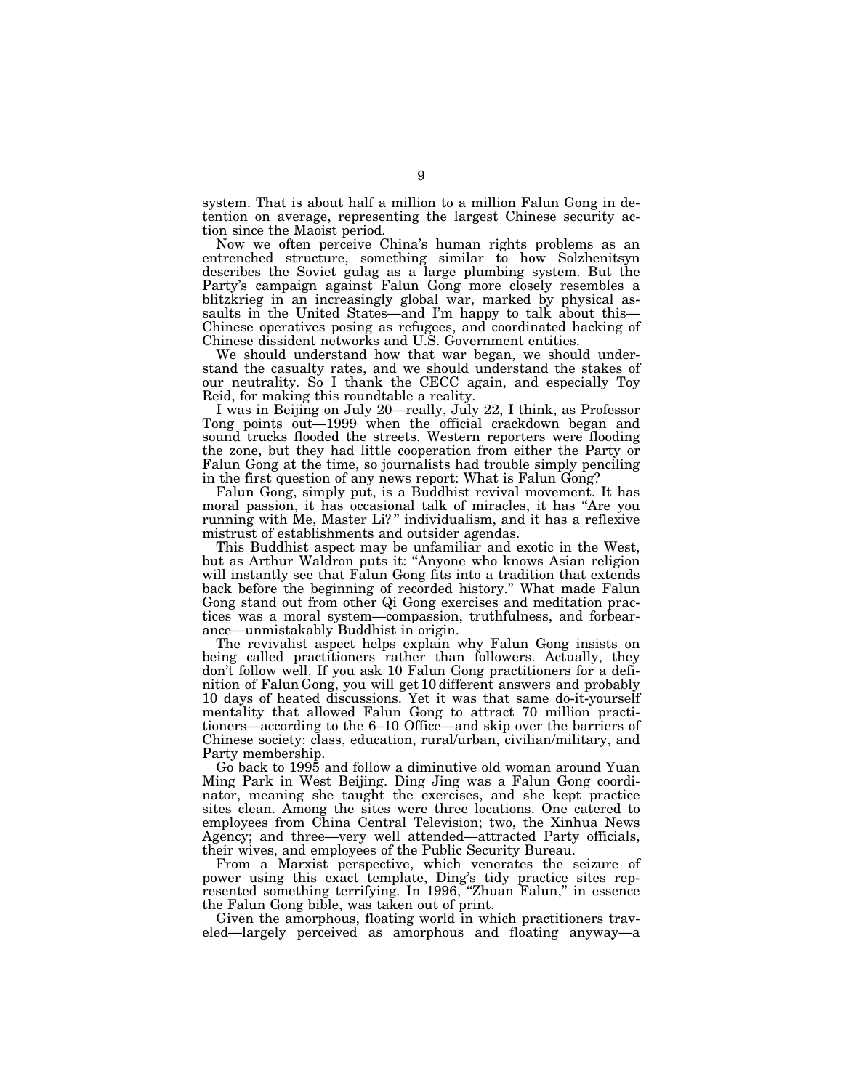system. That is about half a million to a million Falun Gong in detention on average, representing the largest Chinese security action since the Maoist period.

Now we often perceive China's human rights problems as an entrenched structure, something similar to how Solzhenitsyn describes the Soviet gulag as a large plumbing system. But the Party's campaign against Falun Gong more closely resembles a blitzkrieg in an increasingly global war, marked by physical assaults in the United States—and I'm happy to talk about this— Chinese operatives posing as refugees, and coordinated hacking of Chinese dissident networks and U.S. Government entities.

We should understand how that war began, we should understand the casualty rates, and we should understand the stakes of our neutrality. So I thank the CECC again, and especially Toy Reid, for making this roundtable a reality.

I was in Beijing on July 20—really, July 22, I think, as Professor Tong points out—1999 when the official crackdown began and sound trucks flooded the streets. Western reporters were flooding the zone, but they had little cooperation from either the Party or Falun Gong at the time, so journalists had trouble simply penciling in the first question of any news report: What is Falun Gong?

Falun Gong, simply put, is a Buddhist revival movement. It has moral passion, it has occasional talk of miracles, it has ''Are you running with Me, Master Li?" individualism, and it has a reflexive mistrust of establishments and outsider agendas.

This Buddhist aspect may be unfamiliar and exotic in the West, but as Arthur Waldron puts it: ''Anyone who knows Asian religion will instantly see that Falun Gong fits into a tradition that extends back before the beginning of recorded history.'' What made Falun Gong stand out from other Qi Gong exercises and meditation practices was a moral system—compassion, truthfulness, and forbearance—unmistakably Buddhist in origin.

The revivalist aspect helps explain why Falun Gong insists on being called practitioners rather than followers. Actually, they don't follow well. If you ask 10 Falun Gong practitioners for a definition of Falun Gong, you will get 10 different answers and probably 10 days of heated discussions. Yet it was that same do-it-yourself mentality that allowed Falun Gong to attract 70 million practitioners—according to the 6–10 Office—and skip over the barriers of Chinese society: class, education, rural/urban, civilian/military, and Party membership.

Go back to 1995 and follow a diminutive old woman around Yuan Ming Park in West Beijing. Ding Jing was a Falun Gong coordinator, meaning she taught the exercises, and she kept practice sites clean. Among the sites were three locations. One catered to employees from China Central Television; two, the Xinhua News Agency; and three—very well attended—attracted Party officials, their wives, and employees of the Public Security Bureau.

From a Marxist perspective, which venerates the seizure of power using this exact template, Ding's tidy practice sites represented something terrifying. In 1996, ''Zhuan Falun,'' in essence the Falun Gong bible, was taken out of print.

Given the amorphous, floating world in which practitioners traveled—largely perceived as amorphous and floating anyway—a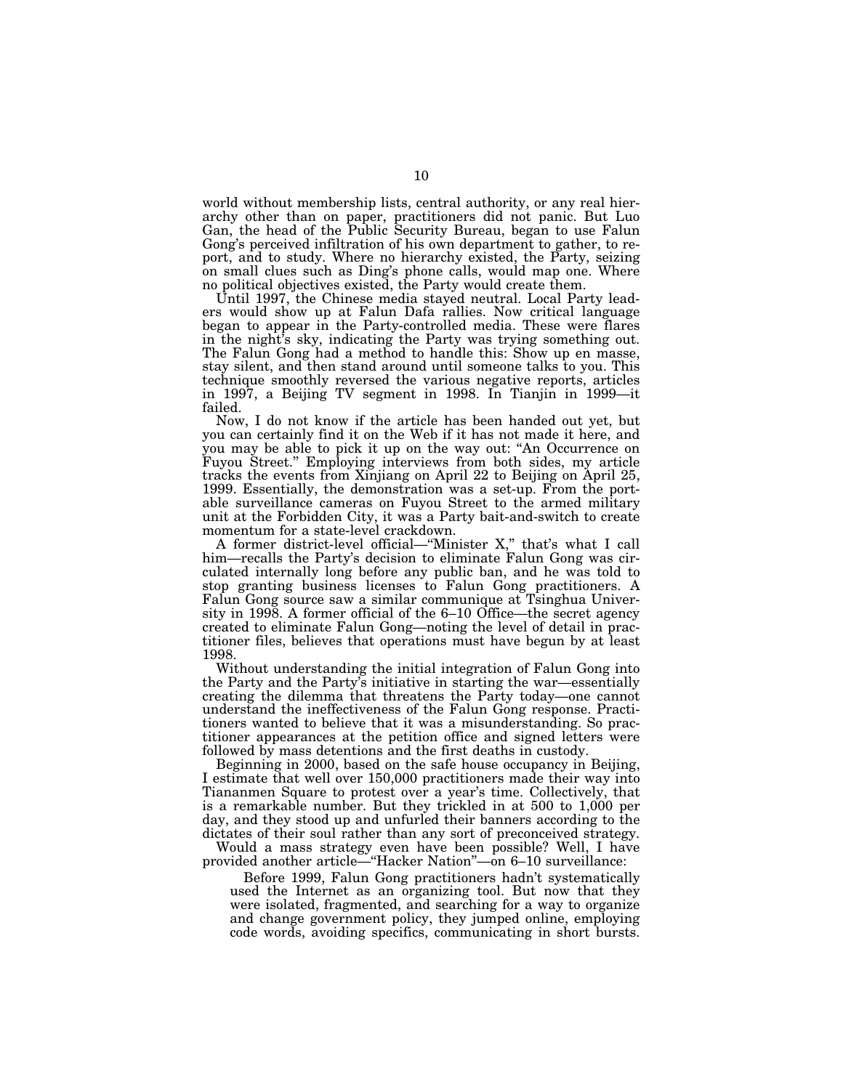world without membership lists, central authority, or any real hierarchy other than on paper, practitioners did not panic. But Luo Gan, the head of the Public Security Bureau, began to use Falun Gong's perceived infiltration of his own department to gather, to report, and to study. Where no hierarchy existed, the Party, seizing on small clues such as Ding's phone calls, would map one. Where no political objectives existed, the Party would create them.

Until 1997, the Chinese media stayed neutral. Local Party leaders would show up at Falun Dafa rallies. Now critical language began to appear in the Party-controlled media. These were flares in the night's sky, indicating the Party was trying something out. The Falun Gong had a method to handle this: Show up en masse, stay silent, and then stand around until someone talks to you. This technique smoothly reversed the various negative reports, articles in 1997, a Beijing TV segment in 1998. In Tianjin in 1999—it failed.

Now, I do not know if the article has been handed out yet, but you can certainly find it on the Web if it has not made it here, and you may be able to pick it up on the way out: ''An Occurrence on Fuyou Street.'' Employing interviews from both sides, my article tracks the events from Xinjiang on April 22 to Beijing on April 25, 1999. Essentially, the demonstration was a set-up. From the portable surveillance cameras on Fuyou Street to the armed military unit at the Forbidden City, it was a Party bait-and-switch to create momentum for a state-level crackdown.

A former district-level official—''Minister X,'' that's what I call him—recalls the Party's decision to eliminate Falun Gong was circulated internally long before any public ban, and he was told to stop granting business licenses to Falun Gong practitioners. A Falun Gong source saw a similar communique at Tsinghua University in 1998. A former official of the 6–10 Office—the secret agency created to eliminate Falun Gong—noting the level of detail in practitioner files, believes that operations must have begun by at least 1998.

Without understanding the initial integration of Falun Gong into the Party and the Party's initiative in starting the war—essentially creating the dilemma that threatens the Party today—one cannot understand the ineffectiveness of the Falun Gong response. Practitioners wanted to believe that it was a misunderstanding. So practitioner appearances at the petition office and signed letters were followed by mass detentions and the first deaths in custody.

Beginning in 2000, based on the safe house occupancy in Beijing, I estimate that well over 150,000 practitioners made their way into Tiananmen Square to protest over a year's time. Collectively, that is a remarkable number. But they trickled in at 500 to 1,000 per day, and they stood up and unfurled their banners according to the dictates of their soul rather than any sort of preconceived strategy.

Would a mass strategy even have been possible? Well, I have provided another article—"Hacker Nation"—on 6-10 surveillance:

Before 1999, Falun Gong practitioners hadn't systematically used the Internet as an organizing tool. But now that they were isolated, fragmented, and searching for a way to organize and change government policy, they jumped online, employing code words, avoiding specifics, communicating in short bursts.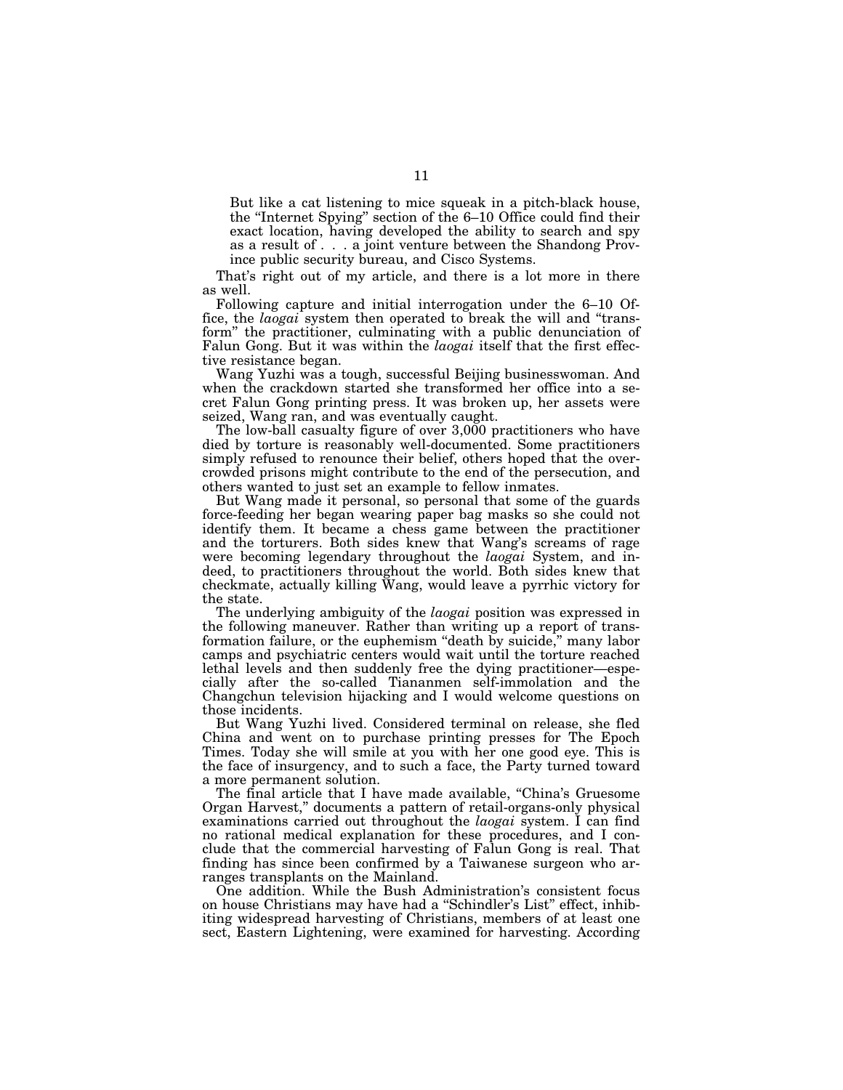But like a cat listening to mice squeak in a pitch-black house, the ''Internet Spying'' section of the 6–10 Office could find their exact location, having developed the ability to search and spy as a result of . . . a joint venture between the Shandong Province public security bureau, and Cisco Systems.

That's right out of my article, and there is a lot more in there as well.

Following capture and initial interrogation under the 6–10 Office, the *laogai* system then operated to break the will and ''transform'' the practitioner, culminating with a public denunciation of Falun Gong. But it was within the *laogai* itself that the first effective resistance began.

Wang Yuzhi was a tough, successful Beijing businesswoman. And when the crackdown started she transformed her office into a secret Falun Gong printing press. It was broken up, her assets were seized, Wang ran, and was eventually caught.

The low-ball casualty figure of over 3,000 practitioners who have died by torture is reasonably well-documented. Some practitioners simply refused to renounce their belief, others hoped that the overcrowded prisons might contribute to the end of the persecution, and others wanted to just set an example to fellow inmates.

But Wang made it personal, so personal that some of the guards force-feeding her began wearing paper bag masks so she could not identify them. It became a chess game between the practitioner and the torturers. Both sides knew that Wang's screams of rage were becoming legendary throughout the *laogai* System, and indeed, to practitioners throughout the world. Both sides knew that checkmate, actually killing Wang, would leave a pyrrhic victory for the state.

The underlying ambiguity of the *laogai* position was expressed in the following maneuver. Rather than writing up a report of transformation failure, or the euphemism ''death by suicide,'' many labor camps and psychiatric centers would wait until the torture reached lethal levels and then suddenly free the dying practitioner—especially after the so-called Tiananmen self-immolation and the Changchun television hijacking and I would welcome questions on those incidents.

But Wang Yuzhi lived. Considered terminal on release, she fled China and went on to purchase printing presses for The Epoch Times. Today she will smile at you with her one good eye. This is the face of insurgency, and to such a face, the Party turned toward a more permanent solution.

The final article that I have made available, "China's Gruesome Organ Harvest,'' documents a pattern of retail-organs-only physical examinations carried out throughout the *laogai* system. I can find no rational medical explanation for these procedures, and I conclude that the commercial harvesting of Falun Gong is real. That finding has since been confirmed by a Taiwanese surgeon who arranges transplants on the Mainland.

One addition. While the Bush Administration's consistent focus on house Christians may have had a ''Schindler's List'' effect, inhibiting widespread harvesting of Christians, members of at least one sect, Eastern Lightening, were examined for harvesting. According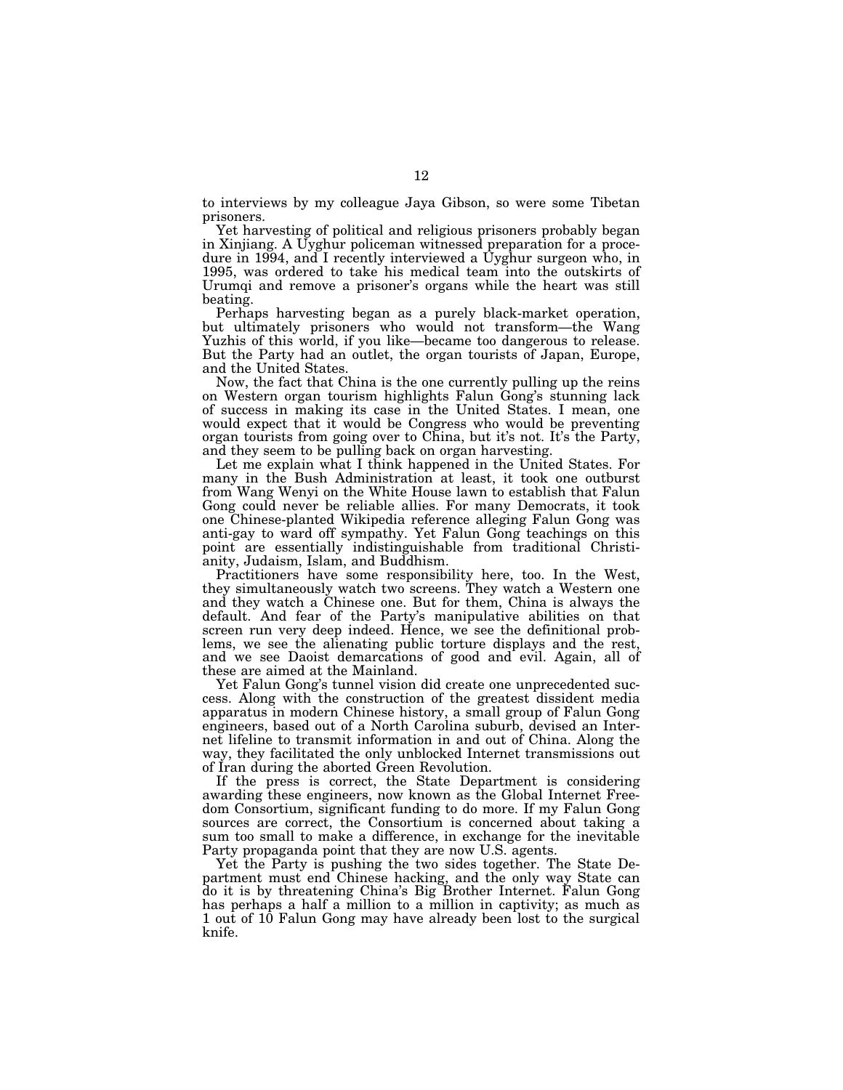to interviews by my colleague Jaya Gibson, so were some Tibetan prisoners.

Yet harvesting of political and religious prisoners probably began in Xinjiang. A Uyghur policeman witnessed preparation for a procedure in 1994, and I recently interviewed a Uyghur surgeon who, in 1995, was ordered to take his medical team into the outskirts of Urumqi and remove a prisoner's organs while the heart was still beating.

Perhaps harvesting began as a purely black-market operation, but ultimately prisoners who would not transform—the Wang Yuzhis of this world, if you like—became too dangerous to release. But the Party had an outlet, the organ tourists of Japan, Europe, and the United States.

Now, the fact that China is the one currently pulling up the reins on Western organ tourism highlights Falun Gong's stunning lack of success in making its case in the United States. I mean, one would expect that it would be Congress who would be preventing organ tourists from going over to China, but it's not. It's the Party, and they seem to be pulling back on organ harvesting.

Let me explain what I think happened in the United States. For many in the Bush Administration at least, it took one outburst from Wang Wenyi on the White House lawn to establish that Falun Gong could never be reliable allies. For many Democrats, it took one Chinese-planted Wikipedia reference alleging Falun Gong was anti-gay to ward off sympathy. Yet Falun Gong teachings on this point are essentially indistinguishable from traditional Christianity, Judaism, Islam, and Buddhism.

Practitioners have some responsibility here, too. In the West, they simultaneously watch two screens. They watch a Western one and they watch a Chinese one. But for them, China is always the default. And fear of the Party's manipulative abilities on that screen run very deep indeed. Hence, we see the definitional problems, we see the alienating public torture displays and the rest, and we see Daoist demarcations of good and evil. Again, all of these are aimed at the Mainland.

Yet Falun Gong's tunnel vision did create one unprecedented success. Along with the construction of the greatest dissident media apparatus in modern Chinese history, a small group of Falun Gong engineers, based out of a North Carolina suburb, devised an Internet lifeline to transmit information in and out of China. Along the way, they facilitated the only unblocked Internet transmissions out of Iran during the aborted Green Revolution.

If the press is correct, the State Department is considering awarding these engineers, now known as the Global Internet Freedom Consortium, significant funding to do more. If my Falun Gong sources are correct, the Consortium is concerned about taking a sum too small to make a difference, in exchange for the inevitable Party propaganda point that they are now U.S. agents.

Yet the Party is pushing the two sides together. The State Department must end Chinese hacking, and the only way State can do it is by threatening China's Big Brother Internet. Falun Gong has perhaps a half a million to a million in captivity; as much as 1 out of 10 Falun Gong may have already been lost to the surgical knife.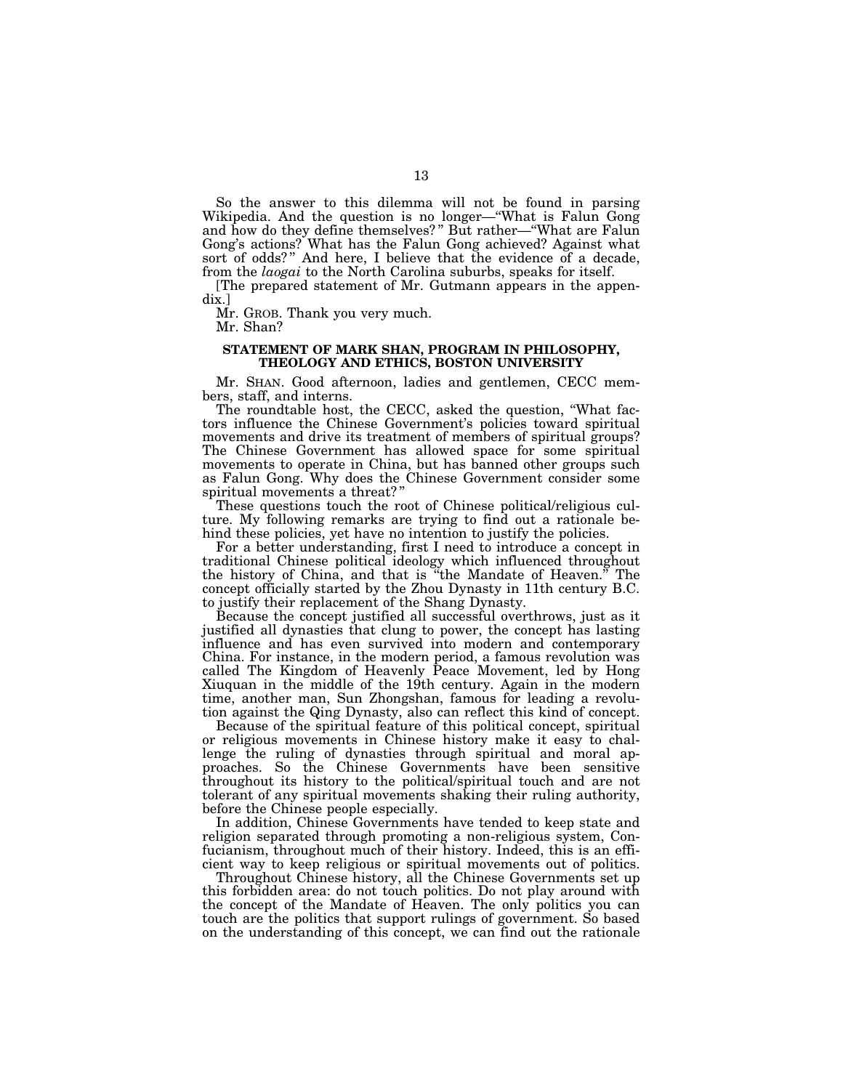So the answer to this dilemma will not be found in parsing Wikipedia. And the question is no longer—''What is Falun Gong and how do they define themselves? '' But rather—''What are Falun Gong's actions? What has the Falun Gong achieved? Against what sort of odds?" And here, I believe that the evidence of a decade, from the *laogai* to the North Carolina suburbs, speaks for itself.

[The prepared statement of Mr. Gutmann appears in the appendix.]

Mr. GROB. Thank you very much.

Mr. Shan?

#### **STATEMENT OF MARK SHAN, PROGRAM IN PHILOSOPHY, THEOLOGY AND ETHICS, BOSTON UNIVERSITY**

Mr. SHAN. Good afternoon, ladies and gentlemen, CECC members, staff, and interns.

The roundtable host, the CECC, asked the question, ''What factors influence the Chinese Government's policies toward spiritual movements and drive its treatment of members of spiritual groups? The Chinese Government has allowed space for some spiritual movements to operate in China, but has banned other groups such as Falun Gong. Why does the Chinese Government consider some spiritual movements a threat? ''

These questions touch the root of Chinese political/religious culture. My following remarks are trying to find out a rationale behind these policies, yet have no intention to justify the policies.

For a better understanding, first I need to introduce a concept in traditional Chinese political ideology which influenced throughout the history of China, and that is ''the Mandate of Heaven.'' The concept officially started by the Zhou Dynasty in 11th century B.C. to justify their replacement of the Shang Dynasty.

Because the concept justified all successful overthrows, just as it justified all dynasties that clung to power, the concept has lasting influence and has even survived into modern and contemporary China. For instance, in the modern period, a famous revolution was called The Kingdom of Heavenly Peace Movement, led by Hong Xiuquan in the middle of the 19th century. Again in the modern time, another man, Sun Zhongshan, famous for leading a revolution against the Qing Dynasty, also can reflect this kind of concept.

Because of the spiritual feature of this political concept, spiritual or religious movements in Chinese history make it easy to challenge the ruling of dynasties through spiritual and moral approaches. So the Chinese Governments have been sensitive throughout its history to the political/spiritual touch and are not tolerant of any spiritual movements shaking their ruling authority, before the Chinese people especially.

In addition, Chinese Governments have tended to keep state and religion separated through promoting a non-religious system, Confucianism, throughout much of their history. Indeed, this is an efficient way to keep religious or spiritual movements out of politics.

Throughout Chinese history, all the Chinese Governments set up this forbidden area: do not touch politics. Do not play around with the concept of the Mandate of Heaven. The only politics you can touch are the politics that support rulings of government. So based on the understanding of this concept, we can find out the rationale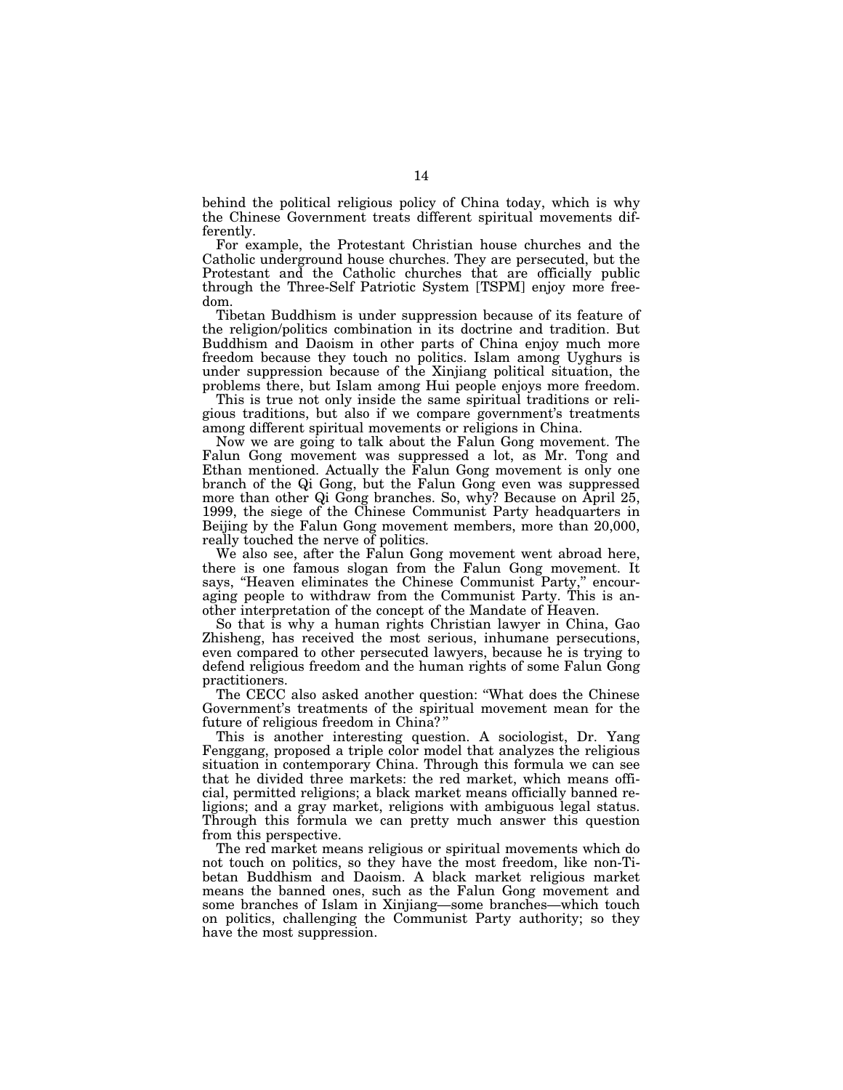behind the political religious policy of China today, which is why the Chinese Government treats different spiritual movements differently.

For example, the Protestant Christian house churches and the Catholic underground house churches. They are persecuted, but the Protestant and the Catholic churches that are officially public through the Three-Self Patriotic System [TSPM] enjoy more freedom.

Tibetan Buddhism is under suppression because of its feature of the religion/politics combination in its doctrine and tradition. But Buddhism and Daoism in other parts of China enjoy much more freedom because they touch no politics. Islam among Uyghurs is under suppression because of the Xinjiang political situation, the problems there, but Islam among Hui people enjoys more freedom.

This is true not only inside the same spiritual traditions or religious traditions, but also if we compare government's treatments among different spiritual movements or religions in China.

Now we are going to talk about the Falun Gong movement. The Falun Gong movement was suppressed a lot, as Mr. Tong and Ethan mentioned. Actually the Falun Gong movement is only one branch of the Qi Gong, but the Falun Gong even was suppressed more than other Qi Gong branches. So, why? Because on April 25, 1999, the siege of the Chinese Communist Party headquarters in Beijing by the Falun Gong movement members, more than 20,000, really touched the nerve of politics.

We also see, after the Falun Gong movement went abroad here, there is one famous slogan from the Falun Gong movement. It says, "Heaven eliminates the Chinese Communist Party," encouraging people to withdraw from the Communist Party. This is another interpretation of the concept of the Mandate of Heaven.

So that is why a human rights Christian lawyer in China, Gao Zhisheng, has received the most serious, inhumane persecutions, even compared to other persecuted lawyers, because he is trying to defend religious freedom and the human rights of some Falun Gong practitioners.

The CECC also asked another question: ''What does the Chinese Government's treatments of the spiritual movement mean for the future of religious freedom in China? ''

This is another interesting question. A sociologist, Dr. Yang Fenggang, proposed a triple color model that analyzes the religious situation in contemporary China. Through this formula we can see that he divided three markets: the red market, which means official, permitted religions; a black market means officially banned religions; and a gray market, religions with ambiguous legal status. Through this formula we can pretty much answer this question from this perspective.

The red market means religious or spiritual movements which do not touch on politics, so they have the most freedom, like non-Tibetan Buddhism and Daoism. A black market religious market means the banned ones, such as the Falun Gong movement and some branches of Islam in Xinjiang—some branches—which touch on politics, challenging the Communist Party authority; so they have the most suppression.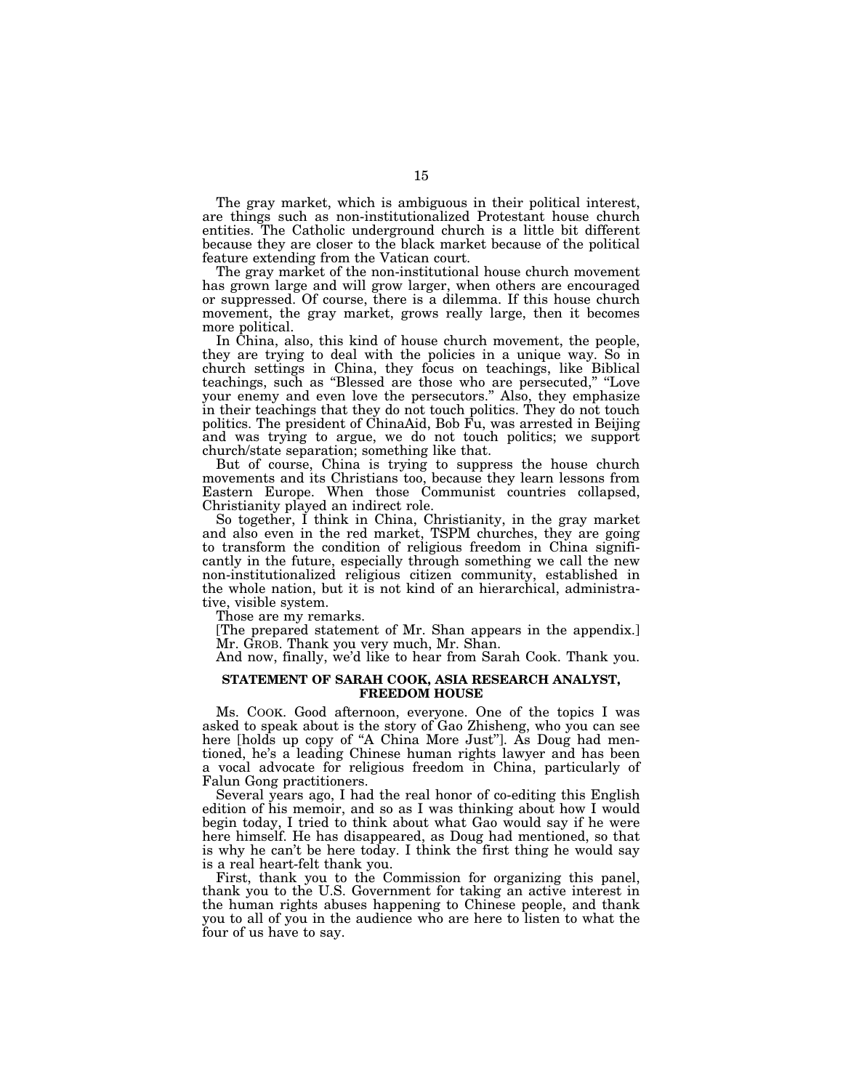The gray market, which is ambiguous in their political interest, are things such as non-institutionalized Protestant house church entities. The Catholic underground church is a little bit different because they are closer to the black market because of the political feature extending from the Vatican court.

The gray market of the non-institutional house church movement has grown large and will grow larger, when others are encouraged or suppressed. Of course, there is a dilemma. If this house church movement, the gray market, grows really large, then it becomes more political.

In China, also, this kind of house church movement, the people, they are trying to deal with the policies in a unique way. So in church settings in China, they focus on teachings, like Biblical teachings, such as ''Blessed are those who are persecuted,'' ''Love your enemy and even love the persecutors.'' Also, they emphasize in their teachings that they do not touch politics. They do not touch politics. The president of ChinaAid, Bob Fu, was arrested in Beijing and was trying to argue, we do not touch politics; we support church/state separation; something like that.

But of course, China is trying to suppress the house church movements and its Christians too, because they learn lessons from Eastern Europe. When those Communist countries collapsed, Christianity played an indirect role.

So together, I think in China, Christianity, in the gray market and also even in the red market, TSPM churches, they are going to transform the condition of religious freedom in China significantly in the future, especially through something we call the new non-institutionalized religious citizen community, established in the whole nation, but it is not kind of an hierarchical, administrative, visible system.

Those are my remarks.

[The prepared statement of Mr. Shan appears in the appendix.] Mr. GROB. Thank you very much, Mr. Shan.

And now, finally, we'd like to hear from Sarah Cook. Thank you.

#### **STATEMENT OF SARAH COOK, ASIA RESEARCH ANALYST, FREEDOM HOUSE**

Ms. COOK. Good afternoon, everyone. One of the topics I was asked to speak about is the story of Gao Zhisheng, who you can see here [holds up copy of ''A China More Just'']. As Doug had mentioned, he's a leading Chinese human rights lawyer and has been a vocal advocate for religious freedom in China, particularly of Falun Gong practitioners.

Several years ago, I had the real honor of co-editing this English edition of his memoir, and so as I was thinking about how I would begin today, I tried to think about what Gao would say if he were here himself. He has disappeared, as Doug had mentioned, so that is why he can't be here today. I think the first thing he would say is a real heart-felt thank you.

First, thank you to the Commission for organizing this panel, thank you to the U.S. Government for taking an active interest in the human rights abuses happening to Chinese people, and thank you to all of you in the audience who are here to listen to what the four of us have to say.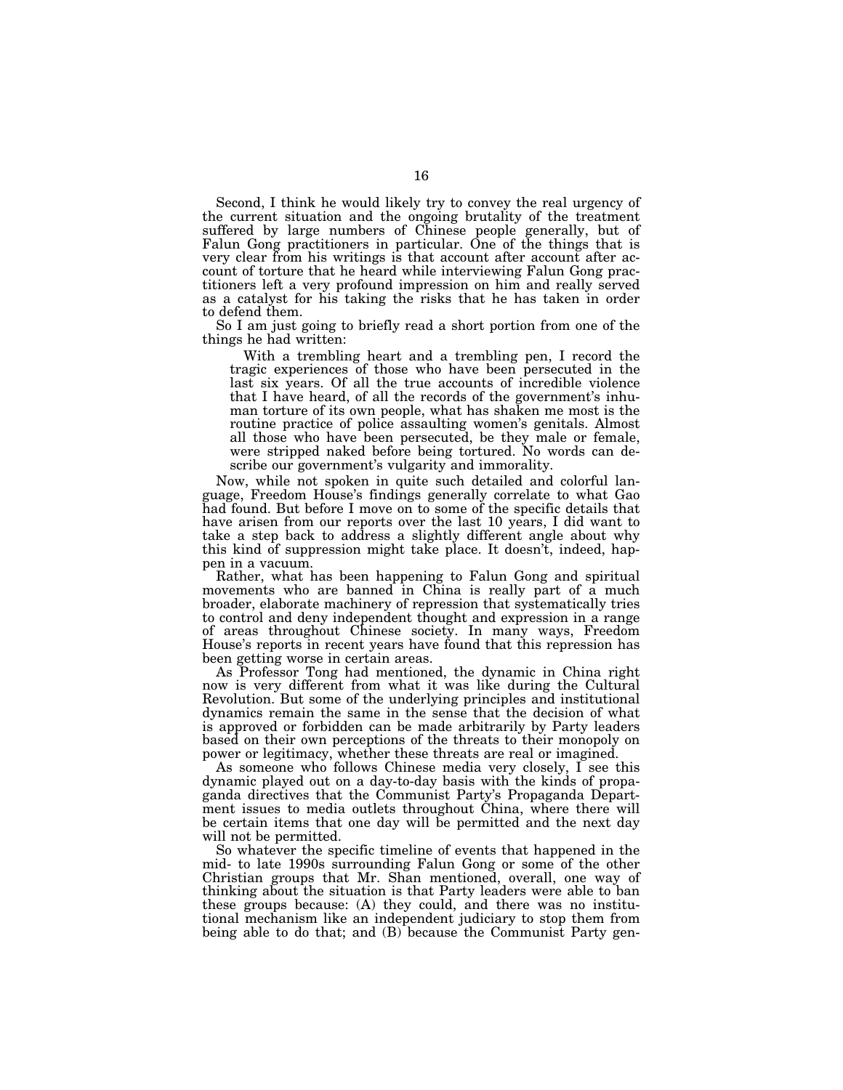Second, I think he would likely try to convey the real urgency of the current situation and the ongoing brutality of the treatment suffered by large numbers of Chinese people generally, but of Falun Gong practitioners in particular. One of the things that is very clear from his writings is that account after account after account of torture that he heard while interviewing Falun Gong practitioners left a very profound impression on him and really served as a catalyst for his taking the risks that he has taken in order to defend them.

So I am just going to briefly read a short portion from one of the things he had written:

With a trembling heart and a trembling pen, I record the tragic experiences of those who have been persecuted in the last six years. Of all the true accounts of incredible violence that I have heard, of all the records of the government's inhuman torture of its own people, what has shaken me most is the routine practice of police assaulting women's genitals. Almost all those who have been persecuted, be they male or female, were stripped naked before being tortured. No words can describe our government's vulgarity and immorality.

Now, while not spoken in quite such detailed and colorful language, Freedom House's findings generally correlate to what Gao had found. But before I move on to some of the specific details that have arisen from our reports over the last 10 years, I did want to take a step back to address a slightly different angle about why this kind of suppression might take place. It doesn't, indeed, happen in a vacuum.

Rather, what has been happening to Falun Gong and spiritual movements who are banned in China is really part of a much broader, elaborate machinery of repression that systematically tries to control and deny independent thought and expression in a range of areas throughout Chinese society. In many ways, Freedom House's reports in recent years have found that this repression has been getting worse in certain areas.

As Professor Tong had mentioned, the dynamic in China right now is very different from what it was like during the Cultural Revolution. But some of the underlying principles and institutional dynamics remain the same in the sense that the decision of what is approved or forbidden can be made arbitrarily by Party leaders based on their own perceptions of the threats to their monopoly on power or legitimacy, whether these threats are real or imagined.

As someone who follows Chinese media very closely, I see this dynamic played out on a day-to-day basis with the kinds of propaganda directives that the Communist Party's Propaganda Department issues to media outlets throughout China, where there will be certain items that one day will be permitted and the next day will not be permitted.

So whatever the specific timeline of events that happened in the mid- to late 1990s surrounding Falun Gong or some of the other Christian groups that Mr. Shan mentioned, overall, one way of thinking about the situation is that Party leaders were able to ban these groups because: (A) they could, and there was no institutional mechanism like an independent judiciary to stop them from being able to do that; and (B) because the Communist Party gen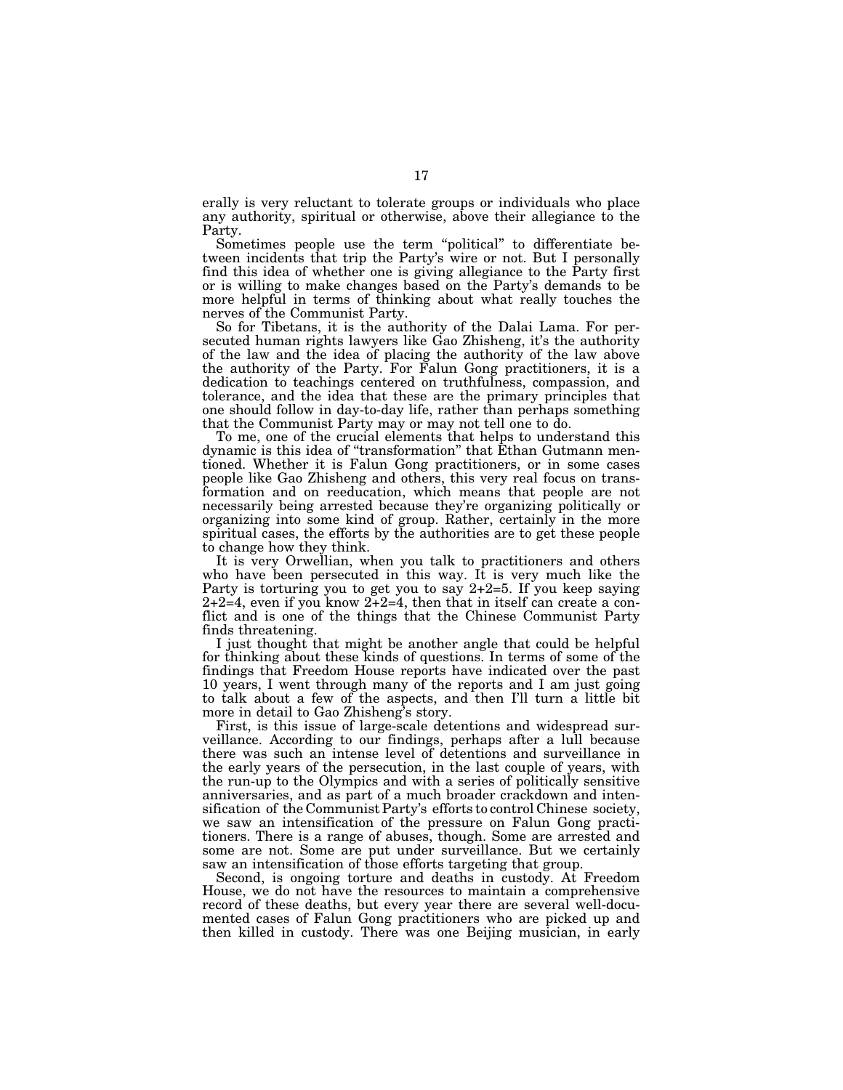erally is very reluctant to tolerate groups or individuals who place any authority, spiritual or otherwise, above their allegiance to the Party.

Sometimes people use the term ''political'' to differentiate between incidents that trip the Party's wire or not. But I personally find this idea of whether one is giving allegiance to the Party first or is willing to make changes based on the Party's demands to be more helpful in terms of thinking about what really touches the nerves of the Communist Party.

So for Tibetans, it is the authority of the Dalai Lama. For persecuted human rights lawyers like Gao Zhisheng, it's the authority of the law and the idea of placing the authority of the law above the authority of the Party. For Falun Gong practitioners, it is a dedication to teachings centered on truthfulness, compassion, and tolerance, and the idea that these are the primary principles that one should follow in day-to-day life, rather than perhaps something that the Communist Party may or may not tell one to do.

To me, one of the crucial elements that helps to understand this dynamic is this idea of ''transformation'' that Ethan Gutmann mentioned. Whether it is Falun Gong practitioners, or in some cases people like Gao Zhisheng and others, this very real focus on transformation and on reeducation, which means that people are not necessarily being arrested because they're organizing politically or organizing into some kind of group. Rather, certainly in the more spiritual cases, the efforts by the authorities are to get these people to change how they think.

It is very Orwellian, when you talk to practitioners and others who have been persecuted in this way. It is very much like the Party is torturing you to get you to say 2+2=5. If you keep saying 2+2=4, even if you know 2+2=4, then that in itself can create a conflict and is one of the things that the Chinese Communist Party finds threatening.

I just thought that might be another angle that could be helpful for thinking about these kinds of questions. In terms of some of the findings that Freedom House reports have indicated over the past 10 years, I went through many of the reports and I am just going to talk about a few of the aspects, and then I'll turn a little bit more in detail to Gao Zhisheng's story.

First, is this issue of large-scale detentions and widespread surveillance. According to our findings, perhaps after a lull because there was such an intense level of detentions and surveillance in the early years of the persecution, in the last couple of years, with the run-up to the Olympics and with a series of politically sensitive anniversaries, and as part of a much broader crackdown and intensification of the Communist Party's efforts to control Chinese society, we saw an intensification of the pressure on Falun Gong practitioners. There is a range of abuses, though. Some are arrested and some are not. Some are put under surveillance. But we certainly saw an intensification of those efforts targeting that group.

Second, is ongoing torture and deaths in custody. At Freedom House, we do not have the resources to maintain a comprehensive record of these deaths, but every year there are several well-documented cases of Falun Gong practitioners who are picked up and then killed in custody. There was one Beijing musician, in early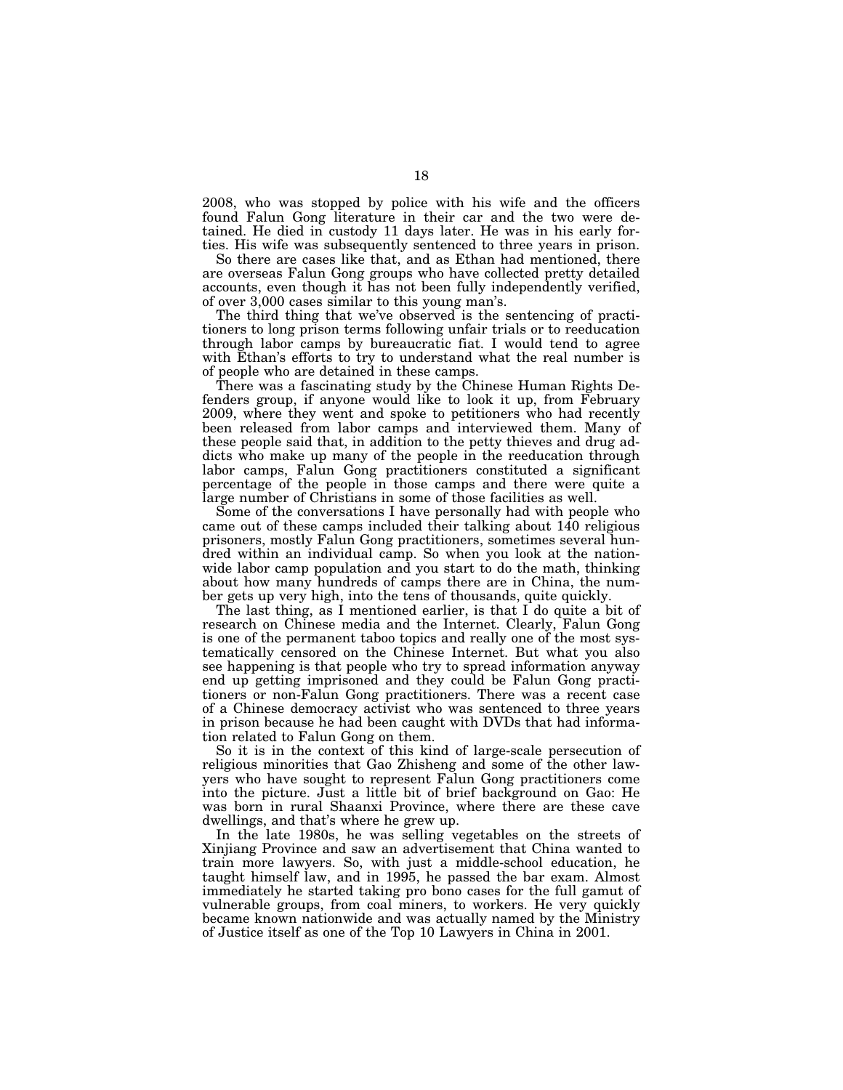2008, who was stopped by police with his wife and the officers found Falun Gong literature in their car and the two were detained. He died in custody 11 days later. He was in his early forties. His wife was subsequently sentenced to three years in prison.

So there are cases like that, and as Ethan had mentioned, there are overseas Falun Gong groups who have collected pretty detailed accounts, even though it has not been fully independently verified, of over 3,000 cases similar to this young man's.

The third thing that we've observed is the sentencing of practitioners to long prison terms following unfair trials or to reeducation through labor camps by bureaucratic fiat. I would tend to agree with Ethan's efforts to try to understand what the real number is of people who are detained in these camps.

There was a fascinating study by the Chinese Human Rights Defenders group, if anyone would like to look it up, from February 2009, where they went and spoke to petitioners who had recently been released from labor camps and interviewed them. Many of these people said that, in addition to the petty thieves and drug addicts who make up many of the people in the reeducation through labor camps, Falun Gong practitioners constituted a significant percentage of the people in those camps and there were quite a large number of Christians in some of those facilities as well.

Some of the conversations I have personally had with people who came out of these camps included their talking about 140 religious prisoners, mostly Falun Gong practitioners, sometimes several hundred within an individual camp. So when you look at the nationwide labor camp population and you start to do the math, thinking about how many hundreds of camps there are in China, the number gets up very high, into the tens of thousands, quite quickly.

The last thing, as I mentioned earlier, is that I do quite a bit of research on Chinese media and the Internet. Clearly, Falun Gong is one of the permanent taboo topics and really one of the most systematically censored on the Chinese Internet. But what you also see happening is that people who try to spread information anyway end up getting imprisoned and they could be Falun Gong practitioners or non-Falun Gong practitioners. There was a recent case of a Chinese democracy activist who was sentenced to three years in prison because he had been caught with DVDs that had information related to Falun Gong on them.

So it is in the context of this kind of large-scale persecution of religious minorities that Gao Zhisheng and some of the other lawyers who have sought to represent Falun Gong practitioners come into the picture. Just a little bit of brief background on Gao: He was born in rural Shaanxi Province, where there are these cave dwellings, and that's where he grew up.

In the late 1980s, he was selling vegetables on the streets of Xinjiang Province and saw an advertisement that China wanted to train more lawyers. So, with just a middle-school education, he taught himself law, and in 1995, he passed the bar exam. Almost immediately he started taking pro bono cases for the full gamut of vulnerable groups, from coal miners, to workers. He very quickly became known nationwide and was actually named by the Ministry of Justice itself as one of the Top 10 Lawyers in China in 2001.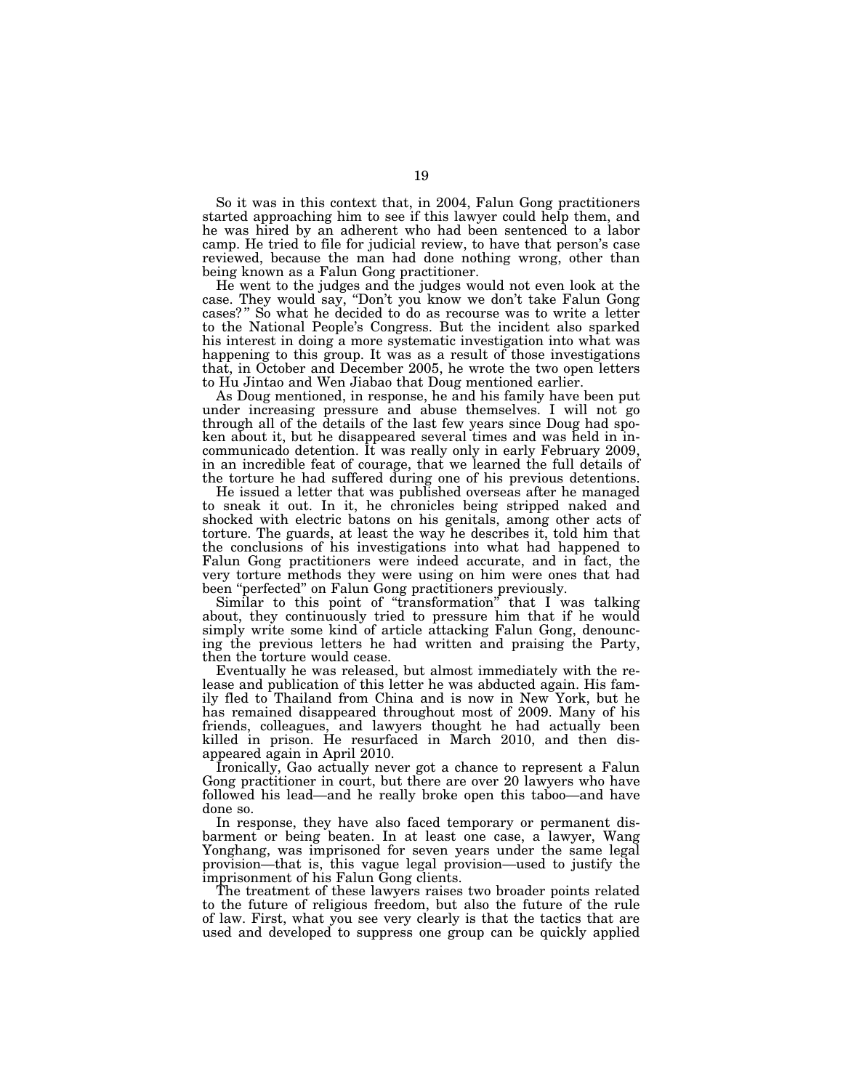So it was in this context that, in 2004, Falun Gong practitioners started approaching him to see if this lawyer could help them, and he was hired by an adherent who had been sentenced to a labor camp. He tried to file for judicial review, to have that person's case reviewed, because the man had done nothing wrong, other than being known as a Falun Gong practitioner.

He went to the judges and the judges would not even look at the case. They would say, ''Don't you know we don't take Falun Gong cases?" So what he decided to do as recourse was to write a letter to the National People's Congress. But the incident also sparked his interest in doing a more systematic investigation into what was happening to this group. It was as a result of those investigations that, in October and December 2005, he wrote the two open letters to Hu Jintao and Wen Jiabao that Doug mentioned earlier.

As Doug mentioned, in response, he and his family have been put under increasing pressure and abuse themselves. I will not go through all of the details of the last few years since Doug had spoken about it, but he disappeared several times and was held in incommunicado detention. It was really only in early February 2009, in an incredible feat of courage, that we learned the full details of the torture he had suffered during one of his previous detentions.

He issued a letter that was published overseas after he managed to sneak it out. In it, he chronicles being stripped naked and shocked with electric batons on his genitals, among other acts of torture. The guards, at least the way he describes it, told him that the conclusions of his investigations into what had happened to Falun Gong practitioners were indeed accurate, and in fact, the very torture methods they were using on him were ones that had been ''perfected'' on Falun Gong practitioners previously.

Similar to this point of ''transformation'' that I was talking about, they continuously tried to pressure him that if he would simply write some kind of article attacking Falun Gong, denouncing the previous letters he had written and praising the Party, then the torture would cease.

Eventually he was released, but almost immediately with the release and publication of this letter he was abducted again. His family fled to Thailand from China and is now in New York, but he has remained disappeared throughout most of 2009. Many of his friends, colleagues, and lawyers thought he had actually been killed in prison. He resurfaced in March 2010, and then disappeared again in April 2010.

Ironically, Gao actually never got a chance to represent a Falun Gong practitioner in court, but there are over 20 lawyers who have followed his lead—and he really broke open this taboo—and have done so.

In response, they have also faced temporary or permanent disbarment or being beaten. In at least one case, a lawyer, Wang Yonghang, was imprisoned for seven years under the same legal provision—that is, this vague legal provision—used to justify the imprisonment of his Falun Gong clients.

The treatment of these lawyers raises two broader points related to the future of religious freedom, but also the future of the rule of law. First, what you see very clearly is that the tactics that are used and developed to suppress one group can be quickly applied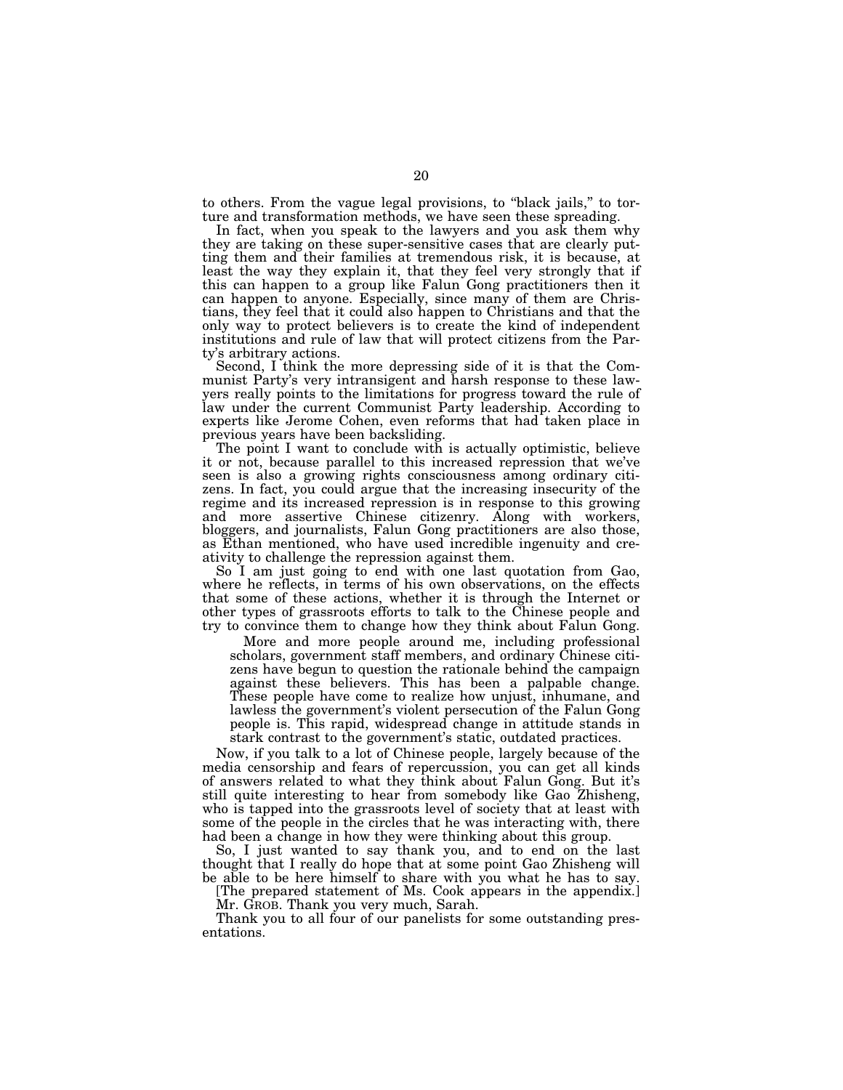to others. From the vague legal provisions, to ''black jails,'' to torture and transformation methods, we have seen these spreading.

In fact, when you speak to the lawyers and you ask them why they are taking on these super-sensitive cases that are clearly putting them and their families at tremendous risk, it is because, at least the way they explain it, that they feel very strongly that if this can happen to a group like Falun Gong practitioners then it can happen to anyone. Especially, since many of them are Christians, they feel that it could also happen to Christians and that the only way to protect believers is to create the kind of independent institutions and rule of law that will protect citizens from the Party's arbitrary actions.

Second, I think the more depressing side of it is that the Communist Party's very intransigent and harsh response to these lawyers really points to the limitations for progress toward the rule of law under the current Communist Party leadership. According to experts like Jerome Cohen, even reforms that had taken place in previous years have been backsliding.

The point I want to conclude with is actually optimistic, believe it or not, because parallel to this increased repression that we've seen is also a growing rights consciousness among ordinary citizens. In fact, you could argue that the increasing insecurity of the regime and its increased repression is in response to this growing and more assertive Chinese citizenry. Along with workers, bloggers, and journalists, Falun Gong practitioners are also those, as Ethan mentioned, who have used incredible ingenuity and creativity to challenge the repression against them.

So I am just going to end with one last quotation from Gao, where he reflects, in terms of his own observations, on the effects that some of these actions, whether it is through the Internet or other types of grassroots efforts to talk to the Chinese people and try to convince them to change how they think about Falun Gong.

More and more people around me, including professional scholars, government staff members, and ordinary Chinese citizens have begun to question the rationale behind the campaign against these believers. This has been a palpable change. These people have come to realize how unjust, inhumane, and lawless the government's violent persecution of the Falun Gong people is. This rapid, widespread change in attitude stands in stark contrast to the government's static, outdated practices.

Now, if you talk to a lot of Chinese people, largely because of the media censorship and fears of repercussion, you can get all kinds of answers related to what they think about Falun Gong. But it's still quite interesting to hear from somebody like Gao Zhisheng, who is tapped into the grassroots level of society that at least with some of the people in the circles that he was interacting with, there had been a change in how they were thinking about this group.

So, I just wanted to say thank you, and to end on the last thought that I really do hope that at some point Gao Zhisheng will be able to be here himself to share with you what he has to say.

[The prepared statement of Ms. Cook appears in the appendix.] Mr. GROB. Thank you very much, Sarah.

Thank you to all four of our panelists for some outstanding presentations.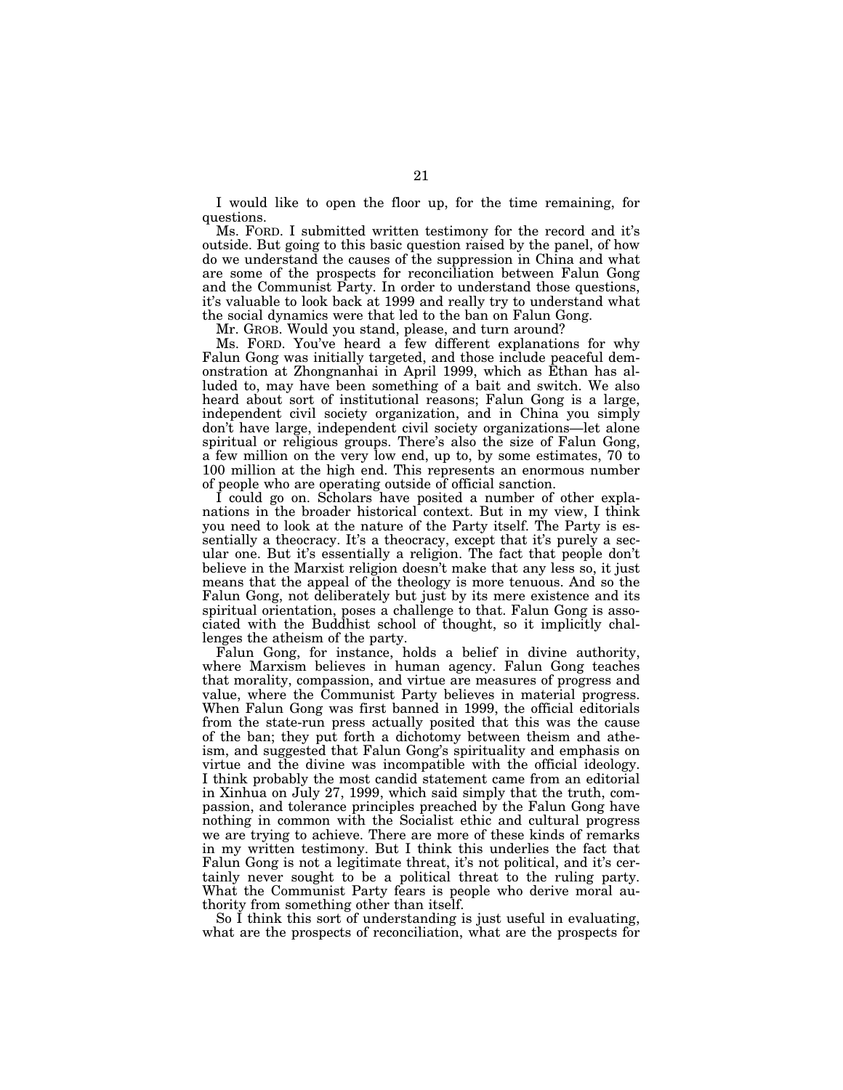I would like to open the floor up, for the time remaining, for questions.

Ms. FORD. I submitted written testimony for the record and it's outside. But going to this basic question raised by the panel, of how do we understand the causes of the suppression in China and what are some of the prospects for reconciliation between Falun Gong and the Communist Party. In order to understand those questions, it's valuable to look back at 1999 and really try to understand what the social dynamics were that led to the ban on Falun Gong.

Mr. GROB. Would you stand, please, and turn around?

Ms. FORD. You've heard a few different explanations for why Falun Gong was initially targeted, and those include peaceful demonstration at Zhongnanhai in April 1999, which as Ethan has alluded to, may have been something of a bait and switch. We also heard about sort of institutional reasons; Falun Gong is a large, independent civil society organization, and in China you simply don't have large, independent civil society organizations—let alone spiritual or religious groups. There's also the size of Falun Gong, a few million on the very low end, up to, by some estimates, 70 to 100 million at the high end. This represents an enormous number of people who are operating outside of official sanction.

I could go on. Scholars have posited a number of other explanations in the broader historical context. But in my view, I think you need to look at the nature of the Party itself. The Party is essentially a theocracy. It's a theocracy, except that it's purely a secular one. But it's essentially a religion. The fact that people don't believe in the Marxist religion doesn't make that any less so, it just means that the appeal of the theology is more tenuous. And so the Falun Gong, not deliberately but just by its mere existence and its spiritual orientation, poses a challenge to that. Falun Gong is associated with the Buddhist school of thought, so it implicitly challenges the atheism of the party.

Falun Gong, for instance, holds a belief in divine authority, where Marxism believes in human agency. Falun Gong teaches that morality, compassion, and virtue are measures of progress and value, where the Communist Party believes in material progress. When Falun Gong was first banned in 1999, the official editorials from the state-run press actually posited that this was the cause of the ban; they put forth a dichotomy between theism and atheism, and suggested that Falun Gong's spirituality and emphasis on virtue and the divine was incompatible with the official ideology. I think probably the most candid statement came from an editorial in Xinhua on July 27, 1999, which said simply that the truth, compassion, and tolerance principles preached by the Falun Gong have nothing in common with the Socialist ethic and cultural progress we are trying to achieve. There are more of these kinds of remarks in my written testimony. But I think this underlies the fact that Falun Gong is not a legitimate threat, it's not political, and it's certainly never sought to be a political threat to the ruling party. What the Communist Party fears is people who derive moral authority from something other than itself.

So I think this sort of understanding is just useful in evaluating, what are the prospects of reconciliation, what are the prospects for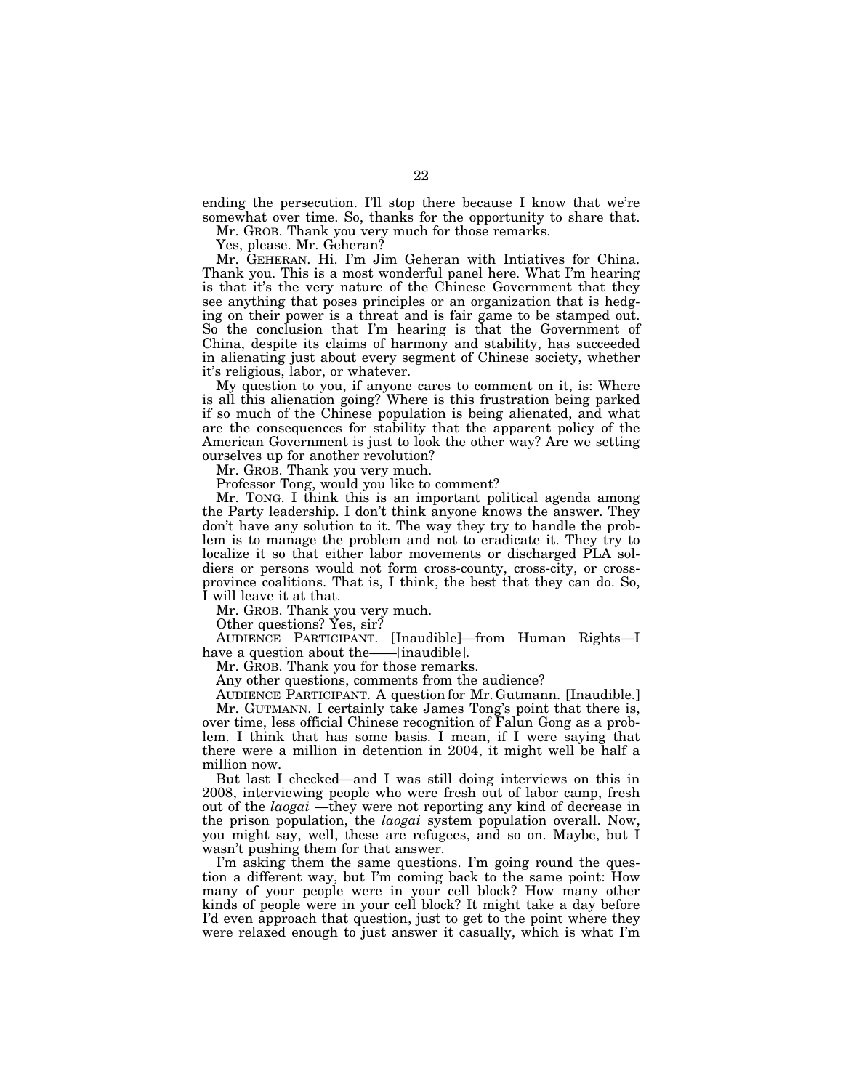ending the persecution. I'll stop there because I know that we're somewhat over time. So, thanks for the opportunity to share that.

Mr. GROB. Thank you very much for those remarks.

Yes, please. Mr. Geheran?

Mr. GEHERAN. Hi. I'm Jim Geheran with Intiatives for China. Thank you. This is a most wonderful panel here. What I'm hearing is that it's the very nature of the Chinese Government that they see anything that poses principles or an organization that is hedging on their power is a threat and is fair game to be stamped out. So the conclusion that I'm hearing is that the Government of China, despite its claims of harmony and stability, has succeeded in alienating just about every segment of Chinese society, whether it's religious, labor, or whatever.

My question to you, if anyone cares to comment on it, is: Where is all this alienation going? Where is this frustration being parked if so much of the Chinese population is being alienated, and what are the consequences for stability that the apparent policy of the American Government is just to look the other way? Are we setting ourselves up for another revolution?

Mr. GROB. Thank you very much.

Professor Tong, would you like to comment?

Mr. TONG. I think this is an important political agenda among the Party leadership. I don't think anyone knows the answer. They don't have any solution to it. The way they try to handle the problem is to manage the problem and not to eradicate it. They try to localize it so that either labor movements or discharged PLA soldiers or persons would not form cross-county, cross-city, or crossprovince coalitions. That is, I think, the best that they can do. So, I will leave it at that.

Mr. GROB. Thank you very much.

Other questions? Yes, sir?

AUDIENCE PARTICIPANT. [Inaudible]—from Human Rights—I have a question about the——[inaudible].

Mr. GROB. Thank you for those remarks.

Any other questions, comments from the audience?

AUDIENCE PARTICIPANT. A question for Mr. Gutmann. [Inaudible.] Mr. GUTMANN. I certainly take James Tong's point that there is, over time, less official Chinese recognition of Falun Gong as a problem. I think that has some basis. I mean, if I were saying that there were a million in detention in 2004, it might well be half a million now.

But last I checked—and I was still doing interviews on this in 2008, interviewing people who were fresh out of labor camp, fresh out of the *laogai* —they were not reporting any kind of decrease in the prison population, the *laogai* system population overall. Now, you might say, well, these are refugees, and so on. Maybe, but I wasn't pushing them for that answer.

I'm asking them the same questions. I'm going round the question a different way, but I'm coming back to the same point: How many of your people were in your cell block? How many other kinds of people were in your cell block? It might take a day before I'd even approach that question, just to get to the point where they were relaxed enough to just answer it casually, which is what I'm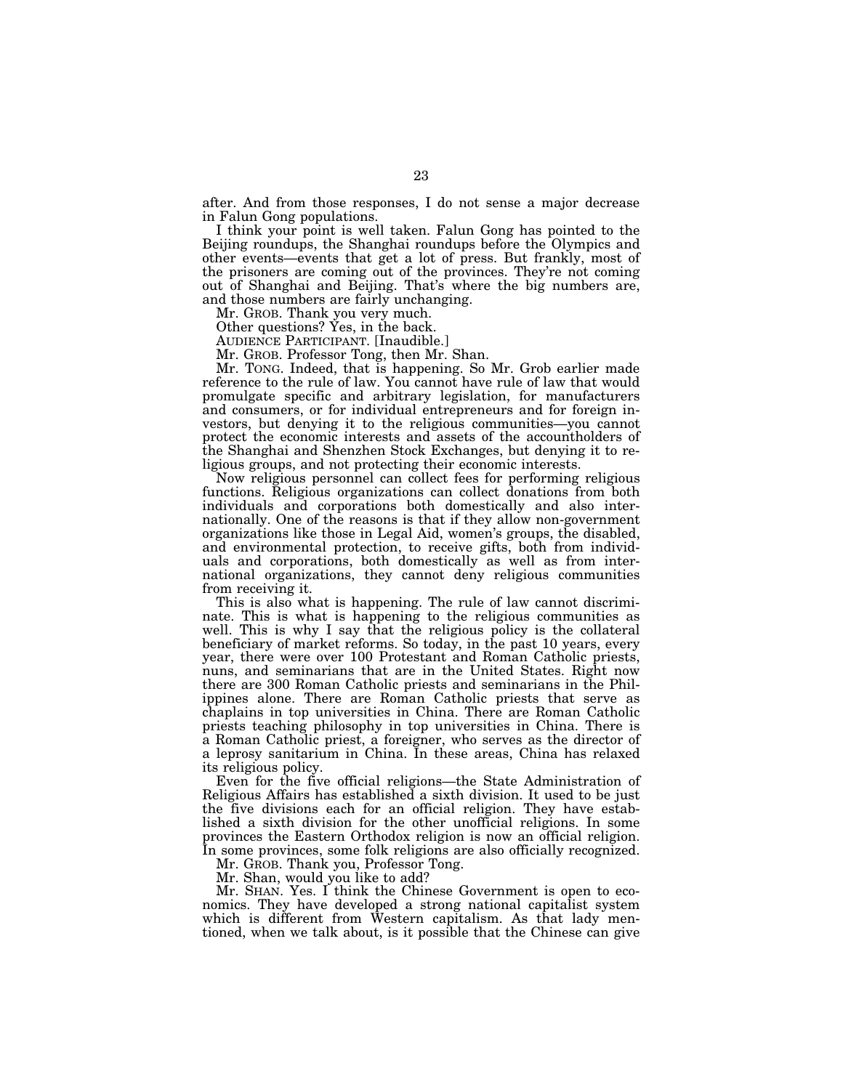after. And from those responses, I do not sense a major decrease in Falun Gong populations.

I think your point is well taken. Falun Gong has pointed to the Beijing roundups, the Shanghai roundups before the Olympics and other events—events that get a lot of press. But frankly, most of the prisoners are coming out of the provinces. They're not coming out of Shanghai and Beijing. That's where the big numbers are, and those numbers are fairly unchanging.

Mr. GROB. Thank you very much.

Other questions? Yes, in the back.

AUDIENCE PARTICIPANT. [Inaudible.]

Mr. GROB. Professor Tong, then Mr. Shan.

Mr. TONG. Indeed, that is happening. So Mr. Grob earlier made reference to the rule of law. You cannot have rule of law that would promulgate specific and arbitrary legislation, for manufacturers and consumers, or for individual entrepreneurs and for foreign investors, but denying it to the religious communities—you cannot protect the economic interests and assets of the accountholders of the Shanghai and Shenzhen Stock Exchanges, but denying it to religious groups, and not protecting their economic interests.

Now religious personnel can collect fees for performing religious functions. Religious organizations can collect donations from both individuals and corporations both domestically and also internationally. One of the reasons is that if they allow non-government organizations like those in Legal Aid, women's groups, the disabled, and environmental protection, to receive gifts, both from individuals and corporations, both domestically as well as from international organizations, they cannot deny religious communities from receiving it.

This is also what is happening. The rule of law cannot discriminate. This is what is happening to the religious communities as well. This is why I say that the religious policy is the collateral beneficiary of market reforms. So today, in the past 10 years, every year, there were over 100 Protestant and Roman Catholic priests, nuns, and seminarians that are in the United States. Right now there are 300 Roman Catholic priests and seminarians in the Philippines alone. There are Roman Catholic priests that serve as chaplains in top universities in China. There are Roman Catholic priests teaching philosophy in top universities in China. There is a Roman Catholic priest, a foreigner, who serves as the director of a leprosy sanitarium in China. In these areas, China has relaxed its religious policy.

Even for the five official religions—the State Administration of Religious Affairs has established a sixth division. It used to be just the five divisions each for an official religion. They have established a sixth division for the other unofficial religions. In some provinces the Eastern Orthodox religion is now an official religion. In some provinces, some folk religions are also officially recognized.

Mr. GROB. Thank you, Professor Tong.

Mr. Shan, would you like to add?

Mr. SHAN. Yes. I think the Chinese Government is open to economics. They have developed a strong national capitalist system which is different from Western capitalism. As that lady mentioned, when we talk about, is it possible that the Chinese can give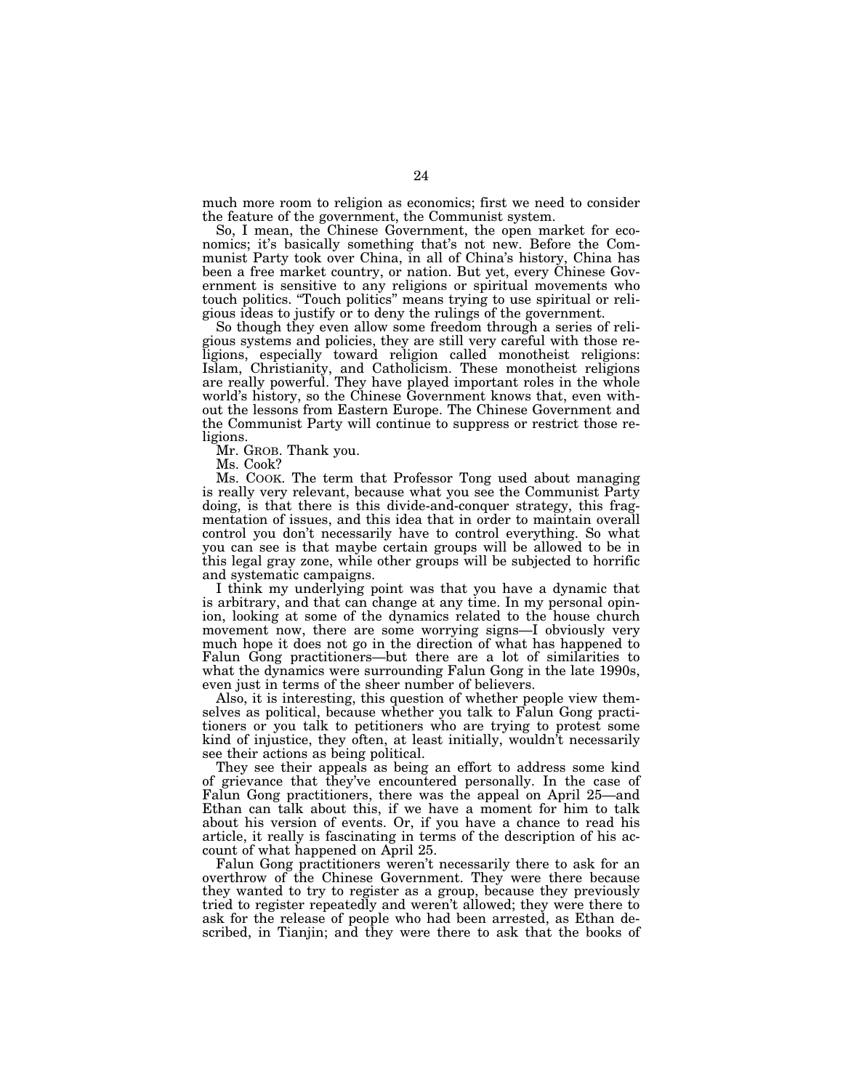much more room to religion as economics; first we need to consider the feature of the government, the Communist system.

So, I mean, the Chinese Government, the open market for economics; it's basically something that's not new. Before the Communist Party took over China, in all of China's history, China has been a free market country, or nation. But yet, every Chinese Government is sensitive to any religions or spiritual movements who touch politics. ''Touch politics'' means trying to use spiritual or religious ideas to justify or to deny the rulings of the government.

So though they even allow some freedom through a series of religious systems and policies, they are still very careful with those religions, especially toward religion called monotheist religions: Islam, Christianity, and Catholicism. These monotheist religions are really powerful. They have played important roles in the whole world's history, so the Chinese Government knows that, even without the lessons from Eastern Europe. The Chinese Government and the Communist Party will continue to suppress or restrict those religions.

Mr. GROB. Thank you.

Ms. Cook?

Ms. COOK. The term that Professor Tong used about managing is really very relevant, because what you see the Communist Party doing, is that there is this divide-and-conquer strategy, this fragmentation of issues, and this idea that in order to maintain overall control you don't necessarily have to control everything. So what you can see is that maybe certain groups will be allowed to be in this legal gray zone, while other groups will be subjected to horrific and systematic campaigns.

I think my underlying point was that you have a dynamic that is arbitrary, and that can change at any time. In my personal opinion, looking at some of the dynamics related to the house church movement now, there are some worrying signs—I obviously very much hope it does not go in the direction of what has happened to Falun Gong practitioners—but there are a lot of similarities to what the dynamics were surrounding Falun Gong in the late 1990s, even just in terms of the sheer number of believers.

Also, it is interesting, this question of whether people view themselves as political, because whether you talk to Falun Gong practitioners or you talk to petitioners who are trying to protest some kind of injustice, they often, at least initially, wouldn't necessarily see their actions as being political.

They see their appeals as being an effort to address some kind of grievance that they've encountered personally. In the case of Falun Gong practitioners, there was the appeal on April 25—and Ethan can talk about this, if we have a moment for him to talk about his version of events. Or, if you have a chance to read his article, it really is fascinating in terms of the description of his account of what happened on April 25.

Falun Gong practitioners weren't necessarily there to ask for an overthrow of the Chinese Government. They were there because they wanted to try to register as a group, because they previously tried to register repeatedly and weren't allowed; they were there to ask for the release of people who had been arrested, as Ethan described, in Tianjin; and they were there to ask that the books of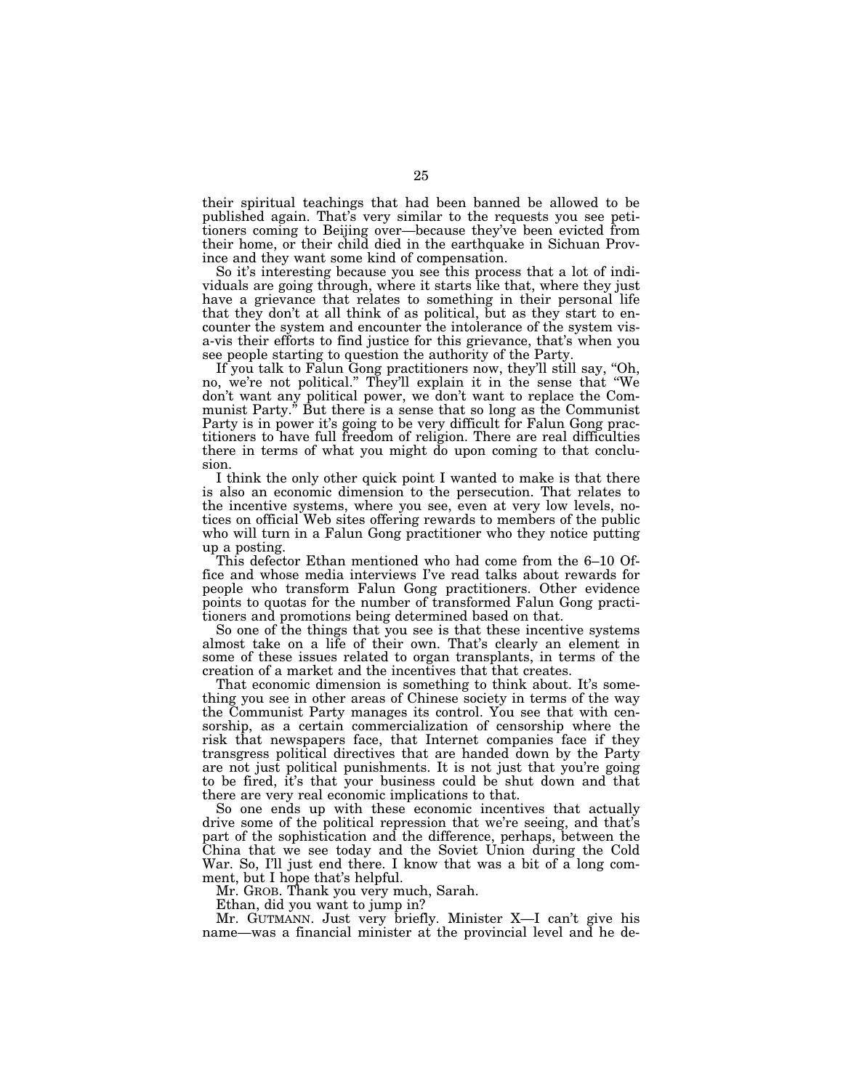their spiritual teachings that had been banned be allowed to be published again. That's very similar to the requests you see petitioners coming to Beijing over—because they've been evicted from their home, or their child died in the earthquake in Sichuan Province and they want some kind of compensation.

So it's interesting because you see this process that a lot of individuals are going through, where it starts like that, where they just have a grievance that relates to something in their personal life that they don't at all think of as political, but as they start to encounter the system and encounter the intolerance of the system visa-vis their efforts to find justice for this grievance, that's when you see people starting to question the authority of the Party.

If you talk to Falun Gong practitioners now, they'll still say, ''Oh, no, we're not political.'' They'll explain it in the sense that ''We don't want any political power, we don't want to replace the Communist Party.'' But there is a sense that so long as the Communist Party is in power it's going to be very difficult for Falun Gong practitioners to have full freedom of religion. There are real difficulties there in terms of what you might do upon coming to that conclusion.

I think the only other quick point I wanted to make is that there is also an economic dimension to the persecution. That relates to the incentive systems, where you see, even at very low levels, notices on official Web sites offering rewards to members of the public who will turn in a Falun Gong practitioner who they notice putting up a posting.

This defector Ethan mentioned who had come from the 6–10 Office and whose media interviews I've read talks about rewards for people who transform Falun Gong practitioners. Other evidence points to quotas for the number of transformed Falun Gong practitioners and promotions being determined based on that.

So one of the things that you see is that these incentive systems almost take on a life of their own. That's clearly an element in some of these issues related to organ transplants, in terms of the creation of a market and the incentives that that creates.

That economic dimension is something to think about. It's something you see in other areas of Chinese society in terms of the way the Communist Party manages its control. You see that with censorship, as a certain commercialization of censorship where the risk that newspapers face, that Internet companies face if they transgress political directives that are handed down by the Party are not just political punishments. It is not just that you're going to be fired, it's that your business could be shut down and that there are very real economic implications to that.

So one ends up with these economic incentives that actually drive some of the political repression that we're seeing, and that's part of the sophistication and the difference, perhaps, between the China that we see today and the Soviet Union during the Cold War. So, I'll just end there. I know that was a bit of a long comment, but I hope that's helpful.

Mr. GROB. Thank you very much, Sarah.

Ethan, did you want to jump in?

Mr. GUTMANN. Just very briefly. Minister X—I can't give his name—was a financial minister at the provincial level and he de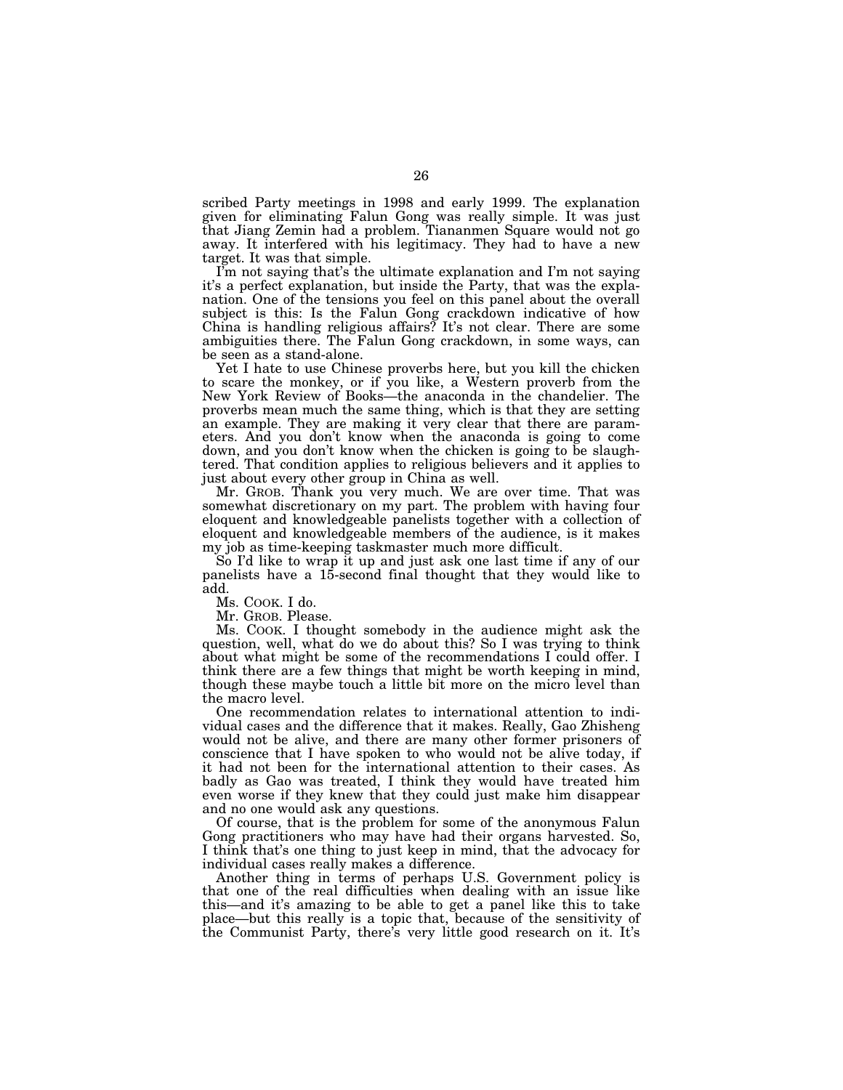scribed Party meetings in 1998 and early 1999. The explanation given for eliminating Falun Gong was really simple. It was just that Jiang Zemin had a problem. Tiananmen Square would not go away. It interfered with his legitimacy. They had to have a new target. It was that simple.

I'm not saying that's the ultimate explanation and I'm not saying it's a perfect explanation, but inside the Party, that was the explanation. One of the tensions you feel on this panel about the overall subject is this: Is the Falun Gong crackdown indicative of how China is handling religious affairs? It's not clear. There are some ambiguities there. The Falun Gong crackdown, in some ways, can be seen as a stand-alone.

Yet I hate to use Chinese proverbs here, but you kill the chicken to scare the monkey, or if you like, a Western proverb from the New York Review of Books—the anaconda in the chandelier. The proverbs mean much the same thing, which is that they are setting an example. They are making it very clear that there are parameters. And you don't know when the anaconda is going to come down, and you don't know when the chicken is going to be slaughtered. That condition applies to religious believers and it applies to just about every other group in China as well.

Mr. GROB. Thank you very much. We are over time. That was somewhat discretionary on my part. The problem with having four eloquent and knowledgeable panelists together with a collection of eloquent and knowledgeable members of the audience, is it makes my job as time-keeping taskmaster much more difficult.

So I'd like to wrap it up and just ask one last time if any of our panelists have a 15-second final thought that they would like to add.

Ms. COOK. I do.

Mr. GROB. Please.

Ms. COOK. I thought somebody in the audience might ask the question, well, what do we do about this? So I was trying to think about what might be some of the recommendations I could offer. I think there are a few things that might be worth keeping in mind, though these maybe touch a little bit more on the micro level than the macro level.

One recommendation relates to international attention to individual cases and the difference that it makes. Really, Gao Zhisheng would not be alive, and there are many other former prisoners of conscience that I have spoken to who would not be alive today, if it had not been for the international attention to their cases. As badly as Gao was treated, I think they would have treated him even worse if they knew that they could just make him disappear and no one would ask any questions.

Of course, that is the problem for some of the anonymous Falun Gong practitioners who may have had their organs harvested. So, I think that's one thing to just keep in mind, that the advocacy for individual cases really makes a difference.

Another thing in terms of perhaps U.S. Government policy is that one of the real difficulties when dealing with an issue like this—and it's amazing to be able to get a panel like this to take place—but this really is a topic that, because of the sensitivity of the Communist Party, there's very little good research on it. It's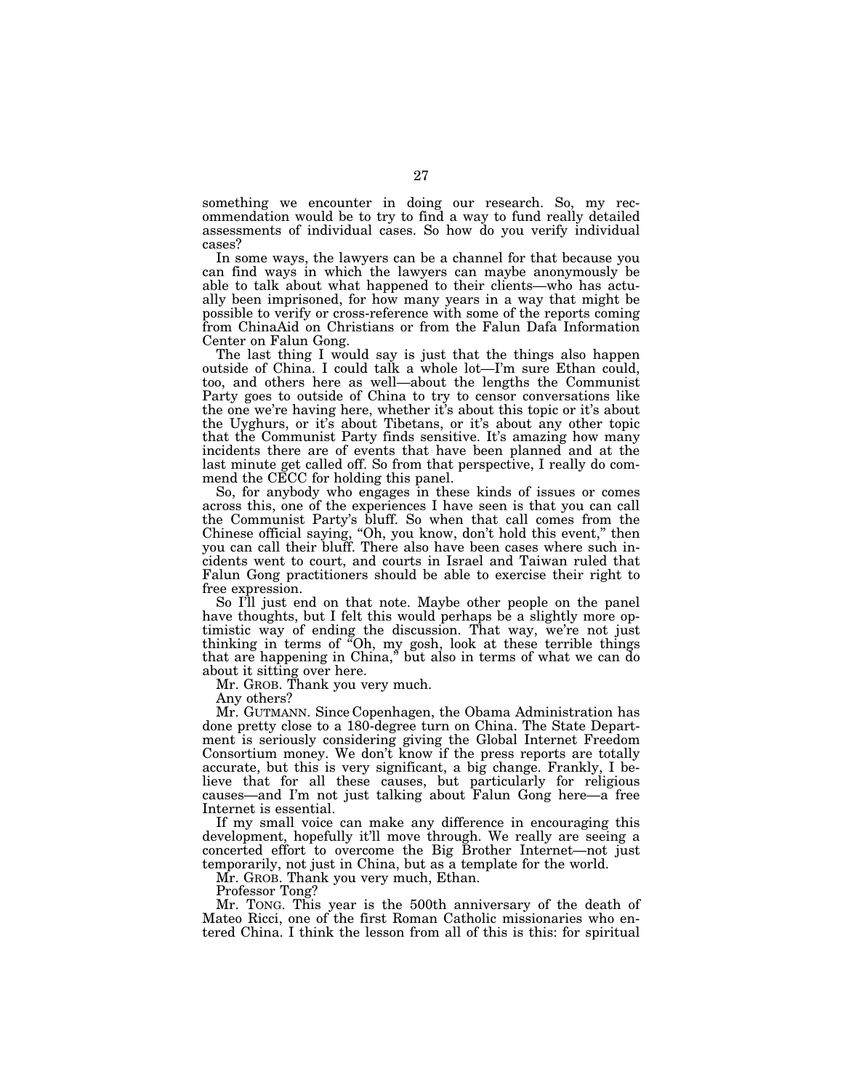something we encounter in doing our research. So, my recommendation would be to try to find a way to fund really detailed assessments of individual cases. So how do you verify individual cases?

In some ways, the lawyers can be a channel for that because you can find ways in which the lawyers can maybe anonymously be able to talk about what happened to their clients—who has actually been imprisoned, for how many years in a way that might be possible to verify or cross-reference with some of the reports coming from ChinaAid on Christians or from the Falun Dafa Information Center on Falun Gong.

The last thing I would say is just that the things also happen outside of China. I could talk a whole lot—I'm sure Ethan could, too, and others here as well—about the lengths the Communist Party goes to outside of China to try to censor conversations like the one we're having here, whether it's about this topic or it's about the Uyghurs, or it's about Tibetans, or it's about any other topic that the Communist Party finds sensitive. It's amazing how many incidents there are of events that have been planned and at the last minute get called off. So from that perspective, I really do commend the CECC for holding this panel.

So, for anybody who engages in these kinds of issues or comes across this, one of the experiences I have seen is that you can call the Communist Party's bluff. So when that call comes from the Chinese official saying, "Oh, you know, don't hold this event," then you can call their bluff. There also have been cases where such incidents went to court, and courts in Israel and Taiwan ruled that Falun Gong practitioners should be able to exercise their right to free expression.

So I'll just end on that note. Maybe other people on the panel have thoughts, but I felt this would perhaps be a slightly more optimistic way of ending the discussion. That way, we're not just thinking in terms of ''Oh, my gosh, look at these terrible things that are happening in China,'' but also in terms of what we can do about it sitting over here.

Mr. GROB. Thank you very much.

Any others?

Mr. GUTMANN. Since Copenhagen, the Obama Administration has done pretty close to a 180-degree turn on China. The State Department is seriously considering giving the Global Internet Freedom Consortium money. We don't know if the press reports are totally accurate, but this is very significant, a big change. Frankly, I believe that for all these causes, but particularly for religious causes—and I'm not just talking about Falun Gong here—a free Internet is essential.

If my small voice can make any difference in encouraging this development, hopefully it'll move through. We really are seeing a concerted effort to overcome the Big Brother Internet—not just temporarily, not just in China, but as a template for the world.

Mr. GROB. Thank you very much, Ethan.

Professor Tong?

Mr. TONG. This year is the 500th anniversary of the death of Mateo Ricci, one of the first Roman Catholic missionaries who entered China. I think the lesson from all of this is this: for spiritual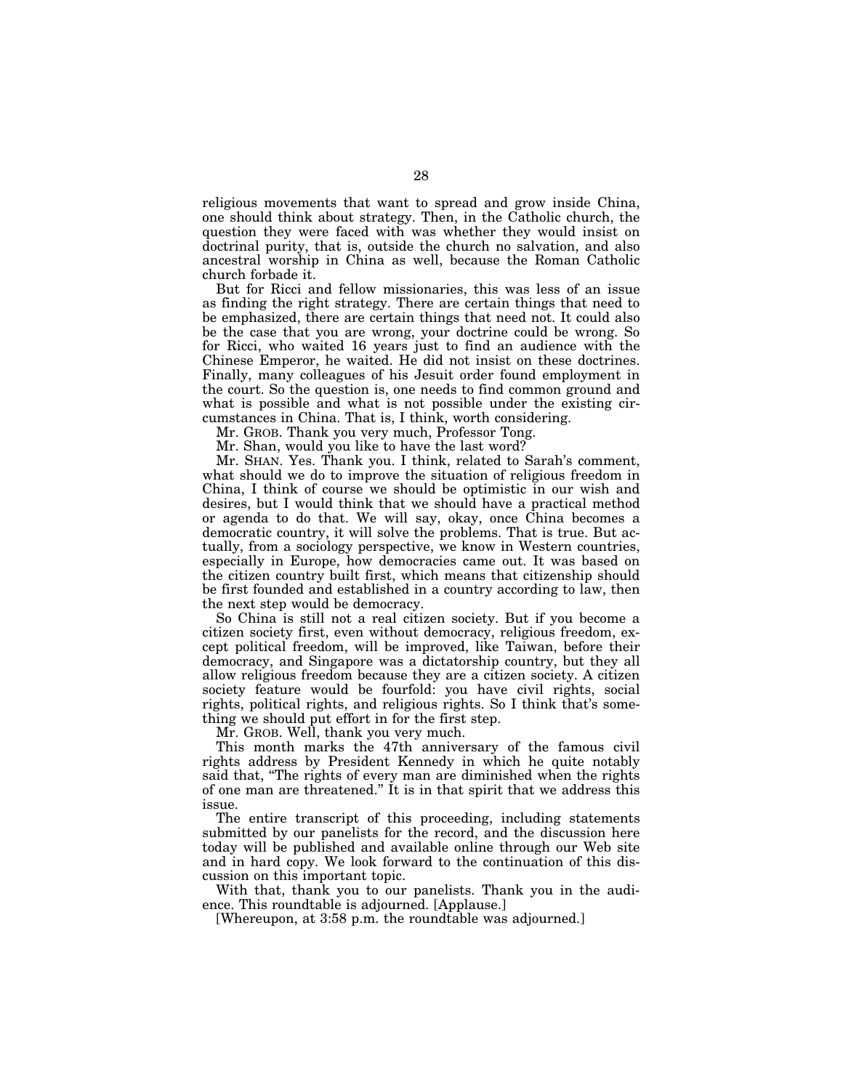religious movements that want to spread and grow inside China, one should think about strategy. Then, in the Catholic church, the question they were faced with was whether they would insist on doctrinal purity, that is, outside the church no salvation, and also ancestral worship in China as well, because the Roman Catholic church forbade it.

But for Ricci and fellow missionaries, this was less of an issue as finding the right strategy. There are certain things that need to be emphasized, there are certain things that need not. It could also be the case that you are wrong, your doctrine could be wrong. So for Ricci, who waited 16 years just to find an audience with the Chinese Emperor, he waited. He did not insist on these doctrines. Finally, many colleagues of his Jesuit order found employment in the court. So the question is, one needs to find common ground and what is possible and what is not possible under the existing circumstances in China. That is, I think, worth considering.

Mr. GROB. Thank you very much, Professor Tong.

Mr. Shan, would you like to have the last word?

Mr. SHAN. Yes. Thank you. I think, related to Sarah's comment, what should we do to improve the situation of religious freedom in China, I think of course we should be optimistic in our wish and desires, but I would think that we should have a practical method or agenda to do that. We will say, okay, once China becomes a democratic country, it will solve the problems. That is true. But actually, from a sociology perspective, we know in Western countries, especially in Europe, how democracies came out. It was based on the citizen country built first, which means that citizenship should be first founded and established in a country according to law, then the next step would be democracy.

So China is still not a real citizen society. But if you become a citizen society first, even without democracy, religious freedom, except political freedom, will be improved, like Taiwan, before their democracy, and Singapore was a dictatorship country, but they all allow religious freedom because they are a citizen society. A citizen society feature would be fourfold: you have civil rights, social rights, political rights, and religious rights. So I think that's something we should put effort in for the first step.

Mr. GROB. Well, thank you very much.

This month marks the 47th anniversary of the famous civil rights address by President Kennedy in which he quite notably said that, "The rights of every man are diminished when the rights of one man are threatened.'' It is in that spirit that we address this issue.

The entire transcript of this proceeding, including statements submitted by our panelists for the record, and the discussion here today will be published and available online through our Web site and in hard copy. We look forward to the continuation of this discussion on this important topic.

With that, thank you to our panelists. Thank you in the audience. This roundtable is adjourned. [Applause.]

[Whereupon, at 3:58 p.m. the roundtable was adjourned.]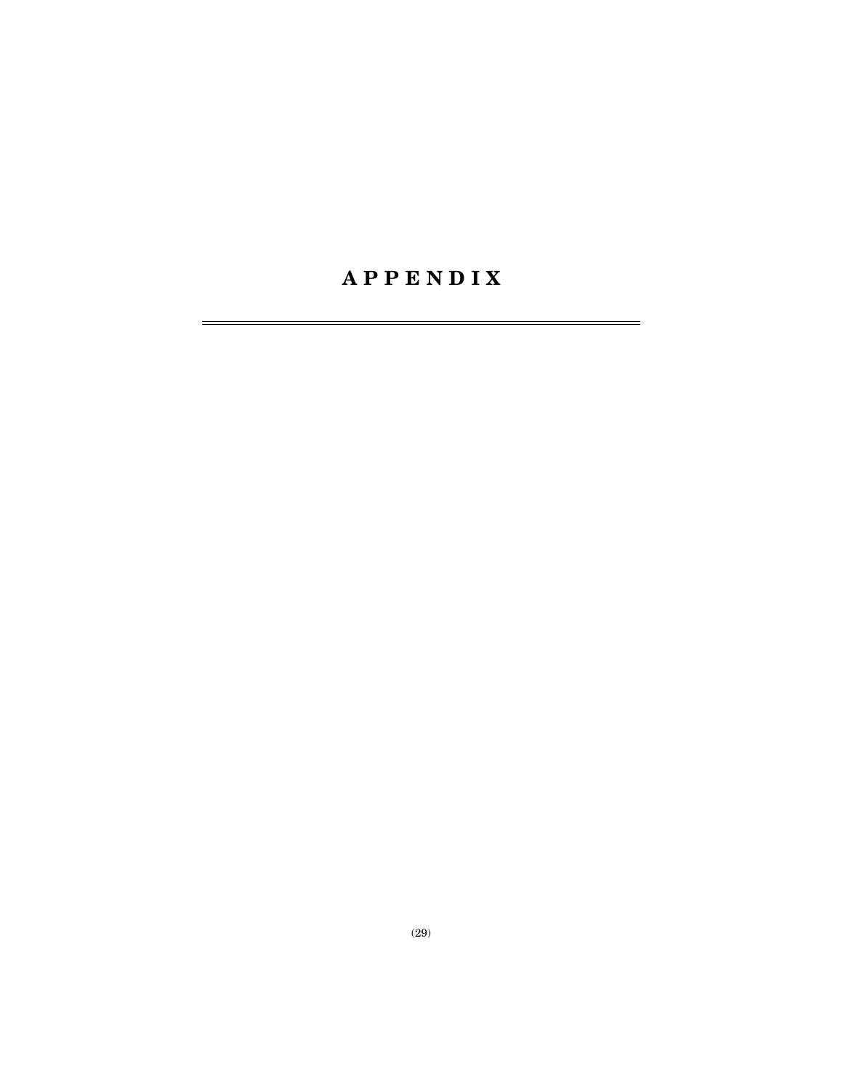# **A P P E N D I X**

÷.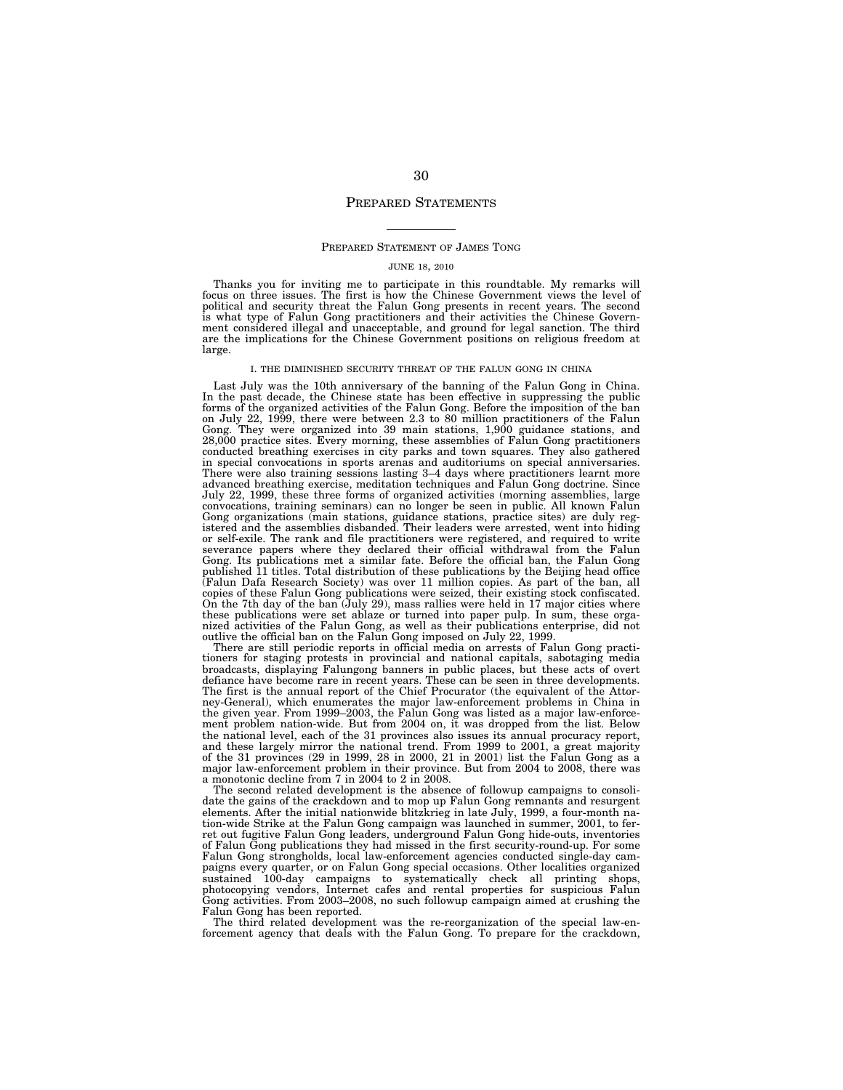#### PREPARED STATEMENTS

#### PREPARED STATEMENT OF JAMES TONG

#### JUNE 18, 2010

Thanks you for inviting me to participate in this roundtable. My remarks will<br>focus on three issues. The first is how the Chinese Government views the level of<br>political and security threat the Falun Gong presents in recen are the implications for the Chinese Government positions on religious freedom at large.

#### I. THE DIMINISHED SECURITY THREAT OF THE FALUN GONG IN CHINA

Last July was the 10th anniversary of the banning of the Falun Gong in China. In the past decade, the Chinese state has been effective in suppressing the public forms of the organized activities of the Falun Gong. Before the imposition of the ban on July 22, 1999, there were between 2.3 to 80 million practitioners of the Falun<br>Gong. They were organized into 39 main stations, 1,900 guidance stations, and<br>28,000 practice sites. Every morning, these assemblies of Falu conducted breathing exercises in city parks and town squares. They also gathered in special convocations in sports arenas and auditoriums on special anniversaries. There were also training sessions lasting 3–4 days where practitioners learnt more advanced breathing exercise, meditation techniques and Falun Gong doctrine. Since July 22, 1999, these three forms of organized activities (morning assemblies, large convocations, training seminars) can no longer be seen in public. All known Falun Gong organizations (main stations, guidance stations, practice sites) are duly reg-istered and the assemblies disbanded. Their leaders were arrested, went into hiding or self-exile. The rank and file practitioners were registered, and required to write severance papers where they declared their official withdrawal from the Falun Gong. Its publications met a similar fate. Before the official ban, the Falun Gong published 11 titles. Total distribution of these publications by the Beijing head office (Falun Dafa Research Society) was over 11 million copies. As part of the ban, all copies of these Falun Gong publications were seized, their existing stock confiscated. On the 7th day of the ban (July 29), mass rallies were held in  $17$  major cities where these publications were set ablaze or turned into paper pulp. In sum, these organized activities of the Falun Gong, as well as their publications enterprise, did not outlive the official ban on the Falun Gong imposed on July 22, 1999.

There are still periodic reports in official media on arrests of Falun Gong practitioners for staging protests in provincial and national capitals, sabotaging media broadcasts, displaying Falungong banners in public places, but these acts of overt defiance have become rare in recent years. These can be seen in three developments. The first is the annual report of the Chief Procurator (the equivalent of the Attorney-General), which enumerates the major law-enforcement problems in China in the given year. From 1999–2003, the Falun Gong was listed as a major law-enforcement problem nation-wide. But from 2004 on, it was dropped from the list. Below the national level, each of the 31 provinces also issues its annual procuracy report, and these largely mirror the national trend. From 1999 to 2001, a great majority of the 31 provinces (29 in 1999, 28 in 2000, 21 in 2001) list the Falun Gong as a major law-enforcement problem in their province. But from 2004 to 2008, there was a monotonic decline from 7 in 2004 to 2 in 2008.

The second related development is the absence of followup campaigns to consolidate the gains of the crackdown and to mop up Falun Gong remnants and resurgent elements. After the initial nationwide blitzkrieg in late July, 1999, a four-month nation-wide Strike at the Falun Gong campaign was launched in summer, 2001, to ferret out fugitive Falun Gong leaders, underground Falun Gong hide-outs, inventories of Falun Gong publications they had missed in the first security-round-up. For some Falun Gong strongholds, local law-enforcement agencies conducted single-day campaigns every quarter, or on Falun Gong special occasions. Other localities organized sustained 100-day campaigns to systematically check all printing shops, photocopying vendors, Internet cafes and rental properties for suspicious Falun Gong activities. From 2003–2008, no such followup campaign aimed at crushing the Falun Gong has been reported.

The third related development was the re-reorganization of the special law-enforcement agency that deals with the Falun Gong. To prepare for the crackdown,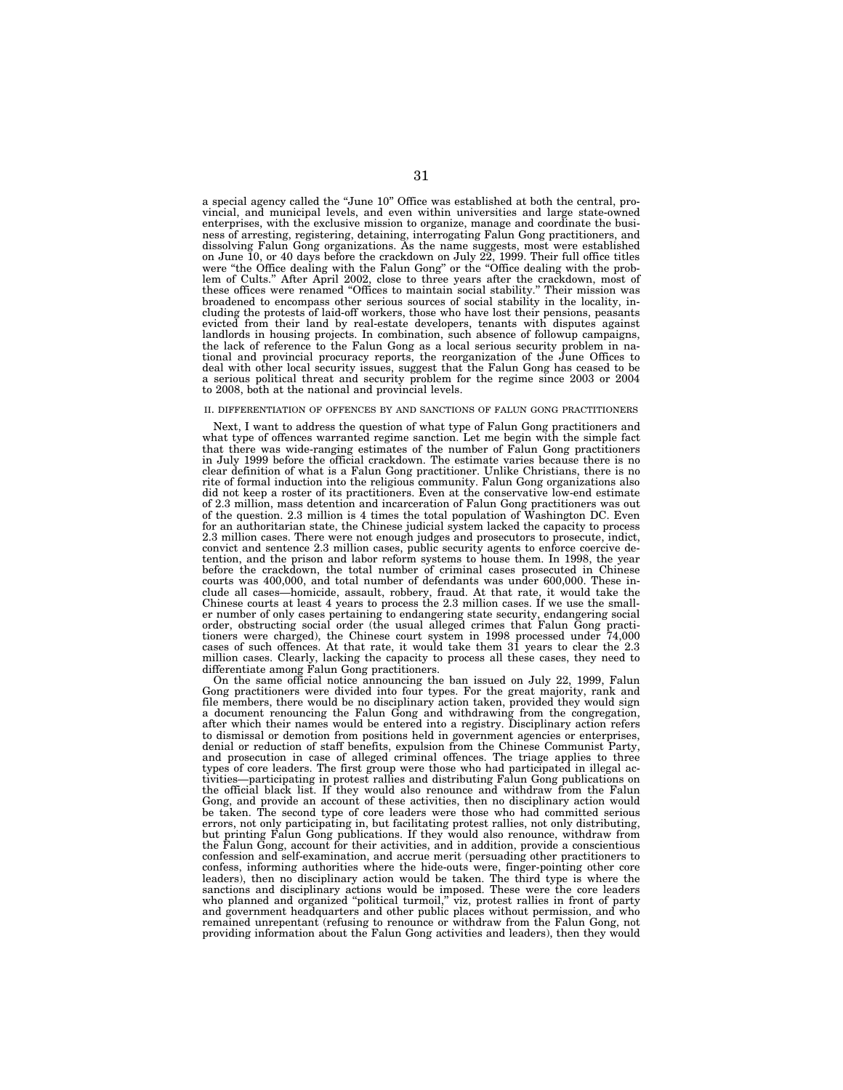a special agency called the ''June 10'' Office was established at both the central, provincial, and municipal levels, and even within universities and large state-owned enterprises, with the exclusive mission to organize, manage and coordinate the business of arresting, registering, detaining, interrogating Falun Gong practitioners, and dissolving Falun Gong organizations. As the name suggests, most were established on June 10, or 40 days before the crackdown on July 22, 1999. Their full office titles were "the Office dealing with the Falun Gong" or the "Office dealing with the problem of Cults.'' After April 2002, close to three years after the crackdown, most of these offices were renamed ''Offices to maintain social stability.'' Their mission was broadened to encompass other serious sources of social stability in the locality, including the protests of laid-off workers, those who have lost their pensions, peasants evicted from their land by real-estate developers, tenants with disputes against landlords in housing projects. In combination, such absence of followup campaigns, the lack of reference to the Falun Gong as a local serious security problem in national and provincial procuracy reports, the reorganization of the June Offices to deal with other local security issues, suggest that the Falun Gong has ceased to be a serious political threat and security problem for the regime since 2003 or 2004 to 2008, both at the national and provincial levels.

#### II. DIFFERENTIATION OF OFFENCES BY AND SANCTIONS OF FALUN GONG PRACTITIONERS

Next, I want to address the question of what type of Falun Gong practitioners and what type of offences warranted regime sanction. Let me begin with the simple fact that there was wide-ranging estimates of the number of Falun Gong practitioners in July 1999 before the official crackdown. The estimate varies because there is no clear definition of what is a Falun Gong practitioner. Unlike Christians, there is no rite of formal induction into the religious community. Falun Gong organizations also did not keep a roster of its practitioners. Even at the conservative low-end estimate of 2.3 million, mass detention and incarceration of Falun Gong practitioners was out of the question. 2.3 million is 4 times the total population of Washington DC. Even for an authoritarian state, the Chinese judicial system lacked the capacity to process 2.3 million cases. There were not enough judges and prosecutors to prosecute, indict, convict and sentence 2.3 million cases, public security agents to enforce coercive detention, and the prison and labor reform systems to house them. In 1998, the year before the crackdown, the total number of criminal cases prosecuted in Chinese courts was 400,000, and total number of defendants was under 600,000. These include all cases—homicide, assault, robbery, fraud. At that rate, it would take the Chinese courts at least 4 years to process the 2.3 million cases. If we use the smaller number of only cases pertaining to endangering state security, endangering social order, obstructing social order (the usual alleged crimes that Falun Gong practitioners were charged), the Chinese court system in 1998 processed under 74,000 cases of such offences. At that rate, it would take them 31 years to clear the 2.3 million cases. Clearly, lacking the capacity to process all these cases, they need to differentiate among Falun Gong practitioners.

On the same official notice announcing the ban issued on July 22, 1999, Falun Gong practitioners were divided into four types. For the great majority, rank and file members, there would be no disciplinary action taken, provided they would sign a document renouncing the Falun Gong and withdrawing from the congregation, after which their names would be entered into a registry. Disciplinary action refers to dismissal or demotion from positions held in government agencies or enterprises, denial or reduction of staff benefits, expulsion from the Chinese Communist Party, and prosecution in case of alleged criminal offences. The triage applies to three types of core leaders. The first group were those who had participated in illegal activities—participating in protest rallies and distributing Falun Gong publications on the official black list. If they would also renounce and withdraw from the Falun Gong, and provide an account of these activities, then no disciplinary action would be taken. The second type of core leaders were those who had committed serious errors, not only participating in, but facilitating protest rallies, not only distributing, but printing Falun Gong publications. If they would also renounce, withdraw from the Falun Gong, account for their activities, and in addition, provide a conscientious confession and self-examination, and accrue merit (persuading other practitioners to confess, informing authorities where the hide-outs were, finger-pointing other core leaders), then no disciplinary action would be taken. The third type is where the sanctions and disciplinary actions would be imposed. These were the core leaders who planned and organized ''political turmoil,'' viz, protest rallies in front of party and government headquarters and other public places without permission, and who remained unrepentant (refusing to renounce or withdraw from the Falun Gong, not providing information about the Falun Gong activities and leaders), then they would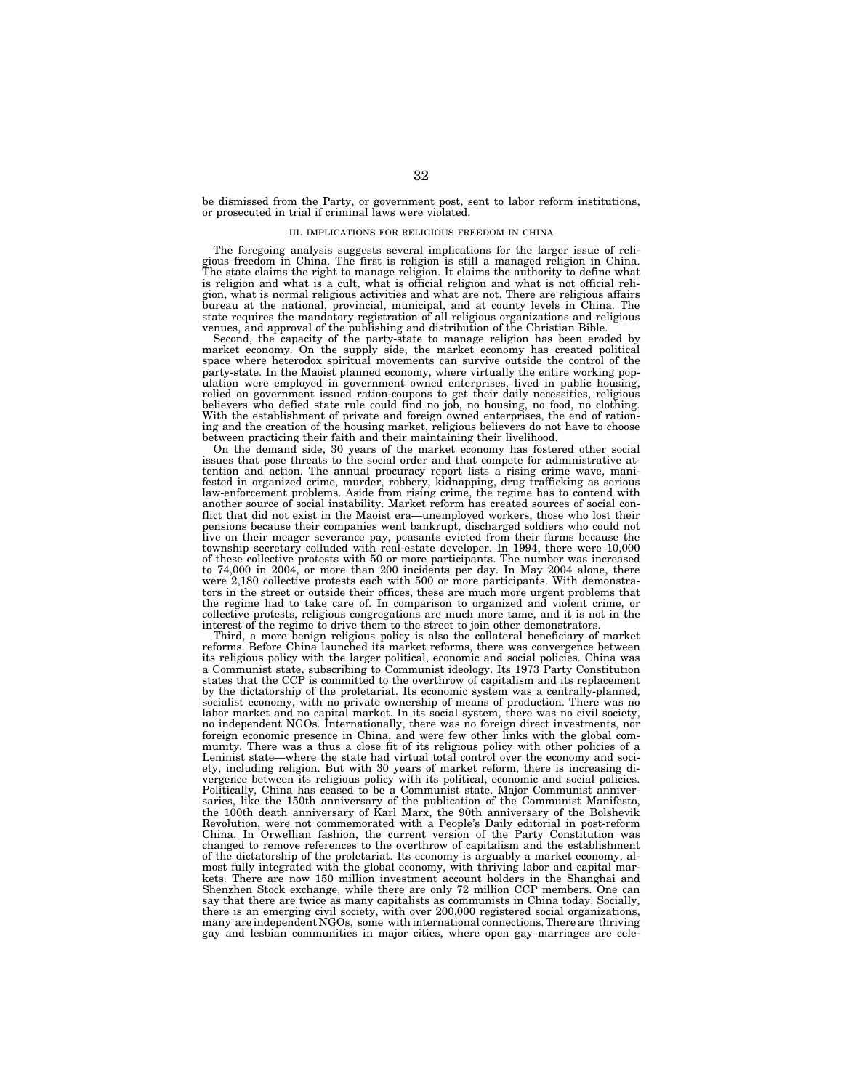be dismissed from the Party, or government post, sent to labor reform institutions, or prosecuted in trial if criminal laws were violated.

#### III. IMPLICATIONS FOR RELIGIOUS FREEDOM IN CHINA

The foregoing analysis suggests several implications for the larger issue of religious freedom in China. The first is religion is still a managed religion in China. The state claims the right to manage religion. It claims the authority to define what is religion and what is a cult, what is official religion and what is not official religion, what is normal religious activities and what are not. There are religious affairs bureau at the national, provincial, municipal, and at county levels in China. The state requires the mandatory registration of all religious organizations and religious venues, and approval of the publishing and distribution of the Christian Bible.

Second, the capacity of the party-state to manage religion has been eroded by market economy. On the supply side, the market economy has created political space where heterodox spiritual movements can survive outside the control of the party-state. In the Maoist planned economy, where virtually the entire working population were employed in government owned enterprises, lived in public housing, relied on government issued ration-coupons to get their daily necessities, religious believers who defied state rule could find no job, no housing, no food, no clothing. With the establishment of private and foreign owned enterprises, the end of rationing and the creation of the housing market, religious believers do not have to choose between practicing their faith and their maintaining their livelihood.

On the demand side, 30 years of the market economy has fostered other social issues that pose threats to the social order and that compete for administrative attention and action. The annual procuracy report lists a rising crime wave, manifested in organized crime, murder, robbery, kidnapping, drug trafficking as serious law-enforcement problems. Aside from rising crime, the regime has to contend with another source of social instability. Market reform has created sources of social conflict that did not exist in the Maoist era—unemployed workers, those who lost their pensions because their companies went bankrupt, discharged soldiers who could not live on their meager severance pay, peasants evicted from their farms because the township secretary colluded with real-estate developer. In 1994, there were 10,000 of these collective protests with 50 or more participants. The number was increased to  $74,000$  in  $2004$ , or more than  $200$  incidents per day. In May  $2004$  alone, there were 2,180 collective protests each with 500 or more participants. With demonstrators in the street or outside their offices, these are much more urgent problems that the regime had to take care of. In comparison to organized and violent crime, or collective protests, religious congregations are much more tame, and it is not in the interest of the regime to drive them to the street to join other demonstrators.

Third, a more benign religious policy is also the collateral beneficiary of market reforms. Before China launched its market reforms, there was convergence between its religious policy with the larger political, economic and social policies. China was a Communist state, subscribing to Communist ideology. Its 1973 Party Constitution states that the CCP is committed to the overthrow of capitalism and its replacement by the dictatorship of the proletariat. Its economic system was a centrally-planned, socialist economy, with no private ownership of means of production. There was no labor market and no capital market. In its social system, there was no civil society, no independent NGOs. Internationally, there was no foreign direct investments, nor foreign economic presence in China, and were few other links with the global community. There was a thus a close fit of its religious policy with other policies of a Leninist state—where the state had virtual total control over the economy and society, including religion. But with 30 years of market reform, there is increasing divergence between its religious policy with its political, economic and social policies. Politically, China has ceased to be a Communist state. Major Communist anniversaries, like the 150th anniversary of the publication of the Communist Manifesto, the 100th death anniversary of Karl Marx, the 90th anniversary of the Bolshevik Revolution, were not commemorated with a People's Daily editorial in post-reform China. In Orwellian fashion, the current version of the Party Constitution was changed to remove references to the overthrow of capitalism and the establishment of the dictatorship of the proletariat. Its economy is arguably a market economy, almost fully integrated with the global economy, with thriving labor and capital markets. There are now 150 million investment account holders in the Shanghai and Shenzhen Stock exchange, while there are only 72 million CCP members. One can say that there are twice as many capitalists as communists in China today. Socially, there is an emerging civil society, with over 200,000 registered social organizations, many are independent NGOs, some with international connections. There are thriving gay and lesbian communities in major cities, where open gay marriages are cele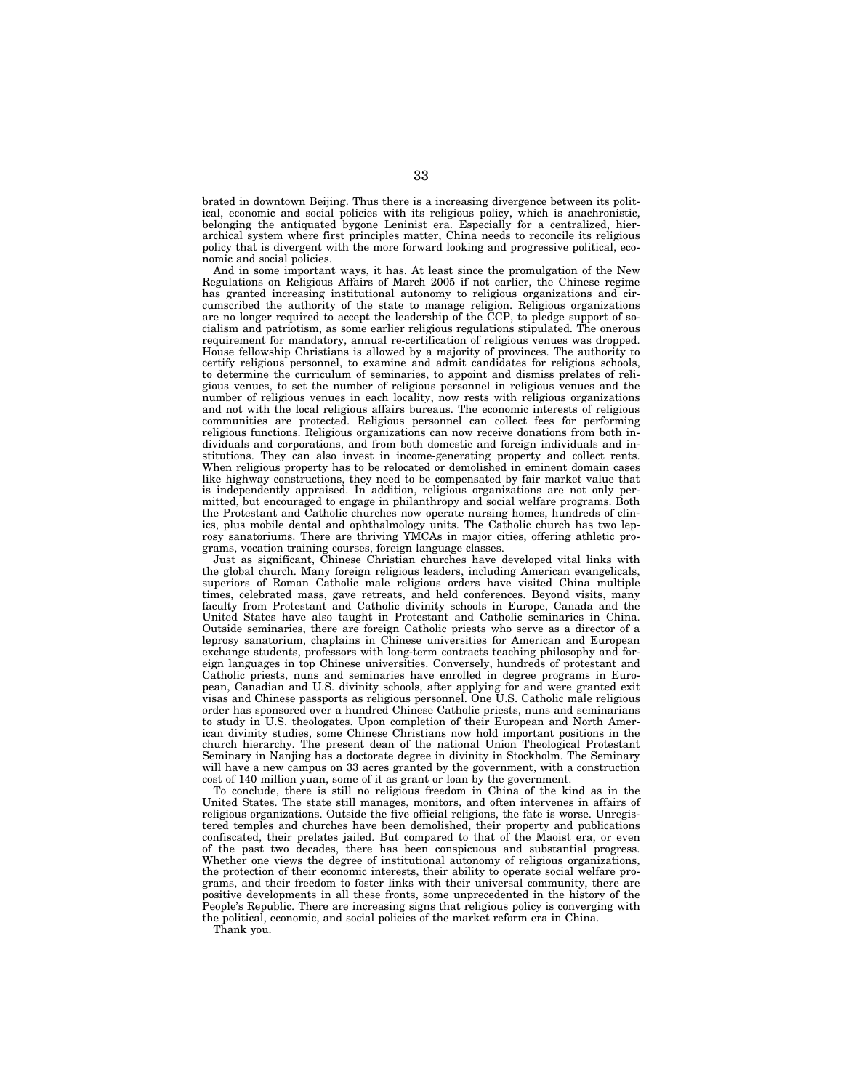brated in downtown Beijing. Thus there is a increasing divergence between its political, economic and social policies with its religious policy, which is anachronistic, belonging the antiquated bygone Leninist era. Especially for a centralized, hierarchical system where first principles matter, China needs to reconcile its religious policy that is divergent with the more forward looking and progressive political, economic and social policies.

And in some important ways, it has. At least since the promulgation of the New Regulations on Religious Affairs of March 2005 if not earlier, the Chinese regime has granted increasing institutional autonomy to religious organizations and circumscribed the authority of the state to manage religion. Religious organizations are no longer required to accept the leadership of the CCP, to pledge support of socialism and patriotism, as some earlier religious regulations stipulated. The onerous requirement for mandatory, annual re-certification of religious venues was dropped. House fellowship Christians is allowed by a majority of provinces. The authority to certify religious personnel, to examine and admit candidates for religious schools, to determine the curriculum of seminaries, to appoint and dismiss prelates of religious venues, to set the number of religious personnel in religious venues and the number of religious venues in each locality, now rests with religious organizations and not with the local religious affairs bureaus. The economic interests of religious communities are protected. Religious personnel can collect fees for performing religious functions. Religious organizations can now receive donations from both individuals and corporations, and from both domestic and foreign individuals and institutions. They can also invest in income-generating property and collect rents. When religious property has to be relocated or demolished in eminent domain cases like highway constructions, they need to be compensated by fair market value that is independently appraised. In addition, religious organizations are not only permitted, but encouraged to engage in philanthropy and social welfare programs. Both the Protestant and Catholic churches now operate nursing homes, hundreds of clinics, plus mobile dental and ophthalmology units. The Catholic church has two leprosy sanatoriums. There are thriving YMCAs in major cities, offering athletic programs, vocation training courses, foreign language classes.

Just as significant, Chinese Christian churches have developed vital links with the global church. Many foreign religious leaders, including American evangelicals, superiors of Roman Catholic male religious orders have visited China multiple times, celebrated mass, gave retreats, and held conferences. Beyond visits, many faculty from Protestant and Catholic divinity schools in Europe, Canada and the United States have also taught in Protestant and Catholic seminaries in China. Outside seminaries, there are foreign Catholic priests who serve as a director of a leprosy sanatorium, chaplains in Chinese universities for American and European exchange students, professors with long-term contracts teaching philosophy and foreign languages in top Chinese universities. Conversely, hundreds of protestant and Catholic priests, nuns and seminaries have enrolled in degree programs in European, Canadian and U.S. divinity schools, after applying for and were granted exit visas and Chinese passports as religious personnel. One U.S. Catholic male religious order has sponsored over a hundred Chinese Catholic priests, nuns and seminarians to study in U.S. theologates. Upon completion of their European and North American divinity studies, some Chinese Christians now hold important positions in the church hierarchy. The present dean of the national Union Theological Protestant Seminary in Nanjing has a doctorate degree in divinity in Stockholm. The Seminary will have a new campus on 33 acres granted by the government, with a construction cost of 140 million yuan, some of it as grant or loan by the government.

To conclude, there is still no religious freedom in China of the kind as in the United States. The state still manages, monitors, and often intervenes in affairs of religious organizations. Outside the five official religions, the fate is worse. Unregistered temples and churches have been demolished, their property and publications confiscated, their prelates jailed. But compared to that of the Maoist era, or even of the past two decades, there has been conspicuous and substantial progress. Whether one views the degree of institutional autonomy of religious organizations, the protection of their economic interests, their ability to operate social welfare programs, and their freedom to foster links with their universal community, there are positive developments in all these fronts, some unprecedented in the history of the People's Republic. There are increasing signs that religious policy is converging with the political, economic, and social policies of the market reform era in China.

Thank you.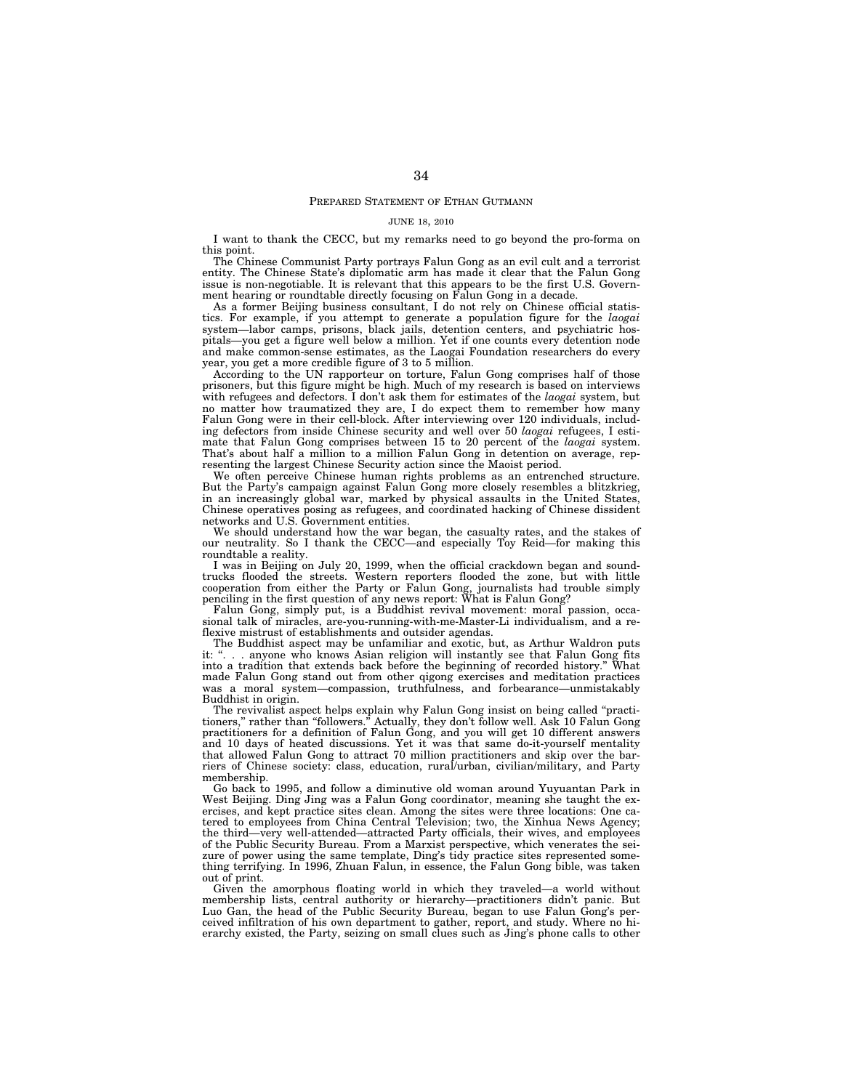#### PREPARED STATEMENT OF ETHAN GUTMANN

#### JUNE 18, 2010

I want to thank the CECC, but my remarks need to go beyond the pro-forma on this point.

The Chinese Communist Party portrays Falun Gong as an evil cult and a terrorist entity. The Chinese State's diplomatic arm has made it clear that the Falun Gong issue is non-negotiable. It is relevant that this appears to be the first U.S. Government hearing or roundtable directly focusing on Falun Gong in a decade.

As a former Beijing business consultant, I do not rely on Chinese official statistics. For example, if you attempt to generate a population figure for the *laogai*  system—labor camps, prisons, black jails, detention centers, and psychiatric hospitals—you get a figure well below a million. Yet if one counts every detention node and make common-sense estimates, as the Laogai Foundation researchers do every year, you get a more credible figure of 3 to 5 million.

According to the UN rapporteur on torture, Falun Gong comprises half of those prisoners, but this figure might be high. Much of my research is based on interviews with refugees and defectors. I don't ask them for estimates of the *laogai* system, but no matter how traumatized they are, I do expect them to remember how many Falun Gong were in their cell-block. After interviewing over 120 individuals, including defectors from inside Chinese security and well over 50 *laogai* refugees, I estimate that Falun Gong comprises between 15 to 20 percent of the *laogai* system. That's about half a million to a million Falun Gong in detention on average, representing the largest Chinese Security action since the Maoist period.

We often perceive Chinese human rights problems as an entrenched structure. But the Party's campaign against Falun Gong more closely resembles a blitzkrieg, in an increasingly global war, marked by physical assaults in the United States, Chinese operatives posing as refugees, and coordinated hacking of Chinese dissident networks and U.S. Government entities.

We should understand how the war began, the casualty rates, and the stakes of our neutrality. So I thank the CECC—and especially Toy Reid—for making this roundtable a reality.

I was in Beijing on July 20, 1999, when the official crackdown began and soundtrucks flooded the streets. Western reporters flooded the zone, but with little cooperation from either the Party or Falun Gong, journalists had trouble simply penciling in the first question of any news report: What is Falun Gong?

Falun Gong, simply put, is a Buddhist revival movement: moral passion, occasional talk of miracles, are-you-running-with-me-Master-Li individualism, and a reflexive mistrust of establishments and outsider agendas.

The Buddhist aspect may be unfamiliar and exotic, but, as Arthur Waldron puts it: "... anyone who knows Asian religion will instantly see that Falun Gong fits into a tradition that extends back before the beginning of recorded history." What into a tradition that extends back before the beginning of recorded history." made Falun Gong stand out from other qigong exercises and meditation practices was a moral system—compassion, truthfulness, and forbearance—unmistakably Buddhist in origin.

The revivalist aspect helps explain why Falun Gong insist on being called ''practitioners,'' rather than ''followers.'' Actually, they don't follow well. Ask 10 Falun Gong practitioners for a definition of Falun Gong, and you will get 10 different answers and 10 days of heated discussions. Yet it was that same do-it-yourself mentality that allowed Falun Gong to attract 70 million practitioners and skip over the barriers of Chinese society: class, education, rural/urban, civilian/military, and Party membership.

Go back to 1995, and follow a diminutive old woman around Yuyuantan Park in West Beijing. Ding Jing was a Falun Gong coordinator, meaning she taught the exercises, and kept practice sites clean. Among the sites were three locations: One catered to employees from China Central Television; two, the Xinhua News Agency; the third—very well-attended—attracted Party officials, their wives, and employees of the Public Security Bureau. From a Marxist perspective, which venerates the seizure of power using the same template, Ding's tidy practice sites represented something terrifying. In 1996, Zhuan Falun, in essence, the Falun Gong bible, was taken out of print.

Given the amorphous floating world in which they traveled—a world without membership lists, central authority or hierarchy—practitioners didn't panic. But Luo Gan, the head of the Public Security Bureau, began to use Falun Gong's perceived infiltration of his own department to gather, report, and study. Where no hierarchy existed, the Party, seizing on small clues such as Jing's phone calls to other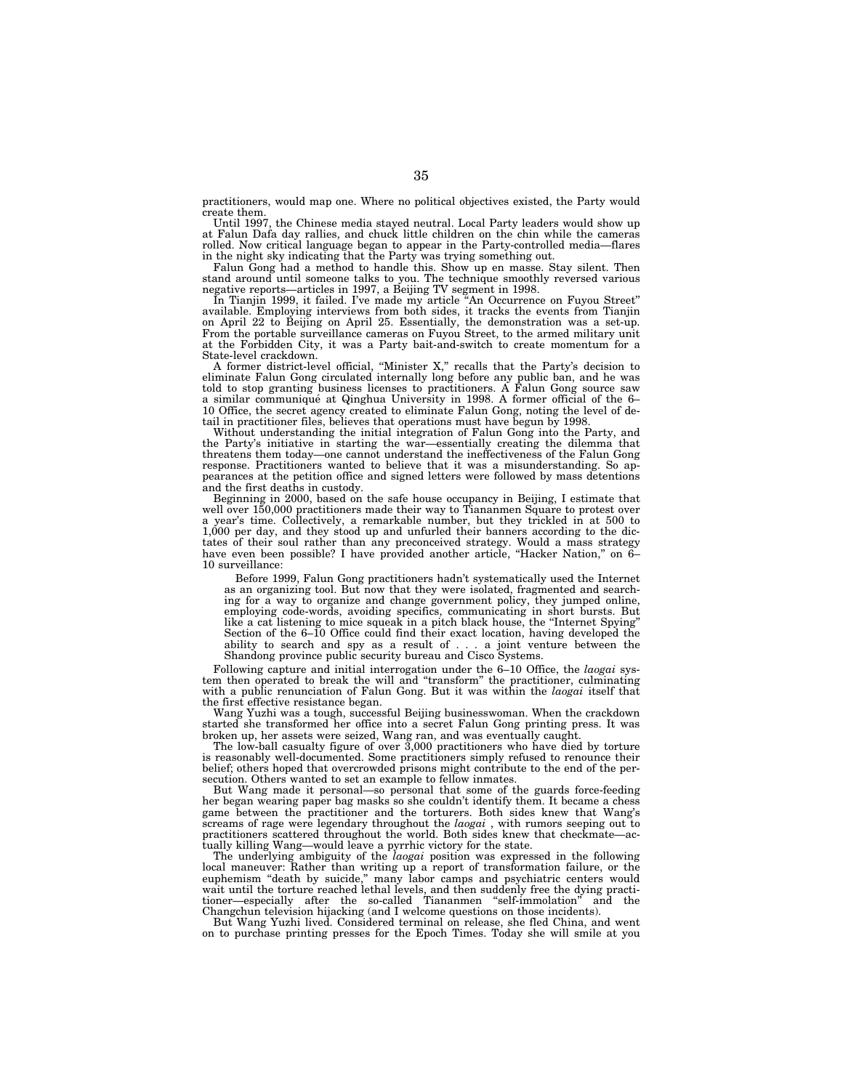practitioners, would map one. Where no political objectives existed, the Party would create them.

Until 1997, the Chinese media stayed neutral. Local Party leaders would show up at Falun Dafa day rallies, and chuck little children on the chin while the cameras rolled. Now critical language began to appear in the Party-controlled media—flares in the night sky indicating that the Party was trying something out.

Falun Gong had a method to handle this. Show up en masse. Stay silent. Then stand around until someone talks to you. The technique smoothly reversed various negative reports—articles in 1997, a Beijing TV segment in 1998.

In Tianjin 1999, it failed. I've made my article ''An Occurrence on Fuyou Street'' available. Employing interviews from both sides, it tracks the events from Tianjin on April 22 to Beijing on April 25. Essentially, the demonstration was a set-up. From the portable surveillance cameras on Fuyou Street, to the armed military unit at the Forbidden City, it was a Party bait-and-switch to create momentum for a State-level crackdown.

A former district-level official, ''Minister X,'' recalls that the Party's decision to eliminate Falun Gong circulated internally long before any public ban, and he was told to stop granting business licenses to practitioners. A Falun Gong source saw a similar communiqué at Qinghua University in 1998. A former official of the 6– 10 Office, the secret agency created to eliminate Falun Gong, noting the level of detail in practitioner files, believes that operations must have begun by 1998.

Without understanding the initial integration of Falun Gong into the Party, and the Party's initiative in starting the war—essentially creating the dilemma that threatens them today—one cannot understand the ineffectiveness of the Falun Gong response. Practitioners wanted to believe that it was a misunderstanding. So appearances at the petition office and signed letters were followed by mass detentions and the first deaths in custody.

Beginning in 2000, based on the safe house occupancy in Beijing, I estimate that well over 150,000 practitioners made their way to Tiananmen Square to protest over a year's time. Collectively, a remarkable number, but they trickled in at 500 to 1,000 per day, and they stood up and unfurled their banners according to the dictates of their soul rather than any preconceived strategy. Would a mass strategy have even been possible? I have provided another article, "Hacker Nation," on 6– 10 surveillance:

Before 1999, Falun Gong practitioners hadn't systematically used the Internet as an organizing tool. But now that they were isolated, fragmented and searching for a way to organize and change government policy, they jumped online, employing code-words, avoiding specifics, communicating in short bursts. But like a cat listening to mice squeak in a pitch black house, the ''Internet Spying'' Section of the 6–10 Office could find their exact location, having developed the ability to search and spy as a result of . . . a joint venture between the Shandong province public security bureau and Cisco Systems.

Following capture and initial interrogation under the 6–10 Office, the *laogai* system then operated to break the will and ''transform'' the practitioner, culminating with a public renunciation of Falun Gong. But it was within the *laogai* itself that the first effective resistance began.

Wang Yuzhi was a tough, successful Beijing businesswoman. When the crackdown started she transformed her office into a secret Falun Gong printing press. It was broken up, her assets were seized, Wang ran, and was eventually caught.

The low-ball casualty figure of over 3,000 practitioners who have died by torture is reasonably well-documented. Some practitioners simply refused to renounce their belief; others hoped that overcrowded prisons might contribute to the end of the persecution. Others wanted to set an example to fellow inmates.

But Wang made it personal—so personal that some of the guards force-feeding her began wearing paper bag masks so she couldn't identify them. It became a chess game between the practitioner and the torturers. Both sides knew that Wang's screams of rage were legendary throughout the *laogai* , with rumors seeping out to practitioners scattered throughout the world. Both sides knew that checkmate—actually killing Wang—would leave a pyrrhic victory for the state.

The underlying ambiguity of the *laogai* position was expressed in the following local maneuver: Rather than writing up a report of transformation failure, or the euphemism ''death by suicide,'' many labor camps and psychiatric centers would wait until the torture reached lethal levels, and then suddenly free the dying practitioner—especially after the so-called Tiananmen ''self-immolation'' and the Changchun television hijacking (and I welcome questions on those incidents).

But Wang Yuzhi lived. Considered terminal on release, she fled China, and went on to purchase printing presses for the Epoch Times. Today she will smile at you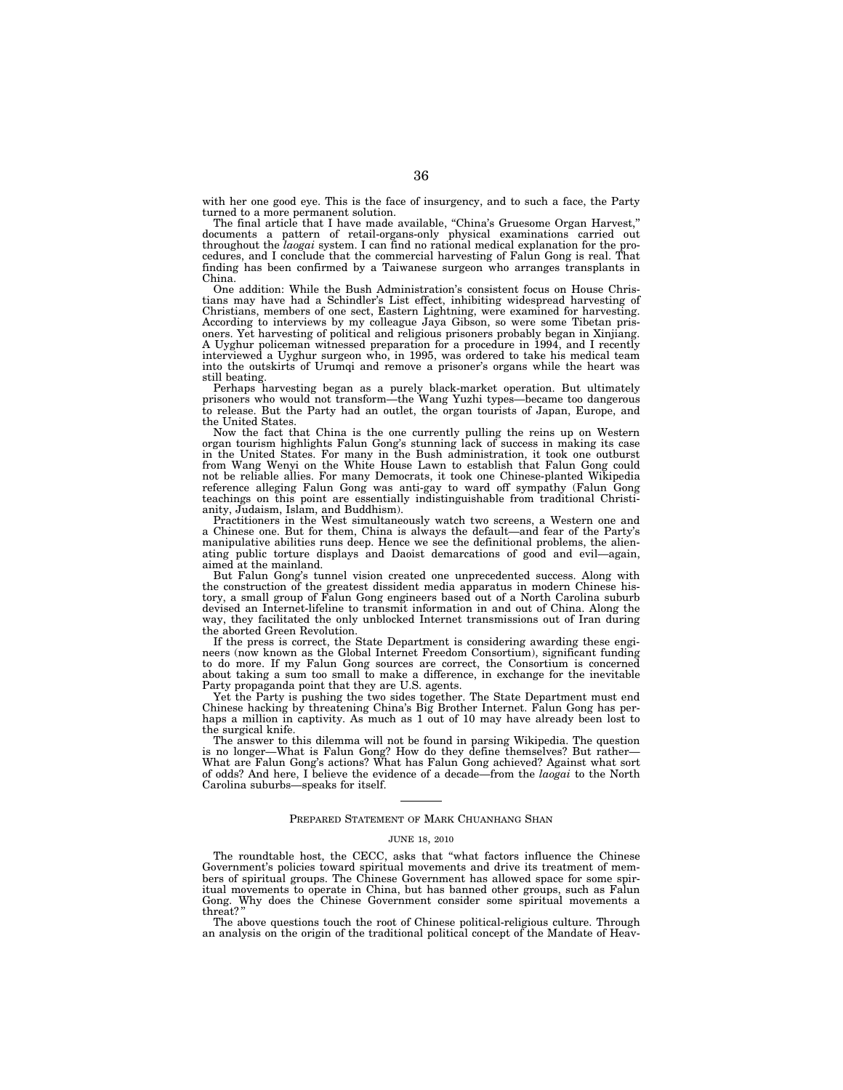with her one good eye. This is the face of insurgency, and to such a face, the Party turned to a more permanent solution.

The final article that I have made available, "China's Gruesome Organ Harvest," documents a pattern of retail-organs-only physical examinations carried out throughout the *laogai* system. I can find no rational medical explanation for the procedures, and I conclude that the commercial harvesting of Falun Gong is real. That finding has been confirmed by a Taiwanese surgeon who arranges transplants in China.

One addition: While the Bush Administration's consistent focus on House Christians may have had a Schindler's List effect, inhibiting widespread harvesting of Christians, members of one sect, Eastern Lightning, were examined for harvesting. According to interviews by my colleague Jaya Gibson, so were some Tibetan prisoners. Yet harvesting of political and religious prisoners probably began in Xinjiang. A Uyghur policeman witnessed preparation for a procedure in 1994, and I recently interviewed a Uyghur surgeon who, in 1995, was ordered to take his medical team into the outskirts of Urumqi and remove a prisoner's organs while the heart was still beating.

Perhaps harvesting began as a purely black-market operation. But ultimately prisoners who would not transform—the Wang Yuzhi types—became too dangerous to release. But the Party had an outlet, the organ tourists of Japan, Europe, and the United States.

Now the fact that China is the one currently pulling the reins up on Western organ tourism highlights Falun Gong's stunning lack of success in making its case in the United States. For many in the Bush administration, it took one outburst from Wang Wenyi on the White House Lawn to establish that Falun Gong could not be reliable allies. For many Democrats, it took one Chinese-planted Wikipedia reference alleging Falun Gong was anti-gay to ward off sympathy (Falun Gong teachings on this point are essentially indistinguishable from traditional Christianity, Judaism, Islam, and Buddhism).

Practitioners in the West simultaneously watch two screens, a Western one and a Chinese one. But for them, China is always the default—and fear of the Party's manipulative abilities runs deep. Hence we see the definitional problems, the alienating public torture displays and Daoist demarcations of good and evil—again, aimed at the mainland.

But Falun Gong's tunnel vision created one unprecedented success. Along with the construction of the greatest dissident media apparatus in modern Chinese history, a small group of Falun Gong engineers based out of a North Carolina suburb devised an Internet-lifeline to transmit information in and out of China. Along the way, they facilitated the only unblocked Internet transmissions out of Iran during the aborted Green Revolution.

If the press is correct, the State Department is considering awarding these engineers (now known as the Global Internet Freedom Consortium), significant funding to do more. If my Falun Gong sources are correct, the Consortium is concerned about taking a sum too small to make a difference, in exchange for the inevitable Party propaganda point that they are U.S. agents.

Yet the Party is pushing the two sides together. The State Department must end Chinese hacking by threatening China's Big Brother Internet. Falun Gong has perhaps a million in captivity. As much as 1 out of 10 may have already been lost to the surgical knife.

The answer to this dilemma will not be found in parsing Wikipedia. The question is no longer—What is Falun Gong? How do they define themselves? But rather— What are Falun Gong's actions? What has Falun Gong achieved? Against what sort of odds? And here, I believe the evidence of a decade—from the *laogai* to the North Carolina suburbs—speaks for itself.

#### PREPARED STATEMENT OF MARK CHUANHANG SHAN

#### JUNE 18, 2010

The roundtable host, the CECC, asks that ''what factors influence the Chinese Government's policies toward spiritual movements and drive its treatment of members of spiritual groups. The Chinese Government has allowed space for some spiritual movements to operate in China, but has banned other groups, such as Falun Gong. Why does the Chinese Government consider some spiritual movements a threat? ''

The above questions touch the root of Chinese political-religious culture. Through an analysis on the origin of the traditional political concept of the Mandate of Heav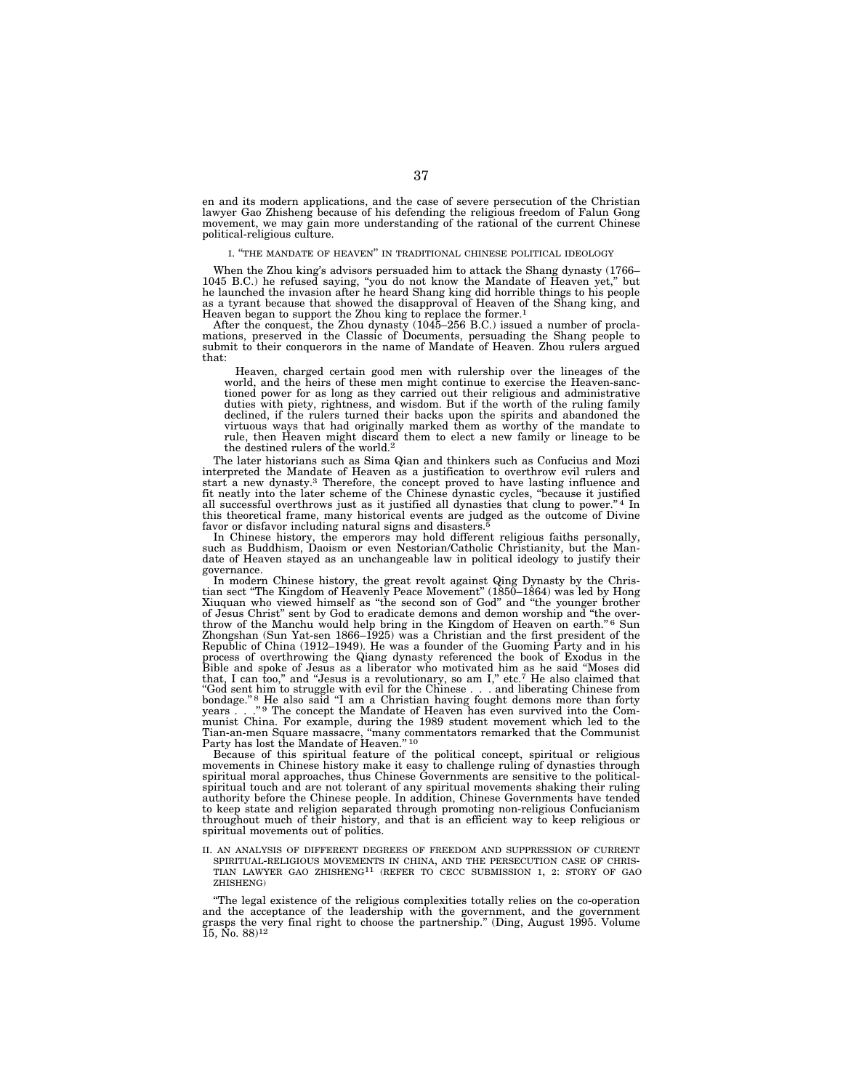en and its modern applications, and the case of severe persecution of the Christian lawyer Gao Zhisheng because of his defending the religious freedom of Falun Gong movement, we may gain more understanding of the rational of the current Chinese political-religious culture.

#### I. ''THE MANDATE OF HEAVEN'' IN TRADITIONAL CHINESE POLITICAL IDEOLOGY

When the Zhou king's advisors persuaded him to attack the Shang dynasty (1766– 1045 B.C.) he refused saying, ''you do not know the Mandate of Heaven yet,'' but he launched the invasion after he heard Shang king did horrible things to his people as a tyrant because that showed the disapproval of Heaven of the Shang king, and Heaven began to support the Zhou king to replace the former.1

After the conquest, the Zhou dynasty (1045–256 B.C.) issued a number of procla-mations, preserved in the Classic of Documents, persuading the Shang people to submit to their conquerors in the name of Mandate of Heaven. Zhou rulers argued that:

Heaven, charged certain good men with rulership over the lineages of the world, and the heirs of these men might continue to exercise the Heaven-sanctioned power for as long as they carried out their religious and administrative duties with piety, rightness, and wisdom. But if the worth of the ruling family declined, if the rulers turned their backs upon the spirits and abandoned the virtuous ways that had originally marked them as worthy of the mandate to rule, then Heaven might discard them to elect a new family or lineage to be the destined rulers of the world.2

The later historians such as Sima Qian and thinkers such as Confucius and Mozi interpreted the Mandate of Heaven as a justification to overthrow evil rulers and start a new dynasty.3 Therefore, the concept proved to have lasting influence and fit neatly into the later scheme of the Chinese dynastic cycles, ''because it justified all successful overthrows just as it justified all dynasties that clung to power.'' 4 In this theoretical frame, many historical events are judged as the outcome of Divine favor or disfavor including natural signs and disasters.<sup>5</sup>

In Chinese history, the emperors may hold different religious faiths personally, such as Buddhism, Daoism or even Nestorian/Catholic Christianity, but the Mandate of Heaven stayed as an unchangeable law in political ideology to justify their governance.

In modern Chinese history, the great revolt against Qing Dynasty by the Christian sect "The Kingdom of Heavenly Peace Movement" (1850–1864) was led by Hong Xiuquan who viewed himself as ''the second son of God'' and ''the younger brother of Jesus Christ" sent by God to eradicate demons and demon worship and "the overthrow of the Manchu would help bring in the Kingdom of Heaven on earth."<sup>6</sup> Sun Zhongshan (Sun Yat-sen 1866–1925) was a Christian and the first president of the Republic of China (1912–1949). He was a founder of the Guoming Party and in his process of overthrowing the Qiang dynasty referenced the book of Exodus in the<br>Bible and spoke of Jesus as a liberator who motivated him as he said "Moses did<br>that, I can too," and "Jesus is a revolutionary, so am I," etc. "God sent him to struggle with evil for the Chinese . . . and liberating Chinese from bondage."<sup>8</sup> He also said "I am a Christian having fought demons more than forty years . . ."<sup>9</sup> The concept the Mandate of Heaven has e munist China. For example, during the 1989 student movement which led to the Tian-an-men Square massacre, ''many commentators remarked that the Communist Party has lost the Mandate of Heaven.'' 10

Because of this spiritual feature of the political concept, spiritual or religious movements in Chinese history make it easy to challenge ruling of dynasties through spiritual moral approaches, thus Chinese Governments are sensitive to the politicalspiritual touch and are not tolerant of any spiritual movements shaking their ruling authority before the Chinese people. In addition, Chinese Governments have tended to keep state and religion separated through promoting non-religious Confucianism throughout much of their history, and that is an efficient way to keep religious or spiritual movements out of politics.

II. AN ANALYSIS OF DIFFERENT DEGREES OF FREEDOM AND SUPPRESSION OF CURRENT SPIRITUAL-RELIGIOUS MOVEMENTS IN CHINA, AND THE PERSECUTION CASE OF CHRIS- TIAN LAWYER GAO ZHISHENG $^{11}$  (REFER TO CECC SUBMISSION 1, 2: STORY OF GAO ZHISHENG)

''The legal existence of the religious complexities totally relies on the co-operation and the acceptance of the leadership with the government, and the government grasps the very final right to choose the partnership.'' (Ding, August 1995. Volume  $15, \dot{N}$ o. 88)<sup>12</sup>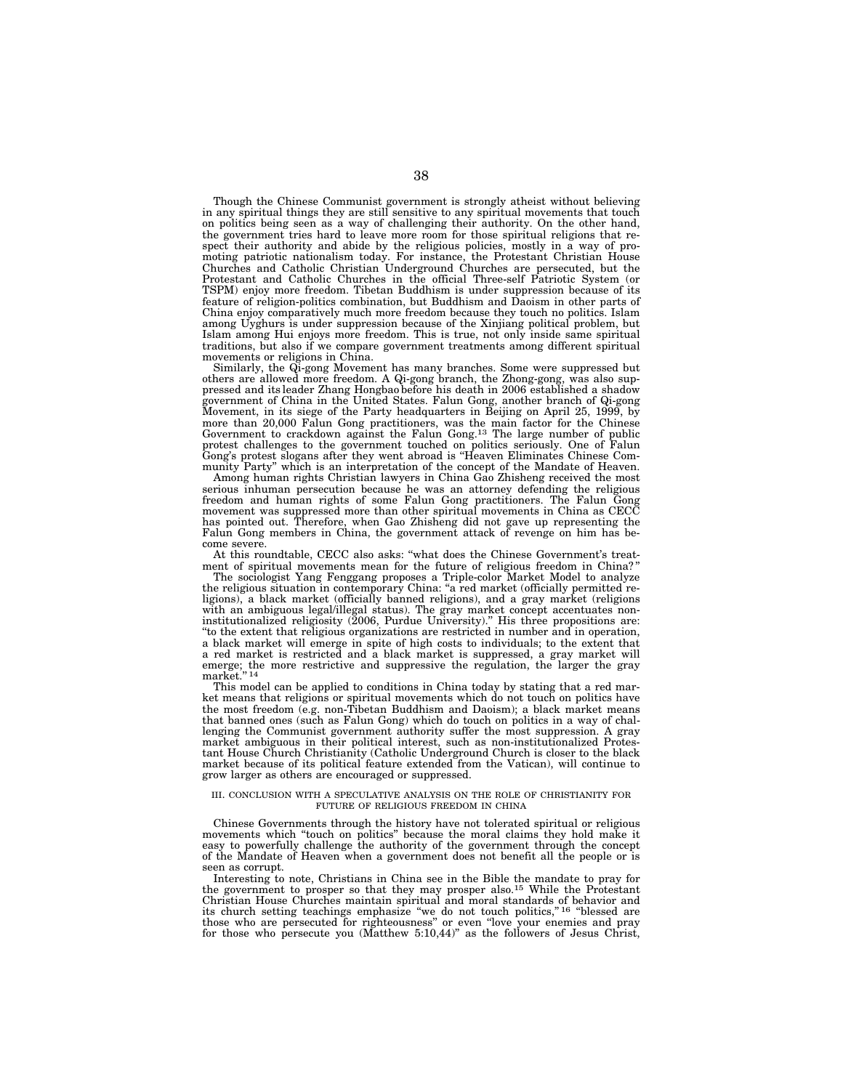Though the Chinese Communist government is strongly atheist without believing in any spiritual things they are still sensitive to any spiritual movements that touch on politics being seen as a way of challenging their authority. On the other hand, the government tries hard to leave more room for those spiritual religions that respect their authority and abide by the religious policies, mostly in a way of promoting patriotic nationalism today. For instance, the Protestant Christian House Churches and Catholic Christian Underground Churches are persecuted, but the Protestant and Catholic Churches in the official Three-self Patriotic System (or TSPM) enjoy more freedom. Tibetan Buddhism is under suppression because of its feature of religion-politics combination, but Buddhism and Daoism in other parts of China enjoy comparatively much more freedom because they touch no politics. Islam among Uyghurs is under suppression because of the Xinjiang political problem, but Islam among Hui enjoys more freedom. This is true, not only inside same spiritual traditions, but also if we compare government treatments among different spiritual movements or religions in China.

Similarly, the Qi-gong Movement has many branches. Some were suppressed but others are allowed more freedom. A Qi-gong branch, the Zhong-gong, was also suppressed and its leader Zhang Hongbao before his death in 2006 established a shadow government of China in the United States. Falun Gong, another branch of Qi-gong Movement, in its siege of the Party headquarters in Beijing on April 25, 1999, by more than 20,000 Falun Gong practitioners, was the main factor for the Chinese Government to crackdown against the Falun Gong.13 The large number of public protest challenges to the government touched on politics seriously. One of Falun Gong's protest slogans after they went abroad is ''Heaven Eliminates Chinese Community Party'' which is an interpretation of the concept of the Mandate of Heaven.

Among human rights Christian lawyers in China Gao Zhisheng received the most serious inhuman persecution because he was an attorney defending the religious freedom and human rights of some Falun Gong practitioners. The Falun Gong movement was suppressed more than other spiritual movements in China as CECC has pointed out. Therefore, when Gao Zhisheng did not gave up representing the Falun Gong members in China, the government attack of revenge on him has become severe.

At this roundtable, CECC also asks: ''what does the Chinese Government's treatment of spiritual movements mean for the future of religious freedom in China?'

The sociologist Yang Fenggang proposes a Triple-color Market Model to analyze the religious situation in contemporary China: ''a red market (officially permitted religions), a black market (officially banned religions), and a gray market (religions with an ambiguous legal/illegal status). The gray market concept accentuates noninstitutionalized religiosity (2006, Purdue University).'' His three propositions are: ''to the extent that religious organizations are restricted in number and in operation, a black market will emerge in spite of high costs to individuals; to the extent that a red market is restricted and a black market is suppressed, a gray market will emerge; the more restrictive and suppressive the regulation, the larger the gray market."<sup>14</sup>

This model can be applied to conditions in China today by stating that a red market means that religions or spiritual movements which do not touch on politics have the most freedom (e.g. non-Tibetan Buddhism and Daoism); a black market means that banned ones (such as Falun Gong) which do touch on politics in a way of challenging the Communist government authority suffer the most suppression. A gray market ambiguous in their political interest, such as non-institutionalized Protestant House Church Christianity (Catholic Underground Church is closer to the black market because of its political feature extended from the Vatican), will continue to grow larger as others are encouraged or suppressed.

#### III. CONCLUSION WITH A SPECULATIVE ANALYSIS ON THE ROLE OF CHRISTIANITY FOR FUTURE OF RELIGIOUS FREEDOM IN CHINA

Chinese Governments through the history have not tolerated spiritual or religious movements which "touch on politics" because the moral claims they hold make it easy to powerfully challenge the authority of the government through the concept of the Mandate of Heaven when a government does not benefit all the people or is seen as corrupt.

Interesting to note, Christians in China see in the Bible the mandate to pray for the government to prosper so that they may prosper also.<sup>15</sup> While the Protestant Christian House Churches maintain spiritual and moral standards of behavior and its church setting teachings emphasize "we do not touch politics,"<sup>16</sup> "blessed are those who are persecuted for righteousness'' or even ''love your enemies and pray for those who persecute you (Matthew 5:10,44)'' as the followers of Jesus Christ,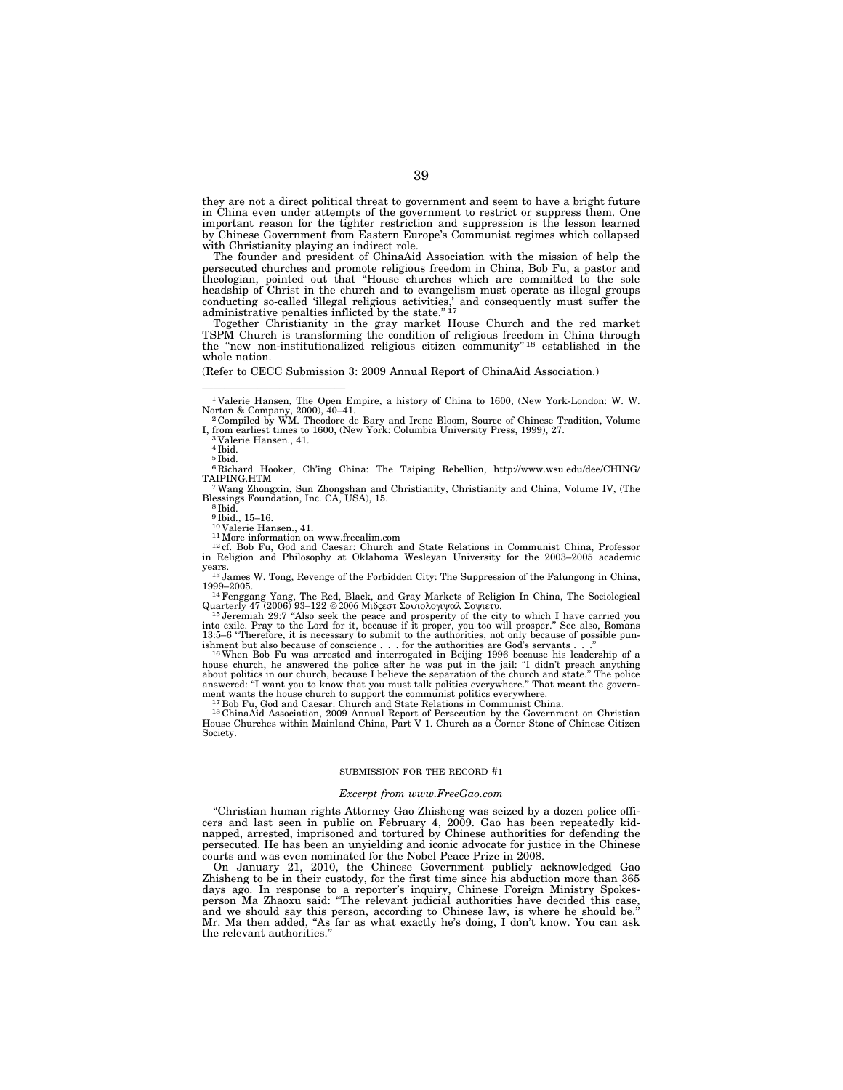they are not a direct political threat to government and seem to have a bright future in China even under attempts of the government to restrict or suppress them. One important reason for the tighter restriction and suppression is the lesson learned by Chinese Government from Eastern Europe's Communist regimes which collapsed with Christianity playing an indirect role.

The founder and president of ChinaAid Association with the mission of help the persecuted churches and promote religious freedom in China, Bob Fu, a pastor and theologian, pointed out that "House churches which are committed to the sole headship of Christ in the church and to evangelism must operate as illegal groups conducting so-called 'illegal religious activities,' and consequently must suffer the administrative penalties inflicted by the state."<sup>17</sup>

Together Christianity in the gray market House Church and the red market TSPM Church is transforming the condition of religious freedom in China through the ''new non-institutionalized religious citizen community'' 18 established in the whole nation.

(Refer to CECC Submission 3: 2009 Annual Report of ChinaAid Association.)

—————————————

Blessings Foundation, Inc. CA, USA), 15. <sup>8</sup> Ibid.

<sup>10</sup>Valerie Hansen., 41.<br><sup>11</sup> More information on www.freealim.com<br><sup>12</sup> ef. Bob Fu, God and Caesar: Church and State Relations in Communist China, Professor<br><sup>12</sup> ef. Bob Fu, God and Caesar: Church and State Relations in C

years. 13 James W. Tong, Revenge of the Forbidden City: The Suppression of the Falungong in China,

1999–2005. 14Fenggang Yang, The Red, Black, and Gray Markets of Religion In China, The Sociological

Quarterly 47 (2006) 93–122 © 2006 Μιδςεστ Σοψιολογιψαλ Σοψιετυ.<br><sup>15</sup> Jeremiah 29:7 "Also seek the peace and prosperity of the city to which I have carried you<br>into exile. Pray to the Lord for it, because if it proper, yo

ishment but also because of conscience . . . for the authorities are God's servants . . ."<br><sup>16</sup> When Bob Fu was arrested and interrogated in Beijing 1996 because his leadership of a<br>house church, he answered the police aft about politics in our church, because I believe the separation of the church and state." The police<br>answered: "I want you to know that you must talk politics everywhere." That meant the govern-

ment wants the house church to support the communist politics everywhere.<br><sup>17</sup>Bob Fu, God and Caesar: Church and State Relations in Communist China.<br><sup>18</sup>ChinaAid Association, 2009 Annual Report of Persecution by the Govern Society.

#### SUBMISSION FOR THE RECORD #1

#### *Excerpt from www.FreeGao.com*

''Christian human rights Attorney Gao Zhisheng was seized by a dozen police officers and last seen in public on February 4, 2009. Gao has been repeatedly kidnapped, arrested, imprisoned and tortured by Chinese authorities for defending the persecuted. He has been an unyielding and iconic advocate for justice in the Chinese courts and was even nominated for the Nobel Peace Prize in 2008.

On January 21, 2010, the Chinese Government publicly acknowledged Gao Zhisheng to be in their custody, for the first time since his abduction more than 365 days ago. In response to a reporter's inquiry, Chinese Foreign Ministry Spokesperson Ma Zhaoxu said: ''The relevant judicial authorities have decided this case, and we should say this person, according to Chinese law, is where he should be. Mr. Ma then added, "As far as what exactly he's doing, I don't know. You can ask the relevant authorities.''

<sup>1</sup> Valerie Hansen, The Open Empire, a history of China to 1600, (New York-London: W. W. Norton & Company, 2000), 40–41.<br><sup>2</sup> Compiled by WM. Theodore de Bary and Irene Bloom, Source of Chinese Tradition, Volume

I, from earliest times to 1600, (New York: Columbia University Press, 1999), 27. 3 Valerie Hansen., 41.

 $3$ Valerie Hansen., 41.<br> $4$  Ibid.

<sup>5</sup> Ibid.

<sup>6</sup> Richard Hooker, Ch'ing China: The Taiping Rebellion, http://www.wsu.edu/dee/CHING/ TAIPING.HTM 7Wang Zhongxin, Sun Zhongshan and Christianity, Christianity and China, Volume IV, (The

<sup>&</sup>lt;sup>9</sup> Ibid., 15–16.<br><sup>10</sup> Valerie Hansen., 41.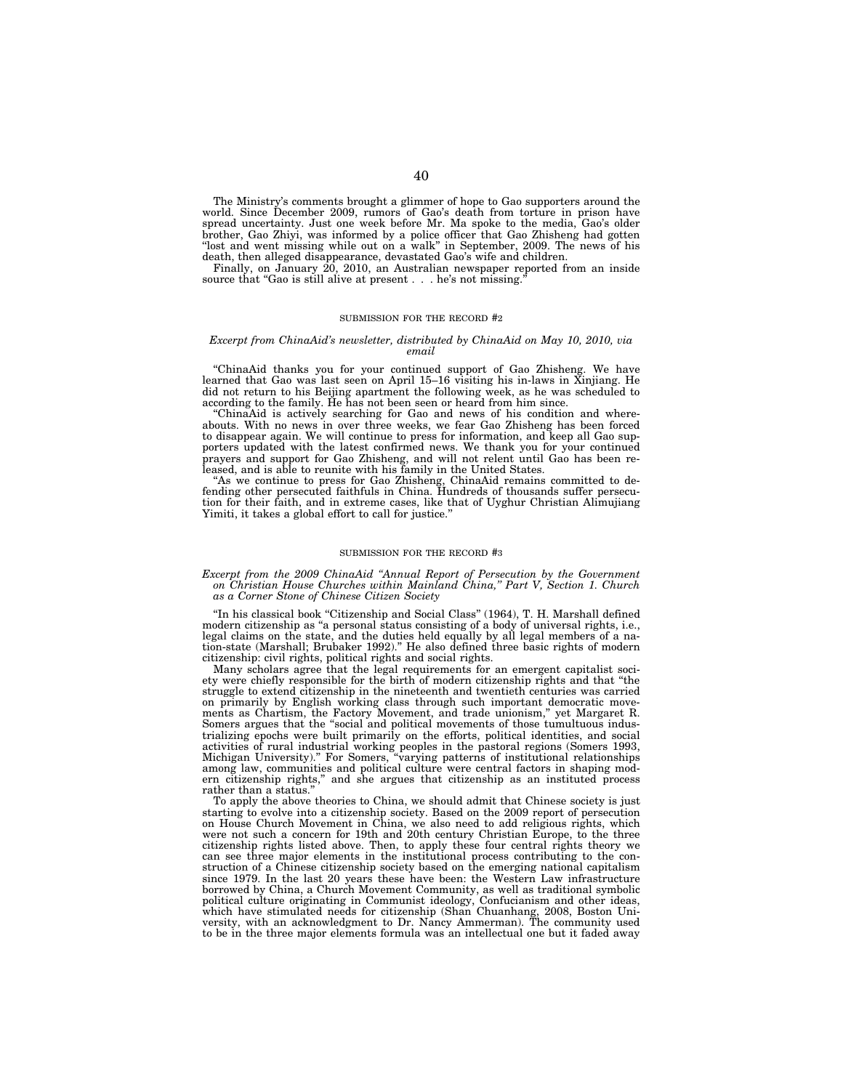The Ministry's comments brought a glimmer of hope to Gao supporters around the world. Since December 2009, rumors of Gao's death from torture in prison have spread uncertainty. Just one week before Mr. Ma spoke to the media, Gao's older brother, Gao Zhiyi, was informed by a police officer that Gao Zhisheng had gotten "lost and went missing while out on a walk" in September, 2009. The news of his death, then alleged disappearance, devastated Gao's wife and children.

Finally, on January 20, 2010, an Australian newspaper reported from an inside source that "Gao is still alive at present . . . he's not missing.

#### SUBMISSION FOR THE RECORD #2

#### *Excerpt from ChinaAid's newsletter, distributed by ChinaAid on May 10, 2010, via email*

''ChinaAid thanks you for your continued support of Gao Zhisheng. We have learned that Gao was last seen on April 15–16 visiting his in-laws in Xinjiang. He did not return to his Beijing apartment the following week, as he was scheduled to according to the family. He has not been seen or heard from him since.

''ChinaAid is actively searching for Gao and news of his condition and whereabouts. With no news in over three weeks, we fear Gao Zhisheng has been forced to disappear again. We will continue to press for information, and keep all Gao supporters updated with the latest confirmed news. We thank you for your continued prayers and support for Gao Zhisheng, and will not relent until Gao has been released, and is able to reunite with his family in the United States.

''As we continue to press for Gao Zhisheng, ChinaAid remains committed to defending other persecuted faithfuls in China. Hundreds of thousands suffer persecution for their faith, and in extreme cases, like that of Uyghur Christian Alimujiang Yimiti, it takes a global effort to call for justice.''

#### SUBMISSION FOR THE RECORD #3

#### *Excerpt from the 2009 ChinaAid ''Annual Report of Persecution by the Government on Christian House Churches within Mainland China,'' Part V, Section 1. Church as a Corner Stone of Chinese Citizen Society*

"In his classical book "Citizenship and Social Class" (1964), T. H. Marshall defined modern citizenship as "a personal status consisting of a body of universal rights, i.e., legal claims on the state, and the duties held equally by all legal members of a nation-state (Marshall; Brubaker 1992).'' He also defined three basic rights of modern citizenship: civil rights, political rights and social rights.

Many scholars agree that the legal requirements for an emergent capitalist society were chiefly responsible for the birth of modern citizenship rights and that ''the struggle to extend citizenship in the nineteenth and twentieth centuries was carried on primarily by English working class through such important democratic movements as Chartism, the Factory Movement, and trade unionism,'' yet Margaret R. Somers argues that the ''social and political movements of those tumultuous industrializing epochs were built primarily on the efforts, political identities, and social activities of rural industrial working peoples in the pastoral regions (Somers 1993, Michigan University).'' For Somers, ''varying patterns of institutional relationships among law, communities and political culture were central factors in shaping modern citizenship rights,'' and she argues that citizenship as an instituted process rather than a status.

To apply the above theories to China, we should admit that Chinese society is just starting to evolve into a citizenship society. Based on the 2009 report of persecution on House Church Movement in China, we also need to add religious rights, which were not such a concern for 19th and 20th century Christian Europe, to the three citizenship rights listed above. Then, to apply these four central rights theory we can see three major elements in the institutional process contributing to the construction of a Chinese citizenship society based on the emerging national capitalism since 1979. In the last 20 years these have been: the Western Law infrastructure borrowed by China, a Church Movement Community, as well as traditional symbolic political culture originating in Communist ideology, Confucianism and other ideas,<br>which have stimulated needs for citizenship (Shan Chuanhang, 2008, Boston Uni-<br>versity, with an acknowledgment to Dr. Nancy Ammerman). The to be in the three major elements formula was an intellectual one but it faded away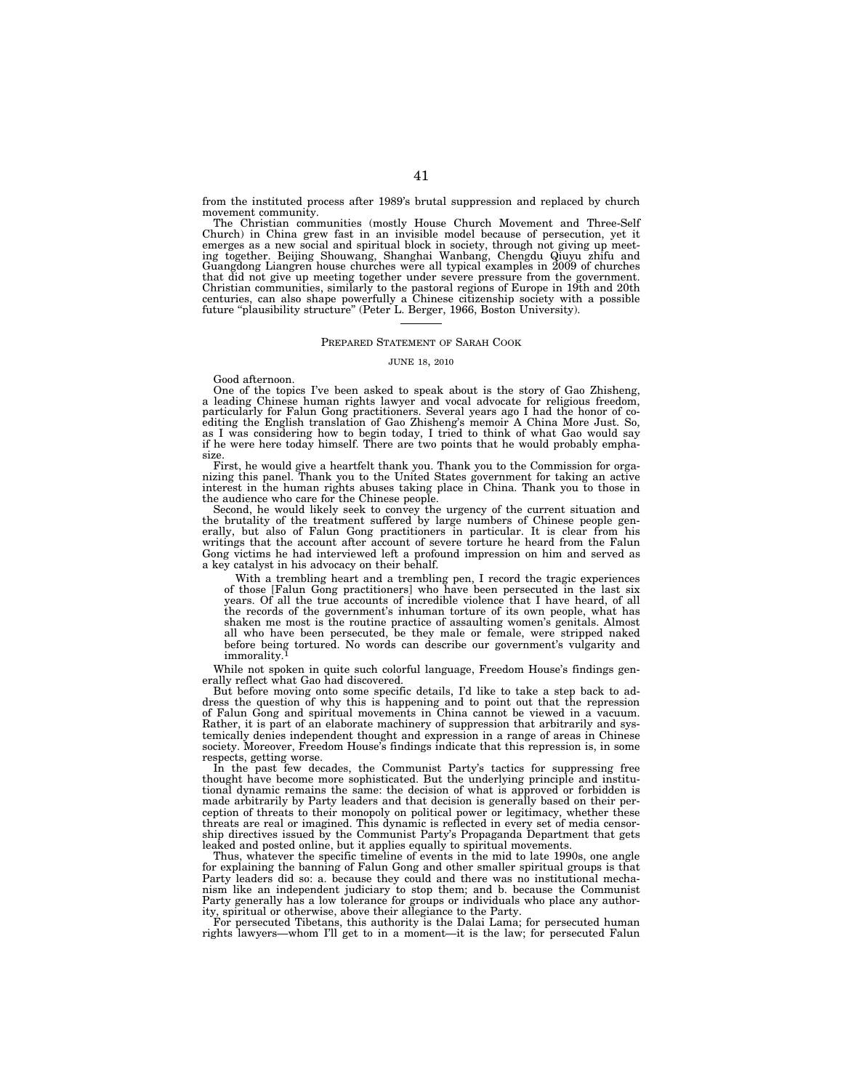from the instituted process after 1989's brutal suppression and replaced by church movement community.

The Christian communities (mostly House Church Movement and Three-Self Church) in China grew fast in an invisible model because of persecution, yet it emerges as a new social and spiritual block in society, through not giving up meet-ing together. Beijing Shouwang, Shanghai Wanbang, Chengdu Qiuyu zhifu and Guangdong Liangren house churches were all typical examples in 2009 of churches that did not give up meeting together under severe pressure from the government.<br>Christian communities, similarly to the pastoral regions of Europe in 19th and 20th<br>centuries, can also shape powerfully a Chinese citizenshi

#### PREPARED STATEMENT OF SARAH COOK

#### JUNE 18, 2010

Good afternoon.

One of the topics I've been asked to speak about is the story of Gao Zhisheng, a leading Chinese human rights lawyer and vocal advocate for religious freedom, particularly for Falun Gong practitioners. Several years ago I had the honor of coediting the English translation of Gao Zhisheng's memoir A China More Just. So, as I was considering how to begin today, I tried to think of what Gao would say if he were here today himself. There are two points that he would probably emphasize.

First, he would give a heartfelt thank you. Thank you to the Commission for organizing this panel. Thank you to the United States government for taking an active interest in the human rights abuses taking place in China. T the audience who care for the Chinese people.

Second, he would likely seek to convey the urgency of the current situation and the brutality of the treatment suffered by large numbers of Chinese people generally, but also of Falun Gong practitioners in particular. It is clear from his writings that the account after account of severe torture he heard from the Falun Gong victims he had interviewed left a profound impression on him and served as a key catalyst in his advocacy on their behalf.

With a trembling heart and a trembling pen, I record the tragic experiences of those [Falun Gong practitioners] who have been persecuted in the last six years. Of all the true accounts of incredible violence that I have heard, of all the records of the government's inhuman torture of its own people, what has shaken me most is the routine practice of assaulting women's genitals. Almost all who have been persecuted, be they male or female, were stripped naked before being tortured. No words can describe our government's vulgarity and immorality.

While not spoken in quite such colorful language, Freedom House's findings generally reflect what Gao had discovered.

But before moving onto some specific details, I'd like to take a step back to address the question of why this is happening and to point out that the repression of Falun Gong and spiritual movements in China cannot be viewed in a vacuum. Rather, it is part of an elaborate machinery of suppression that arbitrarily and systemically denies independent thought and expression in a range of areas in Chinese society. Moreover, Freedom House's findings indicate that this repression is, in some respects, getting worse.

In the past few decades, the Communist Party's tactics for suppressing free thought have become more sophisticated. But the underlying principle and institutional dynamic remains the same: the decision of what is approved or forbidden is made arbitrarily by Party leaders and that decision is generally based on their perception of threats to their monopoly on political power or legitimacy, whether these threats are real or imagined. This dynamic is reflected in every set of media censorship directives issued by the Communist Party's Propaganda Department that gets leaked and posted online, but it applies equally to spiritual movements.

Thus, whatever the specific timeline of events in the mid to late 1990s, one angle for explaining the banning of Falun Gong and other smaller spiritual groups is that Party leaders did so: a. because they could and there was no institutional mechanism like an independent judiciary to stop them; and b. because the Communist Party generally has a low tolerance for groups or individuals who place any author-

ity, spiritual or otherwise, above their allegiance to the Party. For persecuted Tibetans, this authority is the Dalai Lama; for persecuted human rights lawyers—whom I'll get to in a moment—it is the law; for persecuted Falun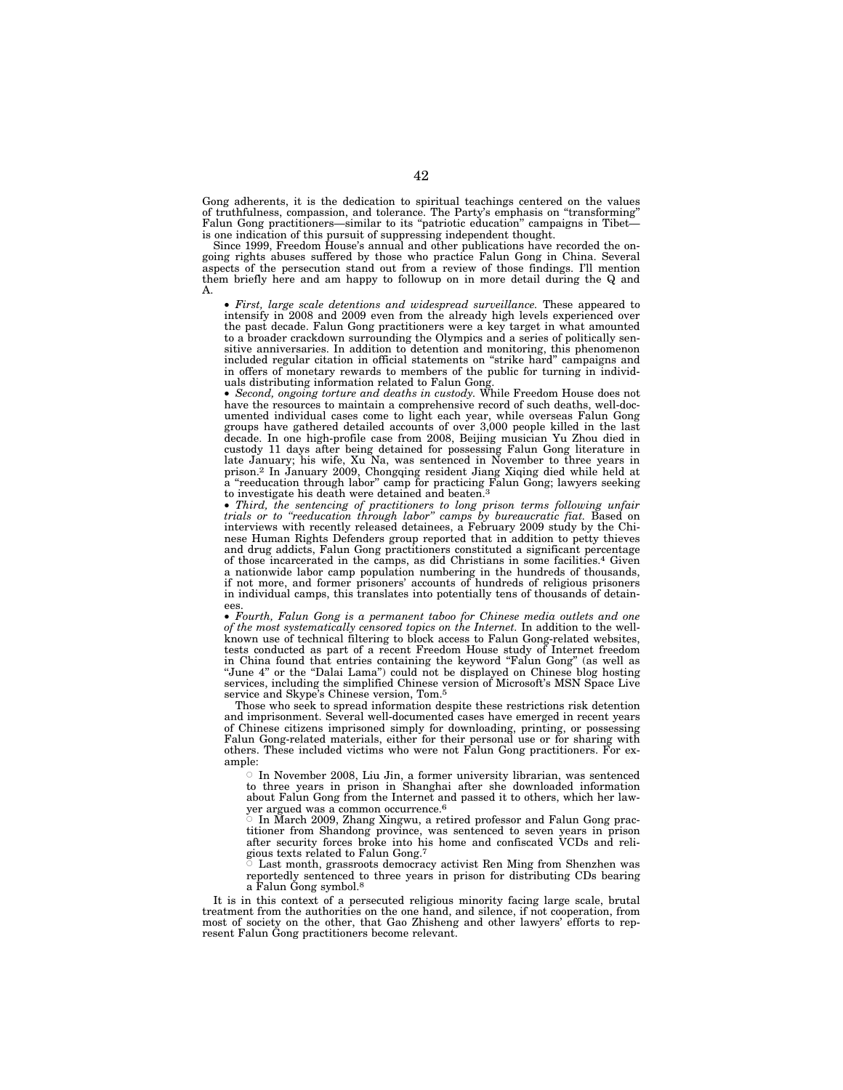Gong adherents, it is the dedication to spiritual teachings centered on the values of truthfulness, compassion, and tolerance. The Party's emphasis on ''transforming'' Falun Gong practitioners—similar to its "patriotic education" campaigns in Tibet is one indication of this pursuit of suppressing independent thought.

Since 1999, Freedom House's annual and other publications have recorded the ongoing rights abuses suffered by those who practice Falun Gong in China. Several aspects of the persecution stand out from a review of those findings. I'll mention them briefly here and am happy to followup on in more detail during the Q and A.

• *First, large scale detentions and widespread surveillance.* These appeared to intensify in 2008 and 2009 even from the already high levels experienced over the past decade. Falun Gong practitioners were a key target in what amounted to a broader crackdown surrounding the Olympics and a series of politically sensitive anniversaries. In addition to detention and monitoring, this phenomenon included regular citation in official statements on ''strike hard'' campaigns and in offers of monetary rewards to members of the public for turning in individuals distributing information related to Falun Gong

• *Second, ongoing torture and deaths in custody.* While Freedom House does not have the resources to maintain a comprehensive record of such deaths, well-documented individual cases come to light each year, while overseas Falun Gong groups have gathered detailed accounts of over 3,000 people killed in the last decade. In one high-profile case from 2008, Beijing musician Yu Zhou died in custody 11 days after being detained for possessing Falun Gong literature in late January; his wife, Xu Na, was sentenced in November to three years in prison.2 In January 2009, Chongqing resident Jiang Xiqing died while held at a ''reeducation through labor'' camp for practicing Falun Gong; lawyers seeking to investigate his death were detained and beaten.<sup>3</sup>

• *Third, the sentencing of practitioners to long prison terms following unfair trials or to ''reeducation through labor'' camps by bureaucratic fiat.* Based on interviews with recently released detainees, a February 2009 study by the Chinese Human Rights Defenders group reported that in addition to petty thieves and drug addicts, Falun Gong practitioners constituted a significant percentage of those incarcerated in the camps, as did Christians in some facilities.4 Given a nationwide labor camp population numbering in the hundreds of thousands, if not more, and former prisoners' accounts of hundreds of religious prisoners in individual camps, this translates into potentially tens of thousands of detainees.

• *Fourth, Falun Gong is a permanent taboo for Chinese media outlets and one of the most systematically censored topics on the Internet.* In addition to the wellknown use of technical filtering to block access to Falun Gong-related websites, tests conducted as part of a recent Freedom House study of Internet freedom in China found that entries containing the keyword "Falun Gong" (as well as "June 4" or the "Dalai Lama") could not be displayed on Chinese blog hosting services, including the simplified Chinese version of Microsoft's MSN Space Live service and Skype's Chinese version, Tom.<sup>5</sup>

Those who seek to spread information despite these restrictions risk detention and imprisonment. Several well-documented cases have emerged in recent years of Chinese citizens imprisoned simply for downloading, printing, or possessing Falun Gong-related materials, either for their personal use or for sharing with others. These included victims who were not Falun Gong practitioners. For example:

Æ In November 2008, Liu Jin, a former university librarian, was sentenced to three years in prison in Shanghai after she downloaded information about Falun Gong from the Internet and passed it to others, which her lawyer argued was a common occurrence.<sup>6</sup><br>© In March 2009. Zhang Xingwu, a re

 In March 2009, Zhang Xingwu, a retired professor and Falun Gong practitioner from Shandong province, was sentenced to seven years in prison after security forces broke into his home and confiscated VCDs and religious texts related to Falun Gong.7 Æ

 Last month, grassroots democracy activist Ren Ming from Shenzhen was reportedly sentenced to three years in prison for distributing CDs bearing a Falun Gong symbol.8

It is in this context of a persecuted religious minority facing large scale, brutal treatment from the authorities on the one hand, and silence, if not cooperation, from most of society on the other, that Gao Zhisheng and other lawyers' efforts to represent Falun Gong practitioners become relevant.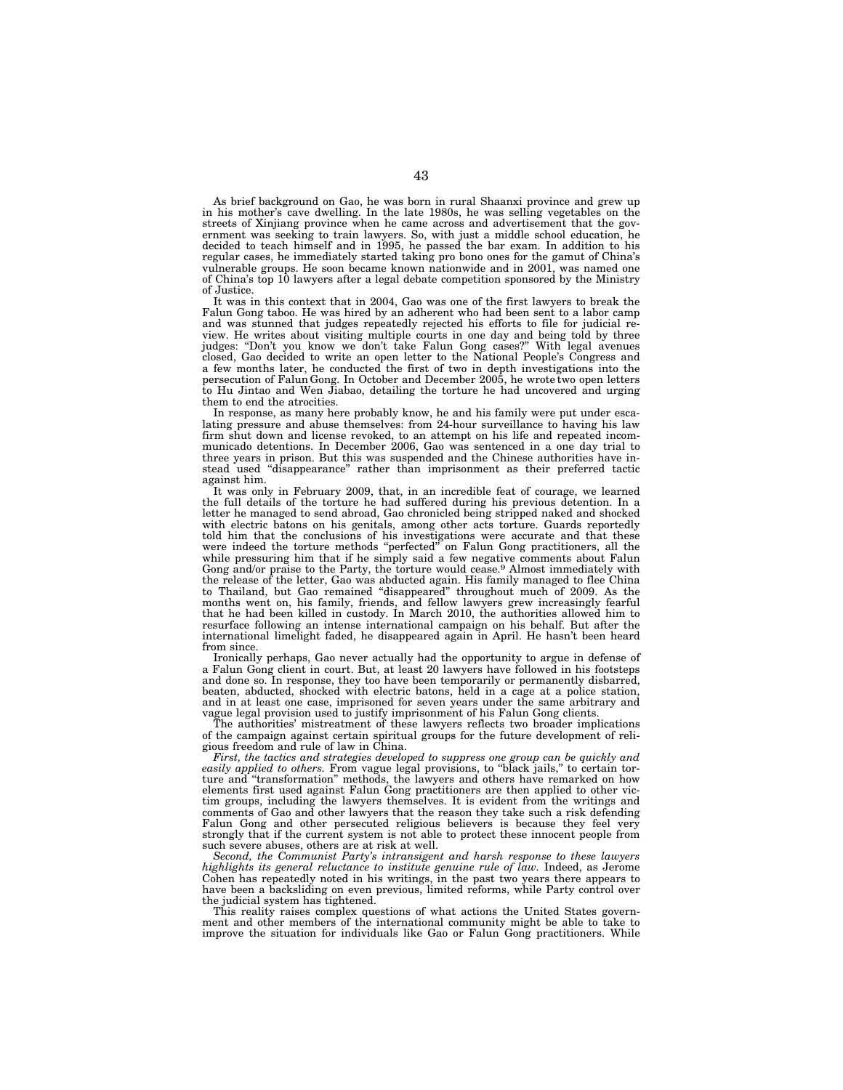As brief background on Gao, he was born in rural Shaanxi province and grew up in his mother's cave dwelling. In the late 1980s, he was selling vegetables on the streets of Xinjiang province when he came across and advertisement that the government was seeking to train lawyers. So, with just a middle school education, he decided to teach himself and in 1995, he passed the bar exam. In addition to his regular cases, he immediately started taking pro bono ones for the gamut of China's vulnerable groups. He soon became known nationwide and in 2001, was named one of China's top 10 lawyers after a legal debate competition sponsored by the Ministry of Justice.

It was in this context that in 2004, Gao was one of the first lawyers to break the Falun Gong taboo. He was hired by an adherent who had been sent to a labor camp and was stunned that judges repeatedly rejected his efforts to file for judicial review. He writes about visiting multiple courts in one day and being told by three judges: "Don't you know we don't take Falun Gong cases?" With legal avenues closed, Gao decided to write an open letter to the National People's Congress and a few months later, he conducted the first of two in depth investigations into the persecution of Falun Gong. In October and December 2005, he wrote two open letters to Hu Jintao and Wen Jiabao, detailing the torture he had uncovered and urging them to end the atrocities.

In response, as many here probably know, he and his family were put under escalating pressure and abuse themselves: from 24-hour surveillance to having his law firm shut down and license revoked, to an attempt on his life and repeated incommunicado detentions. In December 2006, Gao was sentenced in a one day trial to three years in prison. But this was suspended and the Chinese authorities have instead used "disappearance" rather than imprisonment as their preferred tactic against him.

It was only in February 2009, that, in an incredible feat of courage, we learned the full details of the torture he had suffered during his previous detention. In a letter he managed to send abroad, Gao chronicled being stripped naked and shocked with electric batons on his genitals, among other acts torture. Guards reportedly told him that the conclusions of his investigations were accurate and that these were indeed the torture methods "perfected" on Falun Gong practitioners, all the while pressuring him that if he simply said a few negative comments about Falun Gong and/or praise to the Party, the torture would cease.<sup>9</sup> Almost immediately with the release of the letter, Gao was abducted again. His family managed to flee China to Thailand, but Gao remained ''disappeared'' throughout much of 2009. As the months went on, his family, friends, and fellow lawyers grew increasingly fearful that he had been killed in custody. In March 2010, the authorities allowed him to resurface following an intense international campaign on his behalf. But after the international limelight faded, he disappeared again in April. He hasn't been heard from since.

Ironically perhaps, Gao never actually had the opportunity to argue in defense of a Falun Gong client in court. But, at least 20 lawyers have followed in his footsteps and done so. In response, they too have been temporarily or permanently disbarred, beaten, abducted, shocked with electric batons, held in a cage at a police station, and in at least one case, imprisoned for seven years under the same arbitrary and vague legal provision used to justify imprisonment of his Falun Gong clients.

The authorities' mistreatment of these lawyers reflects two broader implications of the campaign against certain spiritual groups for the future development of religious freedom and rule of law in China.

*First, the tactics and strategies developed to suppress one group can be quickly and easily applied to others.* From vague legal provisions, to ''black jails,'' to certain torture and ''transformation'' methods, the lawyers and others have remarked on how elements first used against Falun Gong practitioners are then applied to other victim groups, including the lawyers themselves. It is evident from the writings and comments of Gao and other lawyers that the reason they take such a risk defending Falun Gong and other persecuted religious believers is because they feel very strongly that if the current system is not able to protect these innocent people from such severe abuses, others are at risk at well.

*Second, the Communist Party's intransigent and harsh response to these lawyers highlights its general reluctance to institute genuine rule of law.* Indeed, as Jerome Cohen has repeatedly noted in his writings, in the past two years there appears to have been a backsliding on even previous, limited reforms, while Party control over the judicial system has tightened.

This reality raises complex questions of what actions the United States government and other members of the international community might be able to take to improve the situation for individuals like Gao or Falun Gong practitioners. While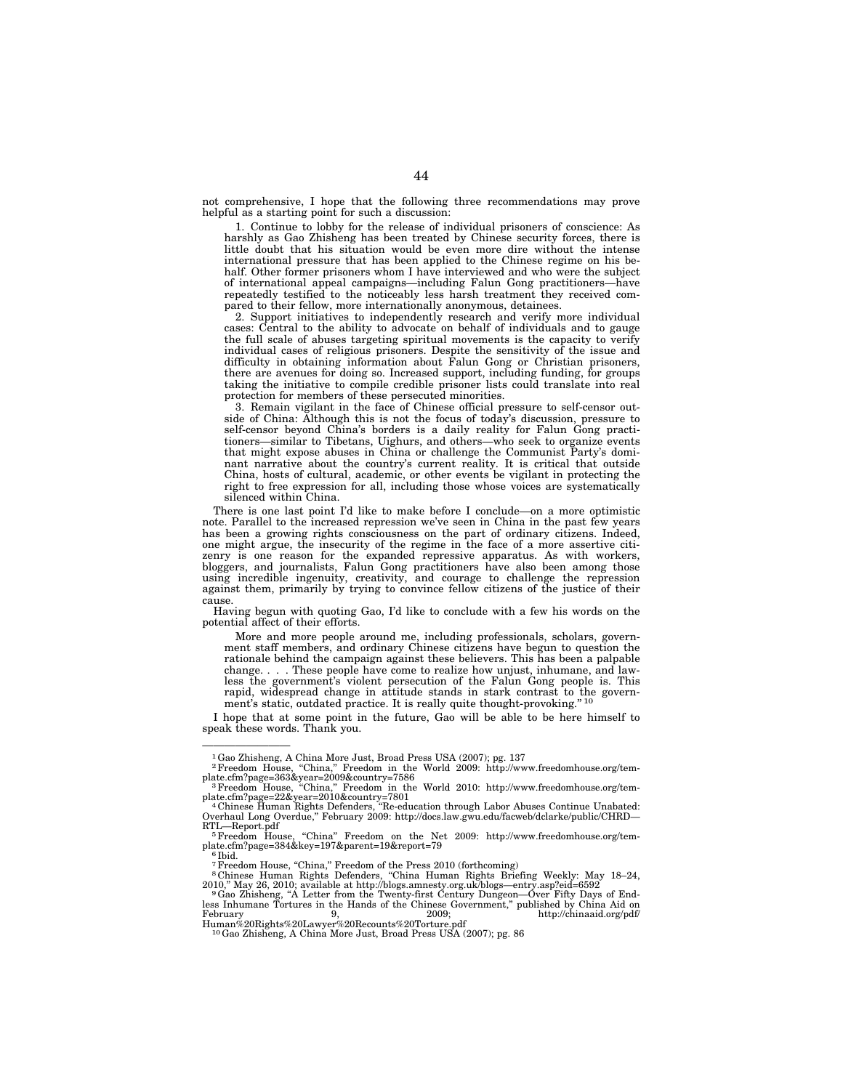not comprehensive, I hope that the following three recommendations may prove helpful as a starting point for such a discussion:

1. Continue to lobby for the release of individual prisoners of conscience: As harshly as Gao Zhisheng has been treated by Chinese security forces, there is little doubt that his situation would be even more dire without the intense international pressure that has been applied to the Chinese regime on his behalf. Other former prisoners whom I have interviewed and who were the subject of international appeal campaigns—including Falun Gong practitioners—have repeatedly testified to the noticeably less harsh treatment they received compared to their fellow, more internationally anonymous, detainees.

2. Support initiatives to independently research and verify more individual cases: Central to the ability to advocate on behalf of individuals and to gauge the full scale of abuses targeting spiritual movements is the capacity to verify individual cases of religious prisoners. Despite the sensitivity of the issue and difficulty in obtaining information about Falun Gong or Christian prisoners, there are avenues for doing so. Increased support, including funding, for groups taking the initiative to compile credible prisoner lists could translate into real protection for members of these persecuted minorities.

3. Remain vigilant in the face of Chinese official pressure to self-censor outside of China: Although this is not the focus of today's discussion, pressure to self-censor beyond China's borders is a daily reality for Falun Gong practitioners—similar to Tibetans, Uighurs, and others—who seek to organize events that might expose abuses in China or challenge the Communist Party's dominant narrative about the country's current reality. It is critical that outside China, hosts of cultural, academic, or other events be vigilant in protecting the right to free expression for all, including those whose voices are systematically silenced within China.

There is one last point I'd like to make before I conclude—on a more optimistic note. Parallel to the increased repression we've seen in China in the past few years has been a growing rights consciousness on the part of ordinary citizens. Indeed, one might argue, the insecurity of the regime in the face of a more assertive citizenry is one reason for the expanded repressive apparatus. As with workers, bloggers, and journalists, Falun Gong practitioners have also been among those using incredible ingenuity, creativity, and courage to challenge the repression against them, primarily by trying to convince fellow citizens of the justice of their cause.

Having begun with quoting Gao, I'd like to conclude with a few his words on the potential affect of their efforts.

More and more people around me, including professionals, scholars, government staff members, and ordinary Chinese citizens have begun to question the rationale behind the campaign against these believers. This has been a palpable change. . . . These people have come to realize how unjust, inhumane, and lawless the government's violent persecution of the Falun Gong people is. This rapid, widespread change in attitude stands in stark contrast to the government's static, outdated practice. It is really quite thought-provoking."<sup>10</sup>

I hope that at some point in the future, Gao will be able to be here himself to speak these words. Thank you.

————————

<sup>&</sup>lt;sup>1</sup> Gao Zhisheng, A China More Just, Broad Press USA (2007); pg. 137<br><sup>2</sup> Freedom House, "China," Freedom in the World 2009: http://www.freedomhouse.org/template.cfm?page=363&year=2009&country=7586 3Freedom House, ''China,'' Freedom in the World 2010: http://www.freedomhouse.org/tem-

plate.cfm?page=22&year=2010&country=7801 4 Chinese Human Rights Defenders, ''Re-education through Labor Abuses Continue Unabated: <sup>4</sup>Chinese Human Rights Defenders, "Re-education through Labor Abuses Continue Unabated:<br>Overhaul Long Overdue," February 2009: http://docs.law.gwu.edu/facweb/dclarke/public/CHRD—

RTL—Report.pdf<br>
<sup>5</sup>Freedom House, "China" Freedom on the Net 2009: http://www.freedomhouse.org/template.cfm?page=384&key=197&parent=19&report=79

<sup>7</sup>Freedom House, ''China,'' Freedom of the Press 2010 (forthcoming) 8 Chinese Human Rights Defenders, ''China Human Rights Briefing Weekly: May 18–24,

<sup>2010,&</sup>quot; May 26, 2010; available at http://blogs.amnesty.org.uk/blogs—entry.asp?eid=6592<br><sup>9</sup>Gao Zhisheng, "A Letter from the Twenty-first Century Dungeon—Over Fifty Days of End-<br>less Inhumane Tortures in the Hands of the Chi

February 9, 2009; http://chinaaid.org/pdf/ Human%20Rights%20Lawyer%20Recounts%20Torture.pdf 10Gao Zhisheng, A China More Just, Broad Press USA (2007); pg. 86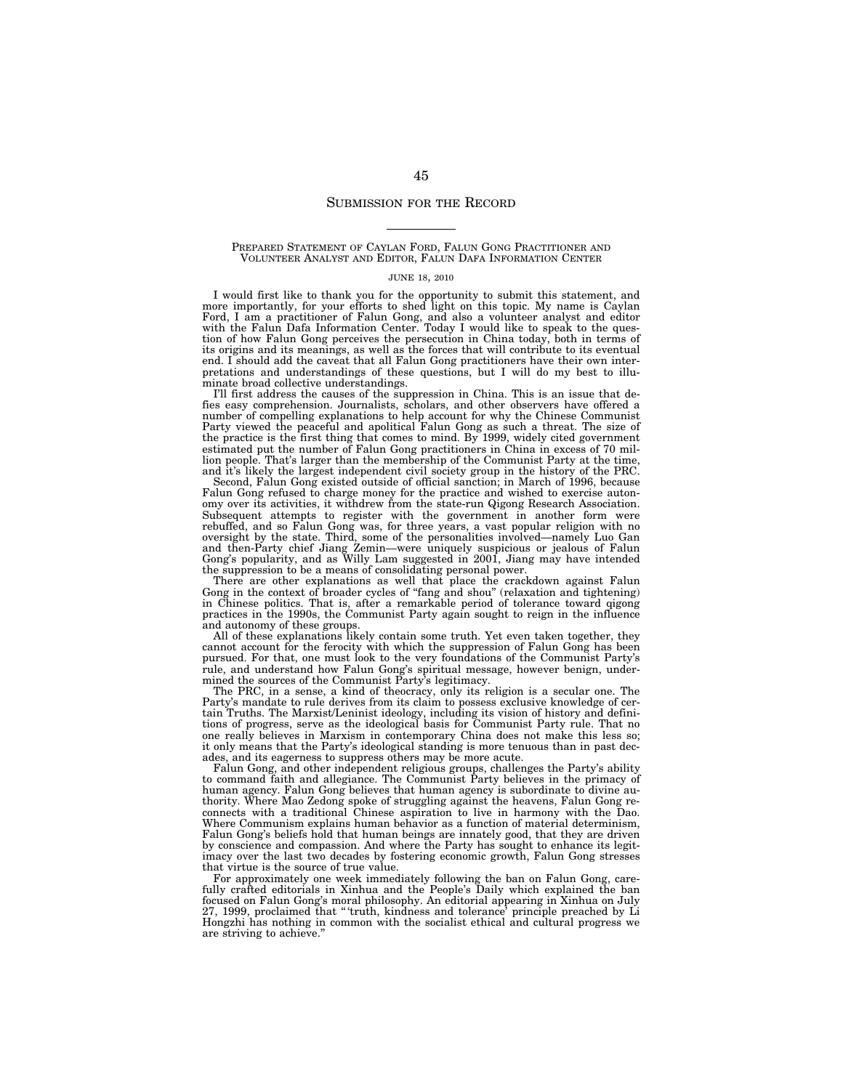#### SUBMISSION FOR THE RECORD

#### PREPARED STATEMENT OF CAYLAN FORD, FALUN GONG PRACTITIONER AND VOLUNTEER ANALYST AND EDITOR, FALUN DAFA INFORMATION CENTER

#### JUNE 18, 2010

I would first like to thank you for the opportunity to submit this statement, and more importantly, for your efforts to shed light on this topic. My name is Caylan Ford, I am a practitioner of Falun Gong, and also a volunteer analyst and editor with the Falun Dafa Information Center. Today I would like to speak to the question of how Falun Gong perceives the persecution in China today, both in terms of its origins and its meanings, as well as the forces that will contribute to its eventual end. I should add the caveat that all Falun Gong practitioners have their own interpretations and understandings of these questions, but I will do my best to illuminate broad collective understandings.

I'll first address the causes of the suppression in China. This is an issue that defies easy comprehension. Journalists, scholars, and other observers have offered a number of compelling explanations to help account for why the Chinese Communist Party viewed the peaceful and apolitical Falun Gong as such a threat. The size of the practice is the first thing that comes to mind. By 1999, widely cited government estimated put the number of Falun Gong practitioners in China in excess of 70 million people. That's larger than the membership of the Communist Party at the time, and it's likely the largest independent civil society group in the history of the PRC.

Second, Falun Gong existed outside of official sanction; in March of 1996, because Falun Gong refused to charge money for the practice and wished to exercise autonomy over its activities, it withdrew from the state-run Qigong Research Association. Subsequent attempts to register with the government in another form were rebuffed, and so Falun Gong was, for three years, a vast popular religion with no oversight by the state. Third, some of the personalities involved—namely Luo Gan and then-Party chief Jiang Zemin—were uniquely suspicious or jealous of Falun Gong's popularity, and as Willy Lam suggested in 2001, Jiang may have intended the suppression to be a means of consolidating personal power.

There are other explanations as well that place the crackdown against Falun Gong in the context of broader cycles of ''fang and shou'' (relaxation and tightening) in Chinese politics. That is, after a remarkable period of tolerance toward qigong practices in the 1990s, the Communist Party again sought to reign in the influence and autonomy of these groups.

All of these explanations likely contain some truth. Yet even taken together, they cannot account for the ferocity with which the suppression of Falun Gong has been pursued. For that, one must look to the very foundations of the Communist Party's rule, and understand how Falun Gong's spiritual message, however benign, undermined the sources of the Communist Party's legitimacy.

The PRC, in a sense, a kind of theocracy, only its religion is a secular one. The Party's mandate to rule derives from its claim to possess exclusive knowledge of certain Truths. The Marxist/Leninist ideology, including its vision of history and definitions of progress, serve as the ideological basis for Communist Party rule. That no one really believes in Marxism in contemporary China does not make this less so; it only means that the Party's ideological standing is more tenuous than in past decades, and its eagerness to suppress others may be more acute.

Falun Gong, and other independent religious groups, challenges the Party's ability to command faith and allegiance. The Communist Party believes in the primacy of human agency. Falun Gong believes that human agency is subordinate to divine authority. Where Mao Zedong spoke of struggling against the heavens, Falun Gong reconnects with a traditional Chinese aspiration to live in harmony with the Dao. Where Communism explains human behavior as a function of material determinism, Falun Gong's beliefs hold that human beings are innately good, that they are driven by conscience and compassion. And where the Party has sought to enhance its legitimacy over the last two decades by fostering economic growth, Falun Gong stresses that virtue is the source of true value.

For approximately one week immediately following the ban on Falun Gong, carefully crafted editorials in Xinhua and the People's Daily which explained the ban focused on Falun Gong's moral philosophy. An editorial appearing in Xinhua on July 27, 1999, proclaimed that '' 'truth, kindness and tolerance' principle preached by Li Hongzhi has nothing in common with the socialist ethical and cultural progress we are striving to achieve.''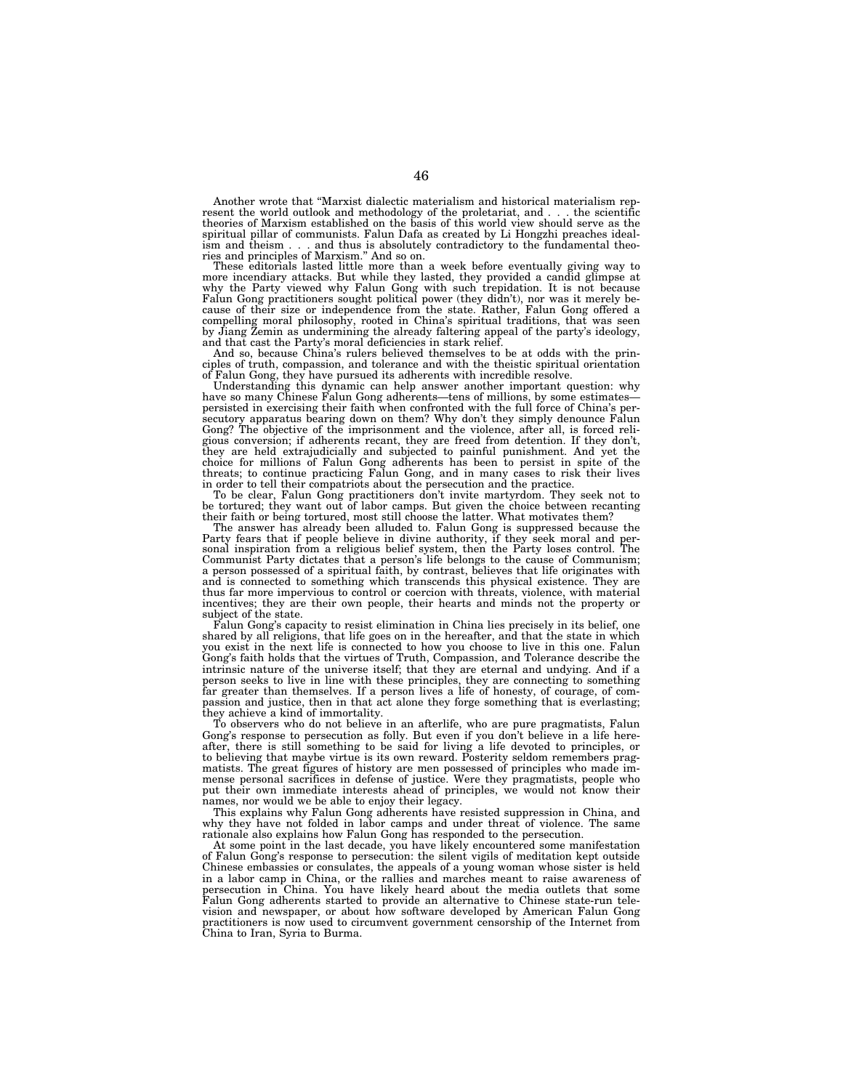Another wrote that ''Marxist dialectic materialism and historical materialism represent the world outlook and methodology of the proletariat, and . . . the scientific theories of Marxism established on the basis of this world view should serve as the spiritual pillar of communists. Falun Dafa as created by Li Hongzhi preaches idealis and thus is absolutely contradictory to the fundamental theoism and theism . . . and thus is absolutel<br>ries and principles of Marxism." And so on.

These editorials lasted little more than a week before eventually giving way to more incendiary attacks. But while they lasted, they provided a candid glimpse at why the Party viewed why Falun Gong with such trepidation. It is not because<br>Falun Gong practitioners sought political power (they didn't), nor was it merely be-<br>cause of their size or independence from the state. Rather, compelling moral philosophy, rooted in China's spiritual traditions, that was seen by Jiang Zemin as undermining the already faltering appeal of the party's ideology, and that cast the Party's moral deficiencies in stark relief.

And so, because China's rulers believed themselves to be at odds with the principles of truth, compassion, and tolerance and with the theistic spiritual orientation of Falun Gong, they have pursued its adherents with incredible resolve.

Understanding this dynamic can help answer another important question: why have so many Chinese Falun Gong adherents—tens of millions, by some estimates persisted in exercising their faith when confronted with the full force of China's per-secutory apparatus bearing down on them? Why don't they simply denounce Falun Gong? The objective of the imprisonment and the violence, after all, is forced reli-gious conversion; if adherents recant, they are freed from detention. If they don't, they are held extrajudicially and subjected to painful punishment. And yet the choice for millions of Falun Gong adherents has been to persist in spite of the threats; to continue practicing Falun Gong, and in many cases to risk their lives in order to tell their compatriots about the persecution and the practice.

To be clear, Falun Gong practitioners don't invite martyrdom. They seek not to be tortured; they want out of labor camps. But given the choice between recanting

their faith or being tortured, most still choose the latter. What motivates them?<br>The answer has already been alluded to. Falun Gong is suppressed because the<br>Party fears that if people believe in divine authority, if they Communist Party dictates that a person's life belongs to the cause of Communism; a person possessed of a spiritual faith, by contrast, believes that life originates with a person persense of a spiritual rain, by contract, some test diat the originates when thus far more impervious to control or coercion with threats, violence, with material incentives; they are their own people, their hearts and minds not the property or subject of the state.

Falun Gong's capacity to resist elimination in China lies precisely in its belief, one shared by all religions, that life goes on in the hereafter, and that the state in which you exist in the next life is connected to how you choose to live in this one. Falun Gong's faith holds that the virtues of Truth, Compassion, and Tolerance describe the intrinsic nature of the universe itself; that they are eternal and undying. And if a person seeks to live in line with these principles, they are connecting to something far greater than themselves. If a person lives a life of honesty, of courage, of compassion and justice, then in that act alone they forge something that is everlasting; they achieve a kind of immortality.

To observers who do not believe in an afterlife, who are pure pragmatists, Falun Gong's response to persecution as folly. But even if you don't believe in a life hereafter, there is still something to be said for living a life devoted to principles, or to believing that maybe virtue is its own reward. Posterity seldom remembers pragmatists. The great figures of history are men possessed of principles who made immense personal sacrifices in defense of justice. Were they pragmatists, people who put their own immediate interests ahead of principles, we would not know their names, nor would we be able to enjoy their legacy.

This explains why Falun Gong adherents have resisted suppression in China, and why they have not folded in labor camps and under threat of violence. The same rationale also explains how Falun Gong has responded to the persecution.

At some point in the last decade, you have likely encountered some manifestation of Falun Gong's response to persecution: the silent vigils of meditation kept outside Chinese embassies or consulates, the appeals of a young woman whose sister is held in a labor camp in China, or the rallies and marches meant to raise awareness of persecution in China. You have likely heard about the media outlets that some Falun Gong adherents started to provide an alternative to Chinese state-run television and newspaper, or about how software developed by American Falun Gong practitioners is now used to circumvent government censorship of the Internet from China to Iran, Syria to Burma.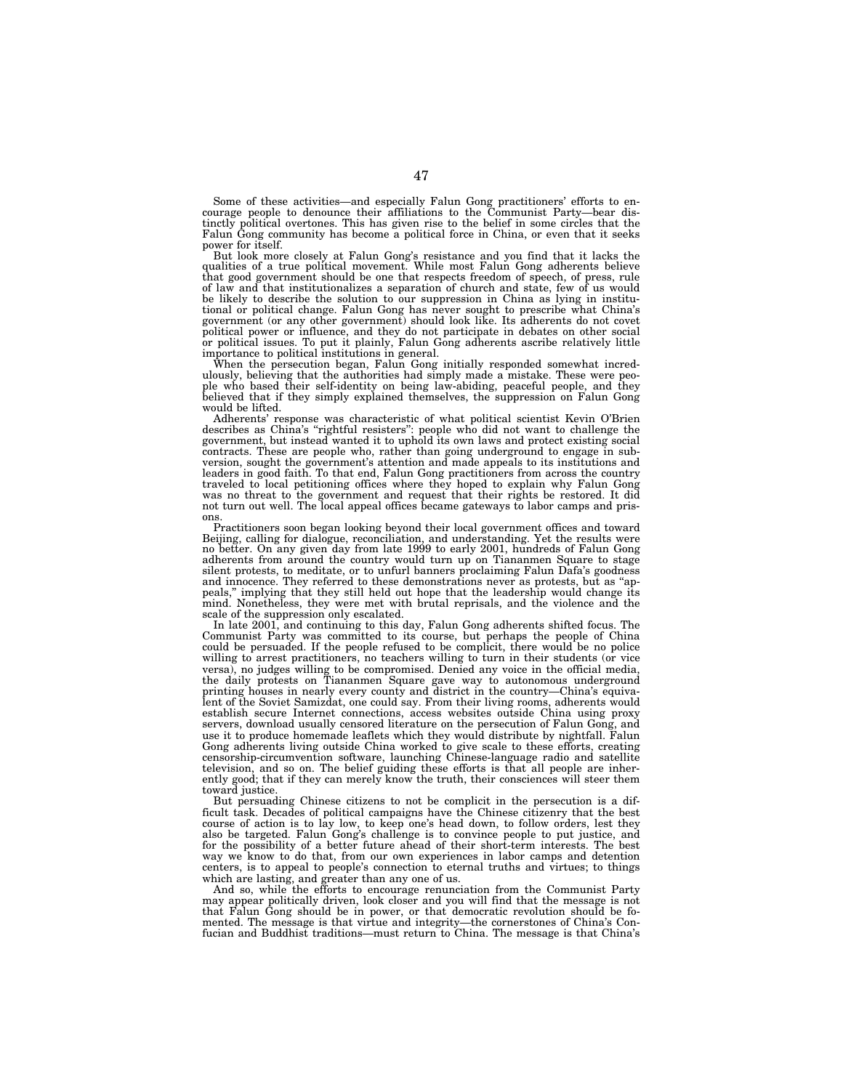Some of these activities—and especially Falun Gong practitioners' efforts to en-courage people to denounce their affiliations to the Communist Party—bear distinctly political overtones. This has given rise to the belief in some circles that the Falun Gong community has become a political force in China, or even that it seeks power for itself.

But look more closely at Falun Gong's resistance and you find that it lacks the qualities of a true political movement. While most Falun Gong adherents believe that good government should be one that respects freedom of sp of law and that institutionalizes a separation of church and state, few of us would be likely to describe the solution to our suppression in China as lying in institutional or political change. Falun Gong has never sought to prescribe what China's government (or any other government) should look like. Its adherents do not covet political power or influence, and they do not participate in debates on other social or political issues. To put it plainly, Falun Gong adherents ascribe relatively little importance to political institutions in general.

When the persecution began, Falun Gong initially responded somewhat incredulously, believing that the authorities had simply made a mistake. These were people who based their self-identity on being law-abiding, peaceful people, and they believed that if they simply explained themselves, the suppression on Falun Gong would be lifted.

Adherents' response was characteristic of what political scientist Kevin O'Brien describes as China's ''rightful resisters'': people who did not want to challenge the government, but instead wanted it to uphold its own laws and protect existing social contracts. These are people who, rather than going underground to engage in sub-version, sought the government's attention and made appeals to its institutions and leaders in good faith. To that end, Falun Gong practitioners from across the country traveled to local petitioning offices where they hoped to explain why Falun Gong<br>was no threat to the government and request that their rights be restored. It did<br>not turn out well. The local appeal offices became gateways

ons. Practitioners soon began looking beyond their local government offices and toward Beijing, calling for dialogue, reconciliation, and understanding. Yet the results were no better. On any given day from late 1999 to early 2001, hundreds of Falun Gong adherents from around the country would turn up on Tiananmen Square to stage silent protests, to meditate, or to unfurl banners proclaiming Falun Dafa's goodness and innocence. They referred to these demonstrations never as protests, but as ''appeals,'' implying that they still held out hope that the leadership would change its mind. Nonetheless, they were met with brutal reprisals, and the violence and the scale of the suppression only escalated.

In late 2001, and continuing to this day, Falun Gong adherents shifted focus. The Communist Party was committed to its course, but perhaps the people of China could be persuaded. If the people refused to be complicit, there would be no police willing to arrest practitioners, no teachers willing to turn in their students (or vice versa), no judges willing to be compromised. Denied any voice in the official media, the daily protests on Tiananmen Square gave way to autonomous underground printing houses in nearly every county and district in the country—China's equivalent of the Soviet Samizdat, one could say. From their living rooms, adherents would establish secure Internet connections, access websites outside China using proxy servers, download usually censored literature on the persecution of Falun Gong, and use it to produce homemade leaflets which they would distribute by nightfall. Falun Gong adherents living outside China worked to give scale to these efforts, creating censorship-circumvention software, launching Chinese-language radio and satellite television, and so on. The belief guiding these efforts is that all people are inherently good; that if they can merely know the truth, their consciences will steer them toward justice.

But persuading Chinese citizens to not be complicit in the persecution is a difficult task. Decades of political campaigns have the Chinese citizenry that the best course of action is to lay low, to keep one's head down, to follow orders, lest they also be targeted. Falun Gong's challenge is to convince people to put justice, and for the possibility of a better future ahead of their short-term interests. The best way we know to do that, from our own experiences in labor camps and detention centers, is to appeal to people's connection to eternal truths and virtues; to things which are lasting, and greater than any one of us.

And so, while the efforts to encourage renunciation from the Communist Party may appear politically driven, look closer and you will find that the message is not that Falun Gong should be in power, or that democratic revolution should be fomented. The message is that virtue and integrity—the cornerstones of China's Confucian and Buddhist traditions—must return to China. The message is that China's